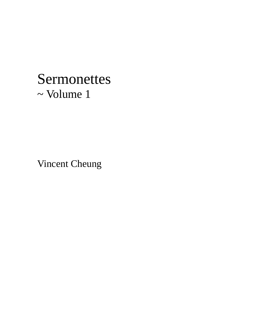# Sermonettes ~ Volume 1

Vincent Cheung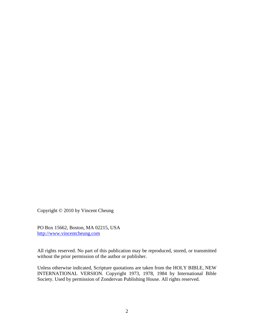Copyright © 2010 by Vincent Cheung

PO Box 15662, Boston, MA 02215, USA http://www.vincentcheung.com

All rights reserved. No part of this publication may be reproduced, stored, or transmitted without the prior permission of the author or publisher.

Unless otherwise indicated, Scripture quotations are taken from the HOLY BIBLE, NEW INTERNATIONAL VERSION. Copyright 1973, 1978, 1984 by International Bible Society. Used by permission of Zondervan Publishing House. All rights reserved.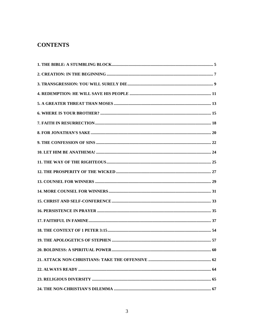# **CONTENTS**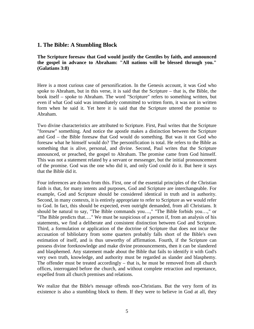#### **1. The Bible: A Stumbling Block**

**The Scripture foresaw that God would justify the Gentiles by faith, and announced the gospel in advance to Abraham: "All nations will be blessed through you." (Galatians 3:8)**

Here is a most curious case of personification. In the Genesis account, it was God who spoke to Abraham, but in this verse, it is said that the Scripture – that is, the Bible, the book itself – spoke to Abraham. The word "Scripture" refers to something written, but even if what God said was immediately committed to written form, it was not in written form when he said it. Yet here it is said that the Scripture uttered the promise to Abraham.

Two divine characteristics are attributed to Scripture. First, Paul writes that the Scripture "foresaw" something. And notice the apostle makes a distinction between the Scripture and God – the Bible foresaw that God would do something. But was it not God who foresaw what he himself would do? The personification is total. He refers to the Bible as something that is alive, personal, and divine. Second, Paul writes that the Scripture announced, or preached, the gospel to Abraham. The promise came from God himself. This was not a statement related by a servant or messenger, but the initial pronouncement of the promise. God was the one who did it, and only God could do it. But here it says that the Bible did it.

Four inferences are drawn from this. First, one of the essential principles of the Christian faith is that, for many intents and purposes, God and Scripture are interchangeable. For example, God and Scripture should be considered identical in truth and in authority. Second, in many contexts, it is entirely appropriate to refer to Scripture as we would refer to God. In fact, this should be expected, even outright demanded, from all Christians. It should be natural to say, "The Bible commands you…," "The Bible forbids you…," or "The Bible predicts that…." We must be suspicious of a person if, from an analysis of his statements, we find a deliberate and consistent distinction between God and Scripture. Third, a formulation or application of the doctrine of Scripture that does not incur the accusation of bibliolatry from some quarters probably falls short of the Bible's own estimation of itself, and is thus unworthy of affirmation. Fourth, if the Scripture can possess divine foreknowledge and make divine pronouncements, then it can be slandered and blasphemed. Any statement made about the Bible that fails to identify it with God's very own truth, knowledge, and authority must be regarded as slander and blasphemy. The offender must be treated accordingly – that is, he must be removed from all church offices, interrogated before the church, and without complete retraction and repentance, expelled from all church premises and relations.

We realize that the Bible's message offends non-Christians. But the very form of its existence is also a stumbling block to them. If they were to believe in God at all, they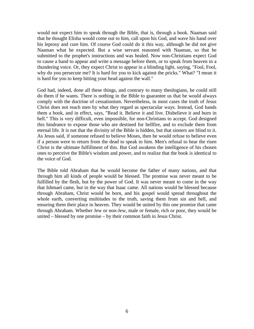would not expect him to speak through the Bible, that is, through a book. Naaman said that he thought Elisha would come out to him, call upon his God, and wave his hand over his leprosy and cure him. Of course God could do it this way, although he did not give Naaman what he expected. But a wise servant reasoned with Naaman, so that he submitted to the prophet's instructions and was healed. Now non-Christians expect God to cause a hand to appear and write a message before them, or to speak from heaven in a thundering voice. Or, they expect Christ to appear in a blinding light, saying, "Fool, Fool, why do you persecute me? It is hard for you to kick against the pricks." What? "I mean it is hard for you to keep hitting your head against the wall."

God had, indeed, done all these things, and contrary to many theologians, he could still do them if he wants. There is nothing in the Bible to guarantee us that he would always comply with the doctrine of cessationism. Nevertheless, in most cases the truth of Jesus Christ does not reach men by what they regard as spectacular ways. Instead, God hands them a book, and in effect, says, "Read it. Believe it and live. Disbelieve it and burn in hell." This is very difficult, even impossible, for non-Christians to accept. God designed this hindrance to expose those who are destined for hellfire, and to exclude them from eternal life. It is not that the divinity of the Bible is hidden, but that sinners are blind to it. As Jesus said, if someone refused to believe Moses, then he would refuse to believe even if a person were to return from the dead to speak to him. Men's refusal to hear the risen Christ is the ultimate fulfillment of this. But God awakens the intelligence of his chosen ones to perceive the Bible's wisdom and power, and to realize that the book is identical to the voice of God.

The Bible told Abraham that he would become the father of many nations, and that through him all kinds of people would be blessed. The promise was never meant to be fulfilled by the flesh, but by the power of God. It was never meant to come in the way that Ishmael came, but in the way that Isaac came. All nations would be blessed because through Abraham, Christ would be born, and his gospel would spread throughout the whole earth, converting multitudes to the truth, saving them from sin and hell, and ensuring them their place in heaven. They would be united by this one promise that came through Abraham. Whether Jew or non-Jew, male or female, rich or poor, they would be united – blessed by one promise – by their common faith in Jesus Christ.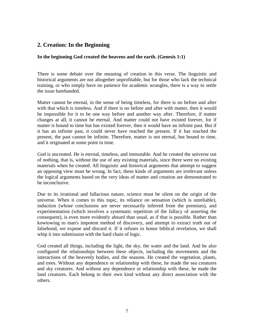# **2. Creation: In the Beginning**

#### **In the beginning God created the heavens and the earth. (Genesis 1:1)**

There is some debate over the meaning of creation in this verse. The linguistic and historical arguments are not altogether unprofitable, but for those who lack the technical training, or who simply have no patience for academic wrangles, there is a way to settle the issue barehanded.

Matter cannot be eternal, in the sense of being timeless, for there is no before and after with that which is timeless. And if there is no before and after with matter, then it would be impossible for it to be one way before and another way after. Therefore, if matter changes at all, it cannot be eternal. And matter could not have existed forever, for if matter is bound to time but has existed forever, then it would have an infinite past. But if it has an infinite past, it could never have reached the present. If it has reached the present, the past cannot be infinite. Therefore, matter is not eternal, but bound to time, and it originated at some point in time.

God is uncreated. He is eternal, timeless, and immutable. And he created the universe out of nothing, that is, without the use of any existing materials, since there were no existing materials when he created. All linguistic and historical arguments that attempt to suggest an opposing view must be wrong. In fact, these kinds of arguments are irrelevant unless the logical arguments based on the very ideas of matter and creation are demonstrated to be inconclusive.

Due to its irrational and fallacious nature, science must be silent on the origin of the universe. When it comes to this topic, its reliance on sensation (which is unreliable), induction (whose conclusions are never necessarily inferred from the premises), and experimentation (which involves a systematic repetition of the fallacy of asserting the consequent), is even more evidently absurd than usual, as if that is possible. Rather than kowtowing to man's impotent method of discovery, and attempt to extract truth out of falsehood, we expose and discard it. If it refuses to honor biblical revelation, we shall whip it into submission with the hard chain of logic.

God created all things, including the light, the sky, the water and the land. And he also configured the relationships between these objects, including the movements and the interactions of the heavenly bodies, and the seasons. He created the vegetation, plants, and trees. Without any dependence or relationship with these, he made the sea creatures and sky creatures. And without any dependence or relationship with these, he made the land creatures. Each belong to their own kind without any direct association with the others.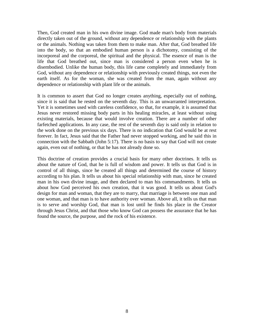Then, God created man in his own divine image. God made man's body from materials directly taken out of the ground, without any dependence or relationship with the plants or the animals. Nothing was taken from them to make man. After that, God breathed life into the body, so that an embodied human person is a dichotomy, consisting of the incorporeal and the corporeal, the spiritual and the physical. The essence of man is the life that God breathed out, since man is considered a person even when he is disembodied. Unlike the human body, this life came completely and immediately from God, without any dependence or relationship with previously created things, not even the earth itself. As for the woman, she was created from the man, again without any dependence or relationship with plant life or the animals.

It is common to assert that God no longer creates anything, especially out of nothing, since it is said that he rested on the seventh day. This is an unwarranted interpretation. Yet it is sometimes used with careless confidence, so that, for example, it is assumed that Jesus never restored missing body parts in his healing miracles, at least without using existing materials, because that would involve creation. There are a number of other farfetched applications. In any case, the rest of the seventh day is said only in relation to the work done on the previous six days. There is no indication that God would be at rest forever. In fact, Jesus said that the Father had never stopped working, and he said this in connection with the Sabbath (John 5:17). There is no basis to say that God will not create again, even out of nothing, or that he has not already done so.

This doctrine of creation provides a crucial basis for many other doctrines. It tells us about the nature of God, that he is full of wisdom and power. It tells us that God is in control of all things, since he created all things and determined the course of history according to his plan. It tells us about his special relationship with man, since he created man in his own divine image, and then declared to man his commandments. It tells us about how God perceived his own creation, that it was good. It tells us about God's design for man and woman, that they are to marry, that marriage is between one man and one woman, and that man is to have authority over woman. Above all, it tells us that man is to serve and worship God, that man is lost until he finds his place in the Creator through Jesus Christ, and that those who know God can possess the assurance that he has found the source, the purpose, and the rock of his existence.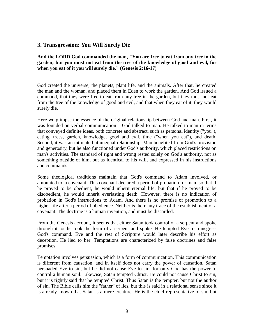# **3. Transgression: You Will Surely Die**

**And the LORD God commanded the man, "You are free to eat from any tree in the garden; but you must not eat from the tree of the knowledge of good and evil, for when you eat of it you will surely die." (Genesis 2:16-17)**

God created the universe, the planets, plant life, and the animals. After that, he created the man and the woman, and placed them in Eden to work the garden. And God issued a command, that they were free to eat from any tree in the garden, but they must not eat from the tree of the knowledge of good and evil, and that when they eat of it, they would surely die.

Here we glimpse the essence of the original relationship between God and man. First, it was founded on verbal communication – God talked to man. He talked to man in terms that conveyed definite ideas, both concrete and abstract, such as personal identity ("you"), eating, trees, garden, knowledge, good and evil, time ("when you eat"), and death. Second, it was an intimate but unequal relationship. Man benefited from God's provision and generosity, but he also functioned under God's authority, which placed restrictions on man's activities. The standard of right and wrong rested solely on God's authority, not as something outside of him, but as identical to his will, and expressed in his instructions and commands.

Some theological traditions maintain that God's command to Adam involved, or amounted to, a covenant. This covenant declared a period of probation for man, so that if he proved to be obedient, he would inherit eternal life, but that if he proved to be disobedient, he would inherit everlasting death. However, there is no indication of probation in God's instructions to Adam. And there is no promise of promotion to a higher life after a period of obedience. Neither is there any trace of the establishment of a covenant. The doctrine is a human invention, and must be discarded.

From the Genesis account, it seems that either Satan took control of a serpent and spoke through it, or he took the form of a serpent and spoke. He tempted Eve to transgress God's command. Eve and the rest of Scripture would later describe his effort as deception. He lied to her. Temptations are characterized by false doctrines and false promises.

Temptation involves persuasion, which is a form of communication. This communication is different from causation, and in itself does not carry the power of causation. Satan persuaded Eve to sin, but he did not cause Eve to sin, for only God has the power to control a human soul. Likewise, Satan tempted Christ. He could not cause Christ to sin, but it is rightly said that he tempted Christ. Thus Satan is the tempter, but not the author of sin. The Bible calls him the "father" of lies, but this is said in a relational sense since it is already known that Satan is a mere creature. He is the chief representative of sin, but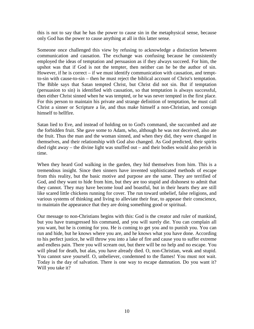this is not to say that he has the power to cause sin in the metaphysical sense, because only God has the power to cause anything at all in this latter sense.

Someone once challenged this view by refusing to acknowledge a distinction between communication and causation. The exchange was confusing because he consistently employed the ideas of temptation and persuasion as if they always succeed. For him, the upshot was that if God is not the tempter, then neither can he be the author of sin. However, if he is correct – if we must identify communication with causation, and temptto-sin with cause-to-sin – then he must reject the biblical account of Christ's temptation. The Bible says that Satan tempted Christ, but Christ did not sin. But if temptation (persuasion to sin) is identified with causation, so that temptation is always successful, then either Christ sinned when he was tempted, or he was never tempted in the first place. For this person to maintain his private and strange definition of temptation, he must call Christ a sinner or Scripture a lie, and thus make himself a non-Christian, and consign himself to hellfire.

Satan lied to Eve, and instead of holding on to God's command, she succumbed and ate the forbidden fruit. She gave some to Adam, who, although he was not deceived, also ate the fruit. Thus the man and the woman sinned, and when they did, they were changed in themselves, and their relationship with God also changed. As God predicted, their spirits died right away – the divine light was snuffed out – and their bodies would also perish in time.

When they heard God walking in the garden, they hid themselves from him. This is a tremendous insight. Since then sinners have invented sophisticated methods of escape from this reality, but the basic motive and purpose are the same. They are terrified of God, and they want to hide from him, but they are too stupid and dishonest to admit that they cannot. They may have become loud and boastful, but in their hearts they are still like scared little chickens running for cover. The run toward unbelief, false religions, and various systems of thinking and living to alleviate their fear, to appease their conscience, to maintain the appearance that they are doing something good or spiritual.

Our message to non-Christians begins with this: God is the creator and ruler of mankind, but you have transgressed his command, and you will surely die. You can complain all you want, but he is coming for you. He is coming to get you and to punish you. You can run and hide, but he knows where you are, and he knows what you have done. According to his perfect justice, he will throw you into a lake of fire and cause you to suffer extreme and endless pain. There you will scream out, but there will be no help and no escape. You will plead for death, but alas, you have already died. O, non-Christian, weak and stupid. You cannot save yourself. O, unbeliever, condemned to the flames! You must not wait. Today is the day of salvation. There is one way to escape damnation. Do you want it? Will you take it?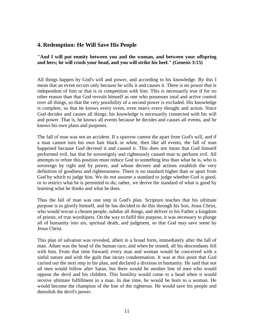# **4. Redemption: He Will Save His People**

#### **"And I will put enmity between you and the woman, and between your offspring and hers; he will crush your head, and you will strike his heel." (Genesis 3:15)**

All things happen by God's will and power, and according to his knowledge. By this I mean that an event occurs only because he wills it and causes it. There is no power that is independent of him or that is in competition with him. This is necessarily true if for no other reason than that God reveals himself as one who possesses total and active control over all things, so that the very possibility of a second power is excluded. His knowledge is complete, so that he knows every event, even man's every thought and action. Since God decides and causes all things, his knowledge is necessarily connected with his will and power. That is, he knows all events because he decides and causes all events, and he knows his own plans and purposes.

The fall of man was not an accident. If a sparrow cannot die apart from God's will, and if a man cannot turn his own hair black or white, then like all events, the fall of man happened because God decreed it and caused it. This does not mean that God himself performed evil, but that he sovereignly and righteously caused man to perform evil. All attempts to refute this position must reduce God to something less than what he is, who is sovereign by right and by power, and whose decrees and actions establish the very definition of goodness and righteousness. There is no standard higher than or apart from God by which to judge him. We do not assume a standard to judge whether God is good, or to restrict what he is permitted to do; rather, we derive the standard of what is good by learning what he thinks and what he does.

Thus the fall of man was one step in God's plan. Scripture teaches that his ultimate purpose is to glorify himself, and he has decided to do this through his Son, Jesus Christ, who would rescue a chosen people, subdue all things, and deliver to his Father a kingdom of priests, of true worshipers. On the way to fulfil this purpose, it was necessary to plunge all of humanity into sin, spiritual death, and judgment, so that God may save some by Jesus Christ.

This plan of salvation was revealed, albeit in a broad form, immediately after the fall of man. Adam was the head of the human race, and when he sinned, all his descendants fell with him. From that time forward, every man and woman would be conceived with a sinful nature and with the guilt that incurs condemnation. It was at this point that God carried out the next step in his plan, and declared a division in humanity. He said that not all men would follow after Satan, but there would be another line of men who would oppose the devil and his children. This hostility would come to a head when it would receive ultimate fulfillment in a man. In due time, he would be born to a woman. He would become the champion of the line of the righteous. He would save his people and demolish the devil's power.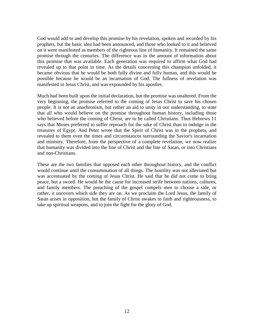God would add to and develop this promise by his revelation, spoken and recorded by his prophets, but the basic idea had been announced, and those who looked to it and believed on it were manifested as members of the righteous line of humanity. It remained the same promise through the centuries. The difference was in the amount of information about this promise that was available. Each generation was required to affirm what God had revealed up to that point in time. As the details concerning this champion unfolded, it became obvious that he would be both fully divine and fully human, and this would be possible because he would be an incarnation of God. The fullness of revelation was manifested in Jesus Christ, and was expounded by his apostles.

Much had been built upon the initial declaration, but the promise was unaltered. From the very beginning, the promise referred to the coming of Jesus Christ to save his chosen people. It is not an anachronism, but rather an aid to unity in our understanding, to state that all who would believe on the promise throughout human history, including those who believed before the coming of Christ, are to be called Christians. Thus Hebrews 11 says that Moses preferred to suffer reproach for the sake of Christ than to indulge in the treasures of Egypt. And Peter wrote that the Spirit of Christ was in the prophets, and revealed to them even the times and circumstances surrounding the Savior's incarnation and ministry. Therefore, from the perspective of a complete revelation, we now realize that humanity was divided into the line of Christ and the line of Satan, or into Christians and non-Christians.

These are the two families that opposed each other throughout history, and the conflict would continue until the consummation of all things. The hostility was not alleviated but was accentuated by the coming of Jesus Christ. He said that he did not come to bring peace, but a sword. He would be the cause for increased strife between nations, cultures, and family members. The preaching of the gospel compels men to choose a side, or rather, it uncovers which side they are on. As we proclaim the Lord Jesus, the family of Satan arises in opposition, but the family of Christ awakes to faith and righteousness, to take up spiritual weapons, and to join the fight for the glory of God.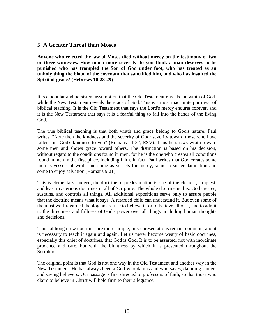## **5. A Greater Threat than Moses**

**Anyone who rejected the law of Moses died without mercy on the testimony of two or three witnesses. How much more severely do you think a man deserves to be punished who has trampled the Son of God under foot, who has treated as an unholy thing the blood of the covenant that sanctified him, and who has insulted the Spirit of grace? (Hebrews 10:28-29)**

It is a popular and persistent assumption that the Old Testament reveals the wrath of God, while the New Testament reveals the grace of God. This is a most inaccurate portrayal of biblical teaching. It is the Old Testament that says the Lord's mercy endures forever, and it is the New Testament that says it is a fearful thing to fall into the hands of the living God.

The true biblical teaching is that both wrath and grace belong to God's nature. Paul writes, "Note then the kindness and the severity of God: severity toward those who have fallen, but God's kindness to you" (Romans 11:22, ESV). Thus he shows wrath toward some men and shows grace toward others. The distinction is based on his decision, without regard to the conditions found in men, for he is the one who creates all conditions found in men in the first place, including faith. In fact, Paul writes that God creates some men as vessels of wrath and some as vessels for mercy, some to suffer damnation and some to enjoy salvation (Romans 9:21).

This is elementary. Indeed, the doctrine of predestination is one of the clearest, simplest, and least mysterious doctrines in all of Scripture. The whole doctrine is this: God creates, sustains, and controls all things. All additional expositions serve only to assure people that the doctrine means what it says. A retarded child can understand it. But even some of the most well-regarded theologians refuse to believe it, or to believe all of it, and to admit to the directness and fullness of God's power over all things, including human thoughts and decisions.

Thus, although few doctrines are more simple, misrepresentations remain common, and it is necessary to teach it again and again. Let us never become weary of basic doctrines, especially this chief of doctrines, that God is God. It is to be asserted, not with inordinate prudence and care, but with the bluntness by which it is presented throughout the Scripture.

The original point is that God is not one way in the Old Testament and another way in the New Testament. He has always been a God who damns and who saves, damning sinners and saving believers. Our passage is first directed to professors of faith, so that those who claim to believe in Christ will hold firm to their allegiance.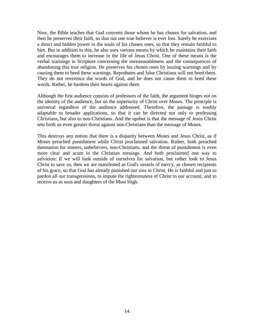Now, the Bible teaches that God converts those whom he has chosen for salvation, and then he preserves their faith, so that not one true believer is ever lost. Surely he exercises a direct and hidden power in the souls of his chosen ones, so that they remain faithful to him. But in addition to this, he also uses various means by which he maintains their faith and encourages them to increase in the life of Jesus Christ. One of these means is the verbal warnings in Scripture concerning the unreasonableness and the consequences of abandoning this true religion. He preserves his chosen ones by issuing warnings and by causing them to heed these warnings. Reprobates and false Christians will not heed them. They do not reverence the words of God, and he does not cause them to heed these words. Rather, he hardens their hearts against them.

Although the first audience consists of professors of the faith, the argument hinges not on the identity of the audience, but on the superiority of Christ over Moses. The principle is universal regardless of the audience addressed. Therefore, the passage is readily adaptable to broader applications, so that it can be directed not only to professing Christians, but also to non-Christians. And the upshot is that the message of Jesus Christ sets forth an even greater threat against non-Christians than the message of Moses.

This destroys any notion that there is a disparity between Moses and Jesus Christ, as if Moses preached punishment while Christ proclaimed salvation. Rather, both preached damnation for sinners, unbelievers, non-Christians, and the threat of punishment is even more clear and acute in the Christian message. And both proclaimed one way to salvation: If we will look outside of ourselves for salvation, but rather look to Jesus Christ to save us, then we are manifested as God's vessels of mercy, as chosen recipients of his grace, so that God has already punished our sins in Christ. He is faithful and just to pardon all our transgressions, to impute the righteousness of Christ to our account, and to receive us as sons and daughters of the Most High.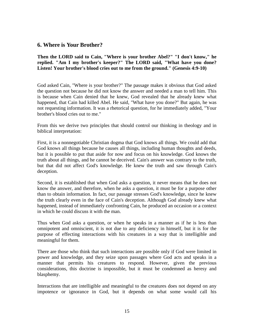#### **6. Where is Your Brother?**

**Then the LORD said to Cain, "Where is your brother Abel?" "I don't know," he replied. "Am I my brother's keeper?" The LORD said, "What have you done? Listen! Your brother's blood cries out to me from the ground." (Genesis 4:9-10)**

God asked Cain, "Where is your brother?" The passage makes it obvious that God asked the question not because he did not know the answer and needed a man to tell him. This is because when Cain denied that he knew, God revealed that he already knew what happened, that Cain had killed Abel. He said, "What have you done?" But again, he was not requesting information. It was a rhetorical question, for he immediately added, "Your brother's blood cries out to me."

From this we derive two principles that should control our thinking in theology and in biblical interpretation:

First, it is a nonnegotiable Christian dogma that God knows all things. We could add that God knows all things because he causes all things, including human thoughts and deeds, but it is possible to put that aside for now and focus on his knowledge. God knows the truth about all things, and he cannot be deceived. Cain's answer was contrary to the truth, but that did not affect God's knowledge. He knew the truth and saw through Cain's deception.

Second, it is established that when God asks a question, it never means that he does not know the answer, and therefore, when he asks a question, it must be for a purpose other than to obtain information. In fact, our passage stresses God's knowledge, since he knew the truth clearly even in the face of Cain's deception. Although God already knew what happened, instead of immediately confronting Cain, he produced an occasion or a context in which he could discuss it with the man.

Thus when God asks a question, or when he speaks in a manner as if he is less than omnipotent and omniscient, it is not due to any deficiency in himself, but it is for the purpose of effecting interactions with his creatures in a way that is intelligible and meaningful for them.

There are those who think that such interactions are possible only if God were limited in power and knowledge, and they seize upon passages where God acts and speaks in a manner that permits his creatures to respond. However, given the previous considerations, this doctrine is impossible, but it must be condemned as heresy and blasphemy.

Interactions that are intelligible and meaningful to the creatures does not depend on any impotence or ignorance in God, but it depends on what some would call his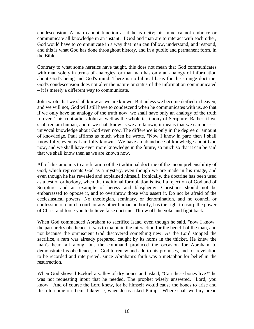condescension. A man cannot function as if he is deity; his mind cannot embrace or communicate all knowledge in an instant. If God and man are to interact with each other, God would have to communicate in a way that man can follow, understand, and respond, and this is what God has done throughout history, and in a public and permanent form, in the Bible.

Contrary to what some heretics have taught, this does not mean that God communicates with man solely in terms of analogies, or that man has only an analogy of information about God's being and God's mind. There is no biblical basis for the strange doctrine. God's condescension does not alter the nature or status of the information communicated – it is merely a different way to communicate.

John wrote that we shall know as we are known. But unless we become deified in heaven, and we will not, God will still have to condescend when he communicates with us, so that if we only have an analogy of the truth now, we shall have only an analogy of the truth forever. This contradicts John as well as the whole testimony of Scripture. Rather, if we shall remain human, and if we shall know as we are known, it means that we can possess univocal knowledge about God even now. The difference is only in the degree or amount of knowledge. Paul affirms as much when he wrote, "Now I know in part; then I shall know fully, even as I am fully known." We have an abundance of knowledge about God now, and we shall have even more knowledge in the future, so much so that it can be said that we shall know then as we are known now.

All of this amounts to a refutation of the traditional doctrine of the incomprehensibility of God, which represents God as a mystery, even though we are made in his image, and even though he has revealed and explained himself. Ironically, the doctrine has been used as a test of orthodoxy, when the traditional formulation is itself a rejection of God and of Scripture, and an example of heresy and blasphemy. Christians should not be embarrassed to oppose it, and to overthrow those who assert it. Do not be afraid of the ecclesiastical powers. No theologian, seminary, or denomination, and no council or confession or church court, or any other human authority, has the right to usurp the power of Christ and force you to believe false doctrine. Throw off the yoke and fight back.

When God commanded Abraham to sacrifice Isaac, even though he said, "now I know" the patriarch's obedience, it was to maintain the interaction for the benefit of the man, and not because the omniscient God discovered something new. As the Lord stopped the sacrifice, a ram was already prepared, caught by its horns in the thicket. He knew the man's heart all along, but the command produced the occasion for Abraham to demonstrate his obedience, for God to renew and add to his promises, and for revelation to be recorded and interpreted, since Abraham's faith was a metaphor for belief in the resurrection.

When God showed Ezekiel a valley of dry bones and asked, "Can these bones live?" he was not requesting input that he needed. The prophet wisely answered, "Lord, you know." And of course the Lord knew, for he himself would cause the bones to arise and flesh to come on them. Likewise, when Jesus asked Philip, "Where shall we buy bread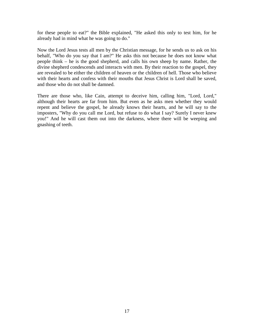for these people to eat?" the Bible explained, "He asked this only to test him, for he already had in mind what he was going to do."

Now the Lord Jesus tests all men by the Christian message, for he sends us to ask on his behalf, "Who do you say that I am?" He asks this not because he does not know what people think – he is the good shepherd, and calls his own sheep by name. Rather, the divine shepherd condescends and interacts with men. By their reaction to the gospel, they are revealed to be either the children of heaven or the children of hell. Those who believe with their hearts and confess with their mouths that Jesus Christ is Lord shall be saved, and those who do not shall be damned.

There are those who, like Cain, attempt to deceive him, calling him, "Lord, Lord," although their hearts are far from him. But even as he asks men whether they would repent and believe the gospel, he already knows their hearts, and he will say to the imposters, "Why do you call me Lord, but refuse to do what I say? Surely I never knew you!" And he will cast them out into the darkness, where there will be weeping and gnashing of teeth.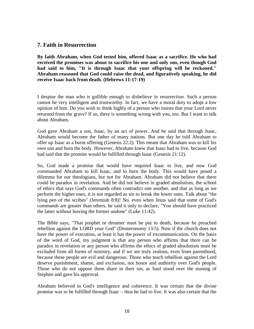# **7. Faith in Resurrection**

**By faith Abraham, when God tested him, offered Isaac as a sacrifice. He who had received the promises was about to sacrifice his one and only son, even though God had said to him, "It is through Isaac that your offspring will be reckoned." Abraham reasoned that God could raise the dead, and figuratively speaking, he did receive Isaac back from death. (Hebrews 11:17-19)**

I despise the man who is gullible enough to disbelieve in resurrection. Such a person cannot be very intelligent and trustworthy. In fact, we have a moral duty to adopt a low opinion of him. Do you wish to think highly of a person who insists that your Lord never returned from the grave? If so, there is something wrong with you, too. But I want to talk about Abraham.

God gave Abraham a son, Isaac, by an act of power. And he said that through Isaac, Abraham would become the father of many nations. But one day he told Abraham to offer up Isaac as a burnt offering (Genesis 22:2). This meant that Abraham was to kill his own son and burn the body. However, Abraham knew that Isaac had to live, because God had said that the promise would be fulfilled through Isaac (Genesis 21:12).

So, God made a promise that would have required Isaac to live, and now God commanded Abraham to kill Isaac, and to burn the body. This would have posed a dilemma for our theologians, but not for Abraham. Abraham did not believe that there could be paradox in revelation. And he did not believe in graded absolutism, the school of ethics that says God's commands often contradict one another, and that as long as we perform the higher ones, it is not regarded as sin to break the lower ones. Talk about "the lying pen of the scribes" (Jeremiah 8:8)! No, even when Jesus said that some of God's commands are greater than others, he said it only to declare, "You should have practiced the latter without leaving the former undone" (Luke 11:42).

The Bible says, "That prophet or dreamer must be put to death, because he preached rebellion against the LORD your God" (Deuteronomy 13:5). Now if the church does not have the power of execution, at least it has the power of excommunication. On the basis of the word of God, my judgment is that any person who affirms that there can be paradox in revelation or any person who affirms the ethics of graded absolutism must be excluded from all forms of ministry, and if we are truly zealous, even from parenthood, because these people are evil and dangerous. Those who teach rebellion against the Lord deserve punishment, shame, and exclusion, not honor and authority over God's people. Those who do not oppose them share in their sin, as Saul stood over the stoning of Stephen and gave his approval.

Abraham believed in God's intelligence and coherence. It was certain that the divine promise was to be fulfilled through Isaac – thus he had to live. It was also certain that the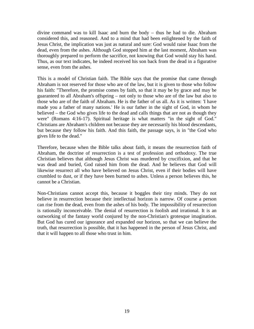divine command was to kill Isaac and burn the body – thus he had to die. Abraham considered this, and reasoned. And to a mind that had been enlightened by the faith of Jesus Christ, the implication was just as natural and sure: God would raise Isaac from the dead, even from the ashes. Although God stopped him at the last moment, Abraham was thoroughly prepared to perform the sacrifice, not knowing that God would stay his hand. Thus, as our text indicates, he indeed received his son back from the dead in a figurative sense, even from the ashes.

This is a model of Christian faith. The Bible says that the promise that came through Abraham is not reserved for those who are of the law, but it is given to those who follow his faith: "Therefore, the promise comes by faith, so that it may be by grace and may be guaranteed to all Abraham's offspring – not only to those who are of the law but also to those who are of the faith of Abraham. He is the father of us all. As it is written: 'I have made you a father of many nations.' He is our father in the sight of God, in whom he believed – the God who gives life to the dead and calls things that are not as though they were" (Romans 4:16-17). Spiritual heritage is what matters "in the sight of God." Christians are Abraham's children not because they are necessarily his blood descendants, but because they follow his faith. And this faith, the passage says, is in "the God who gives life to the dead."

Therefore, because when the Bible talks about faith, it means the resurrection faith of Abraham, the doctrine of resurrection is a test of profession and orthodoxy. The true Christian believes that although Jesus Christ was murdered by crucifixion, and that he was dead and buried, God raised him from the dead. And he believes that God will likewise resurrect all who have believed on Jesus Christ, even if their bodies will have crumbled to dust, or if they have been burned to ashes. Unless a person believes this, he cannot be a Christian.

Non-Christians cannot accept this, because it boggles their tiny minds. They do not believe in resurrection because their intellectual horizon is narrow. Of course a person can rise from the dead, even from the ashes of his body. The impossibility of resurrection is rationally inconceivable. The denial of resurrection is foolish and irrational. It is an outworking of the fantasy world conjured by the non-Christian's grotesque imagination. But God has cured our ignorance and expanded our horizon, so that we can believe the truth, that resurrection is possible, that it has happened in the person of Jesus Christ, and that it will happen to all those who trust in him.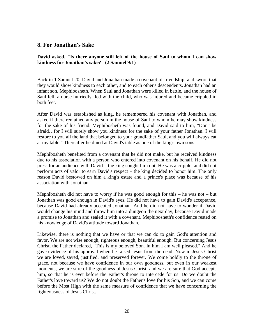## **8. For Jonathan's Sake**

**David asked, "Is there anyone still left of the house of Saul to whom I can show kindness for Jonathan's sake?" (2 Samuel 9:1)**

Back in 1 Samuel 20, David and Jonathan made a covenant of friendship, and swore that they would show kindness to each other, and to each other's descendents. Jonathan had an infant son, Mephibosheth. When Saul and Jonathan were killed in battle, and the house of Saul fell, a nurse hurriedly fled with the child, who was injured and became crippled in both feet.

After David was established as king, he remembered his covenant with Jonathan, and asked if there remained any person in the house of Saul to whom he may show kindness for the sake of his friend. Mephibosheth was found, and David said to him, "Don't be afraid…for I will surely show you kindness for the sake of your father Jonathan. I will restore to you all the land that belonged to your grandfather Saul, and you will always eat at my table." Thereafter he dined at David's table as one of the king's own sons.

Mephibosheth benefited from a covenant that he did not make, but he received kindness due to his association with a person who entered into covenant on his behalf. He did not press for an audience with David – the king sought him out. He was a cripple, and did not perform acts of valor to earn David's respect – the king decided to honor him. The only reason David bestowed on him a king's estate and a prince's place was because of his association with Jonathan.

Mephibosheth did not have to worry if he was good enough for this  $-$  he was not  $-$  but Jonathan was good enough in David's eyes. He did not have to gain David's acceptance, because David had already accepted Jonathan. And he did not have to wonder if David would change his mind and throw him into a dungeon the next day, because David made a promise to Jonathan and sealed it with a covenant. Mephibosheth's confidence rested on his knowledge of David's attitude toward Jonathan.

Likewise, there is nothing that we have or that we can do to gain God's attention and favor. We are not wise enough, righteous enough, beautiful enough. But concerning Jesus Christ, the Father declared, "This is my beloved Son. In him I am well pleased." And he gave evidence of his approval when he raised Jesus from the dead. Now in Jesus Christ we are loved, saved, justified, and preserved forever. We come boldly to the throne of grace, not because we have confidence in our own goodness, but even in our weakest moments, we are sure of the goodness of Jesus Christ, and we are sure that God accepts him, so that he is ever before the Father's throne to intercede for us. Do we doubt the Father's love toward us? We do not doubt the Father's love for his Son, and we can come before the Most High with the same measure of confidence that we have concerning the righteousness of Jesus Christ.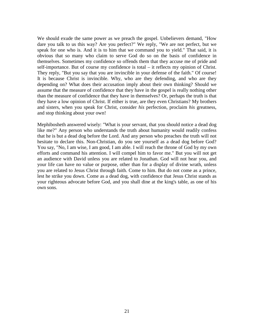We should exude the same power as we preach the gospel. Unbelievers demand, "How dare you talk to us this way? Are you perfect?" We reply, "We are not perfect, but we speak for one who is. And it is to him that we command you to yield." That said, it is obvious that so many who claim to serve God do so on the basis of confidence in themselves. Sometimes my confidence so offends them that they accuse me of pride and self-importance. But of course my confidence is total – it reflects my opinion of Christ. They reply, "But you say that you are invincible in your defense of the faith." Of course! It is because Christ is invincible. Why, who are they defending, and who are they depending on? What does their accusation imply about their own thinking? Should we assume that the measure of confidence that they have in the gospel is really nothing other than the measure of confidence that they have in themselves? Or, perhaps the truth is that they have a low opinion of Christ. If either is true, are they even Christians? My brothers and sisters, when you speak for Christ, consider *his* perfection, proclaim *his* greatness, and stop thinking about your own!

Mephibosheth answered wisely: "What is your servant, that you should notice a dead dog like me?" Any person who understands the truth about humanity would readily confess that he is but a dead dog before the Lord. And any person who preaches the truth will not hesitate to declare this. Non-Christian, do you see yourself as a dead dog before God? You say, "No, I am wise, I am good, I am able. I will reach the throne of God by my own efforts and command his attention. I will compel him to favor me." But you will not get an audience with David unless you are related to Jonathan. God will not hear you, and your life can have no value or purpose, other than for a display of divine wrath, unless you are related to Jesus Christ through faith. Come to him. But do not come as a prince, lest he strike you down. Come as a dead dog, with confidence that Jesus Christ stands as your righteous advocate before God, and you shall dine at the king's table, as one of his own sons.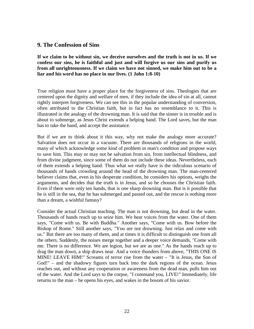#### **9. The Confession of Sins**

**If we claim to be without sin, we deceive ourselves and the truth is not in us. If we confess our sins, he is faithful and just and will forgive us our sins and purify us from all unrighteousness. If we claim we have not sinned, we make him out to be a liar and his word has no place in our lives. (1 John 1:8-10)**

True religion must have a proper place for the forgiveness of sins. Theologies that are centered upon the dignity and welfare of men, if they include the idea of sin at all, cannot rightly interpret forgiveness. We can see this in the popular understanding of conversion, often attributed to the Christian faith, but in fact has no resemblance to it. This is illustrated in the analogy of the drowning man. It is said that the sinner is in trouble and is about to submerge, as Jesus Christ extends a helping hand. The Lord saves, but the man has to take the hand, and accept the assistance.

But if we are to think about it this way, why not make the analogy more accurate? Salvation does not occur in a vacuum. There are thousands of religions in the world, many of which acknowledge some kind of problem in man's condition and propose ways to save him. This may or may not be salvation from sin, from intellectual blindness, and from divine judgment, since some of them do not include these ideas. Nevertheless, each of them extends a helping hand. Thus what we really have is the ridiculous scenario of thousands of hands crowding around the head of the drowning man. The man-centered believer claims that, even in his desperate condition, he considers his options, weighs the arguments, and decides that the truth is in Jesus, and so he chooses the Christian faith. Even if there were only ten hands, that is one sharp drowning man. But is it possible that he is still in the sea, that he has submerged and passed out, and the rescue is nothing more than a dream, a wishful fantasy?

Consider the actual Christian teaching. The man is not drowning, but dead in the water. Thousands of hands reach up to seize him. We hear voices from the water. One of them says, "Come with us. Be with Buddha." Another says, "Come with us. Bow before the Bishop of Rome." Still another says, "You are not drowning. Just relax and come with us." But there are too many of them, and at times it is difficult to distinguish one from all the others. Suddenly, the noises merge together and a deeper voice demands, "Come with me. There is no difference. We are legion, but we are as one." As the hands reach up to drag the man down, a ship draws near. And a voice thunders from above, "THIS ONE IS MINE! LEAVE HIM!" Screams of terror rise from the water – "It is Jesus, the Son of God!" – and the shadowy figures turn back into the dark regions of the ocean. Jesus reaches out, and without any cooperation or awareness from the dead man, pulls him out of the water. And the Lord says to the corpse, "I command you, LIVE!" Immediately, life returns to the man – he opens his eyes, and wakes in the bosom of his savior.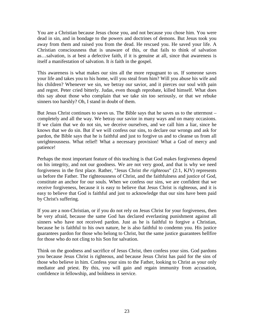You are a Christian because Jesus chose you, and not because you chose him. You were dead in sin, and in bondage to the powers and doctrines of demons. But Jesus took you away from them and raised you from the dead. He rescued you. He saved your life. A Christian consciousness that is unaware of this, or that fails to think of salvation as…salvation, is at best a defective faith, if it is genuine at all, since that awareness is itself a manifestation of salvation. It *is* faith in the gospel.

This awareness is what makes our sins all the more repugnant to us. If someone saves your life and takes you to his home, will you steal from him? Will you abuse his wife and his children? Whenever we sin, we betray our savior, and it pierces our soul with pain and regret. Peter cried bitterly. Judas, even though reprobate, killed himself. What does this say about those who complain that we take sin too seriously, or that we rebuke sinners too harshly? Oh, I stand in doubt of them.

But Jesus Christ continues to saves us. The Bible says that he saves us to the uttermost – completely and all the way. We betray our savior in many ways and on many occasions. If we claim that we do not sin, we deceive ourselves, and we call him a liar, since he knows that we do sin. But if we will confess our sins, to declare our wrongs and ask for pardon, the Bible says that he is faithful and just to forgive us and to cleanse us from all unrighteousness. What relief! What a necessary provision! What a God of mercy and patience!

Perhaps the most important feature of this teaching is that God makes forgiveness depend on his integrity, and not our goodness. We are not very good, and that is why we need forgiveness in the first place. Rather, "Jesus Christ *the righteous*" (2:1, KJV) represents us before the Father. The righteousness of Christ, and the faithfulness and justice of God, constitute an anchor for our souls. When we confess our sins, we are confident that we receive forgiveness, because it is easy to believe that Jesus Christ is righteous, and it is easy to believe that God is faithful and just to acknowledge that our sins have been paid by Christ's suffering.

If you are a non-Christian, or if you do not rely on Jesus Christ for your forgiveness, then be very afraid, because the same God has declared everlasting punishment against all sinners who have not received pardon. Just as he is faithful to forgive a Christian, because he is faithful to his own nature, he is also faithful to condemn you. His justice guarantees pardon for those who belong to Christ, but the same justice guarantees hellfire for those who do not cling to his Son for salvation.

Think on the goodness and sacrifice of Jesus Christ, then confess your sins. God pardons you because Jesus Christ is righteous, and because Jesus Christ has paid for the sins of those who believe in him. Confess your sins to the Father, looking to Christ as your only mediator and priest. By this, you will gain and regain immunity from accusation, confidence in fellowship, and boldness in service.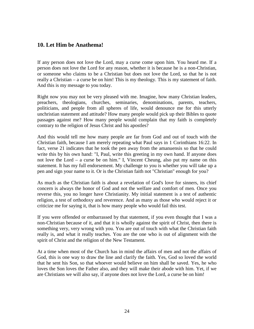## **10. Let Him be Anathema!**

If any person does not love the Lord, may a curse come upon him. You heard me. If a person does not love the Lord for any reason, whether it is because he is a non-Christian, or someone who claims to be a Christian but does not love the Lord, so that he is not really a Christian – a curse be on him! This is my theology. This is my statement of faith. And this is my message to you today.

Right now you may not be very pleased with me. Imagine, how many Christian leaders, preachers, theologians, churches, seminaries, denominations, parents, teachers, politicians, and people from all spheres of life, would denounce me for this utterly unchristian statement and attitude? How many people would pick up their Bibles to quote passages against me? How many people would complain that my faith is completely contrary to the religion of Jesus Christ and his apostles?

And this would tell me how many people are far from God and out of touch with the Christian faith, because I am merely repeating what Paul says in 1 Corinthians 16:22. In fact, verse 21 indicates that he took the pen away from the amanuensis so that he could write this by his own hand: "I, Paul, write this greeting in my own hand. If anyone does not love the Lord – a curse be on him." I, Vincent Cheung, also put my name on this statement. It has my full endorsement. My challenge to you is whether you will take up a pen and sign your name to it. Or is the Christian faith not "Christian" enough for you?

As much as the Christian faith is about a revelation of God's love for sinners, its chief concern is always the honor of God and not the welfare and comfort of men. Once you reverse this, you no longer have Christianity. My initial statement is a test of authentic religion, a test of orthodoxy and reverence. And as many as those who would reject it or criticize me for saying it, that is how many people who would fail this test.

If you were offended or embarrassed by that statement, if you even thought that I was a non-Christian because of it, and that it is wholly against the spirit of Christ, then there is something very, very wrong with you. You are out of touch with what the Christian faith really is, and what it really teaches. You are the one who is out of alignment with the spirit of Christ and the religion of the New Testament.

At a time when most of the Church has in mind the affairs of men and not the affairs of God, this is one way to draw the line and clarify the faith. Yes, God so loved the world that he sent his Son, so that whoever would believe on him shall be saved. Yes, he who loves the Son loves the Father also, and they will make their abode with him. Yet, if we are Christians we will also say, if anyone does not love the Lord, a curse be on him!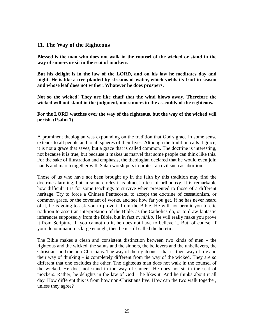#### **11. The Way of the Righteous**

**Blessed is the man who does not walk in the counsel of the wicked or stand in the way of sinners or sit in the seat of mockers.**

**But his delight is in the law of the LORD, and on his law he meditates day and night. He is like a tree planted by streams of water, which yields its fruit in season and whose leaf does not wither. Whatever he does prospers.**

**Not so the wicked! They are like chaff that the wind blows away. Therefore the wicked will not stand in the judgment, nor sinners in the assembly of the righteous.**

**For the LORD watches over the way of the righteous, but the way of the wicked will perish. (Psalm 1)**

A prominent theologian was expounding on the tradition that God's grace in some sense extends to all people and to all spheres of their lives. Although the tradition calls it grace, it is not a grace that saves, but a grace that is called common. The doctrine is interesting, not because it is true, but because it makes us marvel that some people can think like this. For the sake of illustration and emphasis, the theologian declared that he would even join hands and march together with Satan worshipers to protest an evil such as abortion.

Those of us who have not been brought up in the faith by this tradition may find the doctrine alarming, but in some circles it is almost a test of orthodoxy. It is remarkable how difficult it is for some teachings to survive when presented to those of a different heritage. Try to force a Chinese Pentecostal to accept the doctrine of cessationism, or common grace, or the covenant of works, and see how far you get. If he has never heard of it, he is going to ask you to prove it from the Bible. He will not permit you to cite tradition to assert an interpretation of the Bible, as the Catholics do, or to draw fantastic inferences supposedly from the Bible, but in fact *ex nihilo*. He will really make you prove it from Scripture. If you cannot do it, he does not have to believe it. But, of course, if your denomination is large enough, then he is still called the heretic.

The Bible makes a clean and consistent distinction between two kinds of men – the righteous and the wicked, the saints and the sinners, the believers and the unbelievers, the Christians and the non-Christians. The way of the righteous – that is, their way of life and their way of thinking – is completely different from the way of the wicked. They are so different that one excludes the other. The righteous man does not walk in the counsel of the wicked. He does not stand in the way of sinners. He does not sit in the seat of mockers. Rather, he delights in the law of God – he likes it. And he thinks about it all day. How different this is from how non-Christians live. How can the two walk together, unless they agree?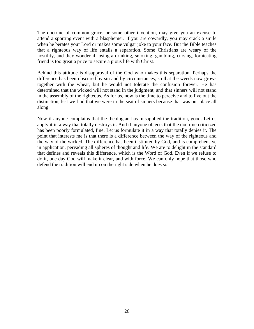The doctrine of common grace, or some other invention, may give you an excuse to attend a sporting event with a blasphemer. If you are cowardly, you may crack a smile when he berates your Lord or makes some vulgar joke to your face. But the Bible teaches that a righteous way of life entails a separation. Some Christians are weary of the hostility, and they wonder if losing a drinking, smoking, gambling, cursing, fornicating friend is too great a price to secure a pious life with Christ.

Behind this attitude is disapproval of the God who makes this separation. Perhaps the difference has been obscured by sin and by circumstances, so that the weeds now grows together with the wheat, but he would not tolerate the confusion forever. He has determined that the wicked will not stand in the judgment, and that sinners will not stand in the assembly of the righteous. As for us, now is the time to perceive and to live out the distinction, lest we find that we were in the seat of sinners because that was our place all along.

Now if anyone complains that the theologian has misapplied the tradition, good. Let us apply it in a way that totally destroys it. And if anyone objects that the doctrine criticized has been poorly formulated, fine. Let us formulate it in a way that totally denies it. The point that interests me is that there is a difference between the way of the righteous and the way of the wicked. The difference has been instituted by God, and is comprehensive in application, pervading all spheres of thought and life. We are to delight in the standard that defines and reveals this difference, which is the Word of God. Even if we refuse to do it, one day God will make it clear, and with force. We can only hope that those who defend the tradition will end up on the right side when he does so.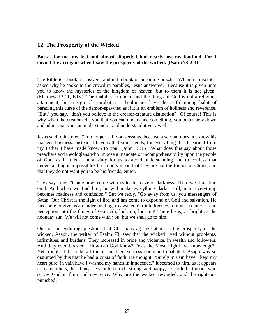# **12. The Prosperity of the Wicked**

**But as for me, my feet had almost slipped; I had nearly lost my foothold. For I envied the arrogant when I saw the prosperity of the wicked. (Psalm 73:2-3)**

The Bible is a book of answers, and not a book of unending puzzles. When his disciples asked why he spoke to the crowd in parables, Jesus answered, "Because it is given unto you to know the mysteries of the kingdom of heaven, but to them it is not given" (Matthew 13:11, KJV). The inability to understand the things of God is not a religious attainment, but a sign of reprobation. Theologians have the self-damning habit of parading this curse of the demon-spawned as if it is an emblem of holiness and reverence. "But," you say, "don't you believe in the creator-creature distinction?" Of course! This is why when the creator tells you that you can understand something, you better bow down and admit that you can understand it, and understand it very well.

Jesus said to his men, "I no longer call you servants, because a servant does not know his master's business. Instead, I have called you friends, for everything that I learned from my Father I have made known to you" (John 15:15). What does this say about those preachers and theologians who impose a mandate of incomprehensibility upon the people of God, as if it is a moral duty for us to avoid understanding and to confess that understanding is impossible? It can only mean that they are not the friends of Christ, and that they do not want you to be his friends, either.

They say to us, "Come now, come with us to this cave of darkness. There we shall find God. And when we find him, he will make everything darker still, until everything becomes madness and confusion." But we reply, "Go away from us, you messengers of Satan! Our Christ is the light of life, and has come to expound on God and salvation. He has come to give us an understanding, to awaken our intelligence, to grant us interest and perception into the things of God. Ah, look up, look up! There he is, as bright as the noonday sun. We will not come with you, but we shall go to him."

One of the enduring questions that Christians agonize about is the prosperity of the wicked. Asaph, the writer of Psalm 73, saw that the wicked lived without problems, infirmities, and burdens. They increased in pride and violence, in wealth and followers. And they even boasted, "How can God know? Does the Most High have knowledge?" Yet trouble did not befall them, and their success continued unabated. Asaph was so disturbed by this that he had a crisis of faith. He thought, "Surely in vain have I kept my heart pure; in vain have I washed my hands in innocence." It seemed to him, as it appears to many others, that if anyone should be rich, strong, and happy, it should be the one who serves God in faith and reverence. Why are the wicked rewarded, and the righteous punished?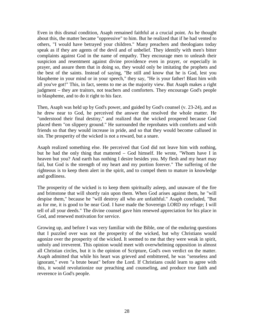Even in this dismal condition, Asaph remained faithful at a crucial point. As he thought about this, the matter became "oppressive" to him. But he realized that if he had vented to others, "I would have betrayed your children." Many preachers and theologians today speak as if they are agents of the devil and of unbelief. They identify with men's bitter complaints against God in the name of empathy. They encourage men to unleash their suspicion and resentment against divine providence even in prayer, or especially in prayer, and assure them that in doing so, they would only be imitating the prophets and the best of the saints. Instead of saying, "Be still and know that he is God, lest you blaspheme in your mind or in your speech," they say, "He is your father! Blast him with all you've got!" This, in fact, seems to me as the majority view. But Asaph makes a right judgment – they are traitors, not teachers and comforters. They encourage God's people to blaspheme, and to do it right to his face.

Then, Asaph was held up by God's power, and guided by God's counsel (v. 23-24), and as he drew near to God, he perceived the answer that resolved the whole matter. He "understood their final destiny," and realized that the wicked prospered because God placed them "on slippery ground." He surrounded the reprobates with comforts and with friends so that they would increase in pride, and so that they would become callused in sin. The prosperity of the wicked is not a reward, but a snare.

Asaph realized something else. He perceived that God did not leave him with nothing, but he had the only thing that mattered – God himself. He wrote, "Whom have I in heaven but you? And earth has nothing I desire besides you. My flesh and my heart may fail, but God is the strength of my heart and my portion forever." The suffering of the righteous is to keep them alert in the spirit, and to compel them to mature in knowledge and godliness.

The prosperity of the wicked is to keep them spiritually asleep, and unaware of the fire and brimstone that will shortly rain upon them. When God arises against them, he "will despise them," because he "will destroy all who are unfaithful." Asaph concluded, "But as for me, it is good to be near God. I have made the Sovereign LORD my refuge; I will tell of all your deeds." The divine counsel gave him renewed appreciation for his place in God, and renewed motivation for service.

Growing up, and before I was very familiar with the Bible, one of the enduring questions that I puzzled over was not the prosperity of the wicked, but why Christians would agonize over the prosperity of the wicked. It seemed to me that they were weak in spirit, unholy and irreverent. This opinion would meet with overwhelming opposition in almost all Christian circles, but it is the opinion of Scripture, God's own verdict on the matter. Asaph admitted that while his heart was grieved and embittered, he was "senseless and ignorant," even "a brute beast" before the Lord. If Christians could learn to agree with this, it would revolutionize our preaching and counseling, and produce true faith and reverence in God's people.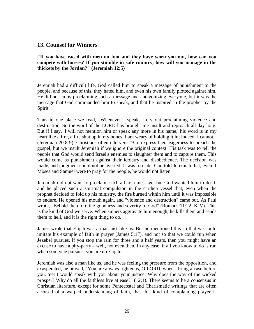#### **13. Counsel for Winners**

**"If you have raced with men on foot and they have worn you out, how can you compete with horses? If you stumble in safe country, how will you manage in the thickets by the Jordan?" (Jeremiah 12:5)**

Jeremiah had a difficult life. God called him to speak a message of punishment to the people, and because of this, they hated him, and even his own family plotted against him. He did not enjoy proclaiming such a message and antagonizing everyone, but it was the message that God commanded him to speak, and that he inspired in the prophet by the Spirit.

Thus in one place we read, "Whenever I speak, I cry out proclaiming violence and destruction. So the word of the LORD has brought me insult and reproach all day long. But if I say, 'I will not mention him or speak any more in his name,' his word is in my heart like a fire, a fire shut up in my bones. I am weary of holding it in; indeed, I cannot." (Jeremiah 20:8-9). Christians often cite verse 9 to express their eagerness to preach the gospel, but we insult Jeremiah if we ignore the original context. His task was to tell the people that God would send Israel's enemies to slaughter them and to capture them. This would come as punishment against their idolatry and disobedience. The decision was made, and judgment could not be averted. It was too late. God told Jeremiah that, even if Moses and Samuel were to pray for the people, he would not listen.

Jeremiah did not want to proclaim such a harsh message, but God wanted him to do it, and he placed such a spiritual compulsion in the earthen vessel that, even when the prophet decided to fold up his ministry, the fire burned within him until it was impossible to endure. He opened his mouth again, and "violence and destruction" came out. As Paul wrote, "Behold therefore the goodness and severity of God" (Romans 11:22, KJV). This is the kind of God we serve. When sinners aggravate him enough, he kills them and sends them to hell, and it is the right thing to do.

James wrote that Elijah was a man just like us. But he mentioned this so that we could imitate his example of faith in prayer (James 5:17), and not so that we could run when Jezebel pursues. If you stop the rain for three and a half years, then you might have an excuse to have a pity-party – well, not even then. In any case, if all you know to do is run when someone pursues, you are no Elijah.

Jeremiah was also a man like us, and he was feeling the pressure from the opposition, and exasperated, he prayed, "You are always righteous, O LORD, when I bring a case before you. Yet I would speak with you about your justice: Why does the way of the wicked prosper? Why do all the faithless live at ease?" (12:1). There seems to be a consensus in Christian literature, except for some Pentecostal and Charismatic writings that are often accused of a warped understanding of faith, that this kind of complaining prayer is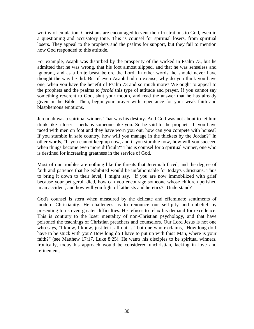worthy of emulation. Christians are encouraged to vent their frustrations to God, even in a questioning and accusatory tone. This is counsel for spiritual losers, from spiritual losers. They appeal to the prophets and the psalms for support, but they fail to mention how God responded to this attitude.

For example, Asaph was disturbed by the prosperity of the wicked in Psalm 73, but he admitted that he was wrong, that his foot almost slipped, and that he was senseless and ignorant, and as a brute beast before the Lord. In other words, he should never have thought the way he did. But if even Asaph had no excuse, why do you think you have one, when you have the benefit of Psalm 73 and so much more? We ought to appeal to the prophets and the psalms to *forbid* this type of attitude and prayer. If you cannot say something reverent to God, shut your mouth, and read the answer that he has already given in the Bible. Then, begin your prayer with repentance for your weak faith and blasphemous emotions.

Jeremiah was a spiritual winner. That was his destiny. And God was not about to let him think like a loser – perhaps someone like you. So he said to the prophet, "If you have raced with men on foot and they have worn you out, how can you compete with horses? If you stumble in safe country, how will you manage in the thickets by the Jordan?" In other words, "If you cannot keep up now, and if you stumble now, how will you succeed when things become even more difficult?" This is counsel for a spiritual winner, one who is destined for increasing greatness in the service of God.

Most of our troubles are nothing like the threats that Jeremiah faced, and the degree of faith and patience that he exhibited would be unfathomable for today's Christians. Thus to bring it down to their level, I might say, "If you are now immobilized with grief because your pet gerbil died, how can you encourage someone whose children perished in an accident, and how will you fight off atheists and heretics?" Understand?

God's counsel is stern when measured by the delicate and effeminate sentiments of modern Christianity. He challenges us to renounce our self-pity and unbelief by presenting to us even greater difficulties. He refuses to relax his demand for excellence. This is contrary to the loser mentality of non-Christian psychology, and that have poisoned the teachings of Christian preachers and counselors. Our Lord Jesus is not one who says, "I know, I know, just let it all out…," but one who exclaims, "How long do I have to be stuck with you? How long do I have to put up with this? Man, where is your faith?" (see Matthew 17:17, Luke 8:25). He wants his disciples to be spiritual winners. Ironically, today his approach would be considered unchristian, lacking in love and refinement.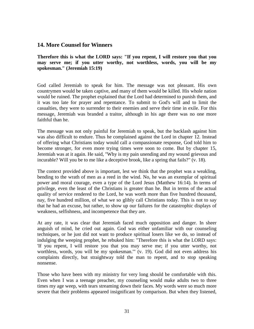## **14. More Counsel for Winners**

**Therefore this is what the LORD says: "If you repent, I will restore you that you may serve me; if you utter worthy, not worthless, words, you will be my spokesman." (Jeremiah 15:19)**

God called Jeremiah to speak for him. The message was not pleasant. His own countrymen would be taken captive, and many of them would be killed. His whole nation would be ruined. The prophet explained that the Lord had determined to punish them, and it was too late for prayer and repentance. To submit to God's will and to limit the casualties, they were to surrender to their enemies and serve their time in exile. For this message, Jeremiah was branded a traitor, although in his age there was no one more faithful than he.

The message was not only painful for Jeremiah to speak, but the backlash against him was also difficult to endure. Thus he complained against the Lord in chapter 12. Instead of offering what Christians today would call a compassionate response, God told him to become stronger, for even more trying times were soon to come. But by chapter 15, Jeremiah was at it again. He said, "Why is my pain unending and my wound grievous and incurable? Will you be to me like a deceptive brook, like a spring that fails?" (v. 18).

The context provided above is important, lest we think that the prophet was a weakling, bending to the wrath of men as a reed in the wind. No, he was an exemplar of spiritual power and moral courage, even a type of the Lord Jesus (Matthew 16:14). In terms of privilege, even the least of the Christians is greater than he. But in terms of the actual quality of service rendered to the Lord, he was worth more than five hundred thousand, nay, five hundred million, of what we so glibly call Christians today. This is not to say that he had an excuse, but rather, to show up our failures for the catastrophic displays of weakness, selfishness, and incompetence that they are.

At any rate, it was clear that Jeremiah faced much opposition and danger. In sheer anguish of mind, he cried out again. God was either unfamiliar with our counseling techniques, or he just did not want to produce spiritual losers like we do, so instead of indulging the weeping prophet, he rebuked him: "Therefore this is what the LORD says: 'If you repent, I will restore you that you may serve me; if you utter worthy, not worthless, words, you will be my spokesman.'" (v. 19). God did not even address his complaints directly, but straightway told the man to repent, and to stop speaking nonsense.

Those who have been with my ministry for very long should be comfortable with this. Even when I was a teenage preacher, my counseling would make adults two to three times my age weep, with tears streaming down their faces. My words were so much more severe that their problems appeared insignificant by comparison. But when they listened,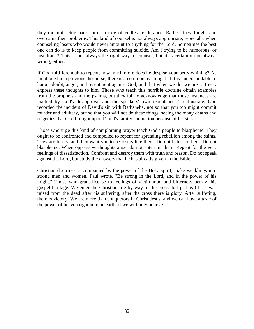they did not settle back into a mode of endless endurance. Rather, they fought and overcame their problems. This kind of counsel is not always appropriate, especially when counseling losers who would never amount to anything for the Lord. Sometimes the best one can do is to keep people from committing suicide. Am I trying to be humorous, or just frank? This is not always the right way to counsel, but it is certainly not always wrong, either.

If God told Jeremiah to repent, how much more does he despise your petty whining? As mentioned in a previous discourse, there is a common teaching that it is understandable to harbor doubt, anger, and resentment against God, and that when we do, we are to freely express these thoughts to him. Those who teach this horrible doctrine obtain examples from the prophets and the psalms, but they fail to acknowledge that those instances are marked by God's disapproval and the speakers' own repentance. To illustrate, God recorded the incident of David's sin with Bathsheba, not so that you too might commit murder and adultery, but so that you will not do these things, seeing the many deaths and tragedies that God brought upon David's family and nation because of his sins.

Those who urge this kind of complaining prayer teach God's people to blaspheme. They ought to be confronted and compelled to repent for spreading rebellion among the saints. They are losers, and they want you to be losers like them. Do not listen to them. Do not blaspheme. When oppressive thoughts arise, do not entertain them. Repent for the very feelings of dissatisfaction. Confront and destroy them with truth and reason. Do not speak against the Lord, but study the answers that he has already given in the Bible.

Christian doctrines, accompanied by the power of the Holy Spirit, make weaklings into strong men and women. Paul wrote, "Be strong in the Lord, and in the power of his might." Those who grant license to feelings of victimhood and bitterness betray this gospel heritage. We enter the Christian life by way of the cross, but just as Christ was raised from the dead after his suffering, after the cross there is glory. After suffering, there is victory. We are more than conquerors in Christ Jesus, and we can have a taste of the power of heaven right here on earth, if we will only believe.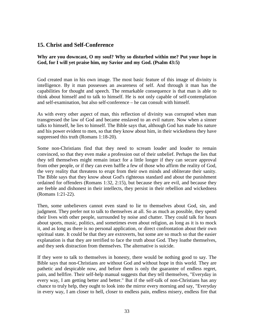# **15. Christ and Self-Conference**

#### **Why are you downcast, O my soul? Why so disturbed within me? Put your hope in God, for I will yet praise him, my Savior and my God. (Psalm 43:5)**

God created man in his own image. The most basic feature of this image of divinity is intelligence. By it man possesses an awareness of self. And through it man has the capabilities for thought and speech. The remarkable consequence is that man is able to think about himself and to talk to himself. He is not only capable of self-contemplation and self-examination, but also self-conference – he can consult with himself.

As with every other aspect of man, this reflection of divinity was corrupted when man transgressed the law of God and became enslaved to an evil nature. Now when a sinner talks to himself, he lies to himself. The Bible says that, although God has made his nature and his power evident to men, so that they know about him, in their wickedness they have suppressed this truth (Romans 1:18-20).

Some non-Christians find that they need to scream louder and louder to remain convinced, so that they even make a profession out of their unbelief. Perhaps the lies that they tell themselves might remain intact for a little longer if they can secure approval from other people, or if they can even baffle a few of those who affirm the reality of God, the very reality that threatens to erupt from their own minds and obliterate their sanity. The Bible says that they know about God's righteous standard and about the punishment ordained for offenders (Romans 1:32, 2:15), but because they are evil, and because they are feeble and dishonest in their intellects, they persist in their rebellion and wickedness (Romans 1:21-22).

Then, some unbelievers cannot even stand to lie to themselves about God, sin, and judgment. They prefer not to talk to themselves at all. So as much as possible, they spend their lives with other people, surrounded by noise and chatter. They could talk for hours about sports, music, politics, and sometimes even about religion, as long as it is to mock it, and as long as there is no personal application, or direct confrontation about their own spiritual state. It could be that they are extroverts, but some are so much so that the easier explanation is that they are terrified to face the truth about God. They loathe themselves, and they seek distraction from themselves. The alternative is suicide.

If they were to talk to themselves in honesty, there would be nothing good to say. The Bible says that non-Christians are without God and without hope in this world. They are pathetic and despicable now, and before them is only the guarantee of endless regret, pain, and hellfire. Their self-help manual suggests that they tell themselves, "Everyday in every way, I am getting better and better." But if the self-talk of non-Christians has any chance to truly help, they ought to look into the mirror every morning and say, "Everyday in every way, I am closer to hell, closer to endless pain, endless misery, endless fire that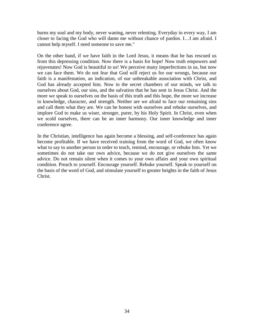burns my soul and my body, never waning, never relenting. Everyday in every way, I am closer to facing the God who will damn me without chance of pardon. I…I am afraid. I cannot help myself. I need someone to save me."

On the other hand, if we have faith in the Lord Jesus, it means that he has rescued us from this depressing condition. Now there is a basis for hope! Now truth empowers and rejuvenates! Now God is beautiful to us! We perceive many imperfections in us, but now we can face them. We do not fear that God will reject us for our wrongs, because our faith is a manifestation, an indication, of our unbreakable association with Christ, and God has already accepted him. Now in the secret chambers of our minds, we talk to ourselves about God, our sins, and the salvation that he has sent in Jesus Christ. And the more we speak to ourselves on the basis of this truth and this hope, the more we increase in knowledge, character, and strength. Neither are we afraid to face our remaining sins and call them what they are. We can be honest with ourselves and rebuke ourselves, and implore God to make us wiser, stronger, purer, by his Holy Spirit. In Christ, even when we scold ourselves, there can be an inner harmony. Our inner knowledge and inner conference agree.

In the Christian, intelligence has again become a blessing, and self-conference has again become profitable. If we have received training from the word of God, we often know what to say to another person in order to teach, remind, encourage, or rebuke him. Yet we sometimes do not take our own advice, because we do not give ourselves the same advice. Do not remain silent when it comes to your own affairs and your own spiritual condition. Preach to yourself. Encourage yourself. Rebuke yourself. Speak to yourself on the basis of the word of God, and stimulate yourself to greater heights in the faith of Jesus Christ.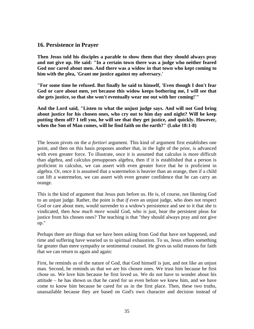# **16. Persistence in Prayer**

**Then Jesus told his disciples a parable to show them that they should always pray and not give up. He said: "In a certain town there was a judge who neither feared God nor cared about men. And there was a widow in that town who kept coming to him with the plea, 'Grant me justice against my adversary.'**

**"For some time he refused. But finally he said to himself, 'Even though I don't fear God or care about men, yet because this widow keeps bothering me, I will see that she gets justice, so that she won't eventually wear me out with her coming!'"**

**And the Lord said, "Listen to what the unjust judge says. And will not God bring about justice for his chosen ones, who cry out to him day and night? Will he keep putting them off? I tell you, he will see that they get justice, and quickly. However, when the Son of Man comes, will he find faith on the earth?" (Luke 18:1-8)**

The lesson pivots on the *a fortiori* argument. This kind of argument first establishes one point, and then on this basis proposes another that, in the light of the prior, is advanced with even greater force. To illustrate, once it is assumed that calculus is more difficult than algebra, and calculus presupposes algebra, then if it is established that a person is proficient in calculus, we can assert with even greater force that he is proficient in algebra. Or, once it is assumed that a watermelon is heavier than an orange, then if a child can lift a watermelon, we can assert with even greater confidence that he can carry an orange.

This is the kind of argument that Jesus puts before us. He is, of course, not likening God to an unjust judge. Rather, the point is that *if even* an unjust judge, who does not respect God or care about men, would surrender to a widow's persistence and see to it that she is vindicated, then *how much more* would God, who is just, hear the persistent pleas for justice from his chosen ones? The teaching is that "they should always pray and not give up."

Perhaps there are things that we have been asking from God that have not happened, and time and suffering have wearied us to spiritual exhaustion. To us, Jesus offers something far greater than mere sympathy or sentimental counsel. He gives us solid reasons for faith that we can return to again and again:

First, he reminds us of the nature of God, that God himself is just, and not like an unjust man. Second, he reminds us that we are his chosen ones. We trust him because he first chose us. We love him because he first loved us. We do not have to wonder about his attitude – he has shown us that he cared for us even before we knew him, and we have come to know him because he cared for us in the first place. Then, these two truths, unassailable because they are based on God's own character and decision instead of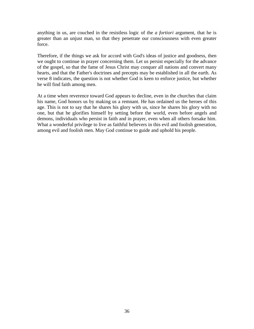anything in us, are couched in the resistless logic of the *a fortiori* argument, that he is greater than an unjust man, so that they penetrate our consciousness with even greater force.

Therefore, if the things we ask for accord with God's ideas of justice and goodness, then we ought to continue in prayer concerning them. Let us persist especially for the advance of the gospel, so that the fame of Jesus Christ may conquer all nations and convert many hearts, and that the Father's doctrines and precepts may be established in all the earth. As verse 8 indicates, the question is not whether God is keen to enforce justice, but whether he will find faith among men.

At a time when reverence toward God appears to decline, even in the churches that claim his name, God honors us by making us a remnant. He has ordained us the heroes of this age. This is not to say that he shares his glory with us, since he shares his glory with no one, but that he glorifies himself by setting before the world, even before angels and demons, individuals who persist in faith and in prayer, even when all others forsake him. What a wonderful privilege to live as faithful believers in this evil and foolish generation, among evil and foolish men. May God continue to guide and uphold his people.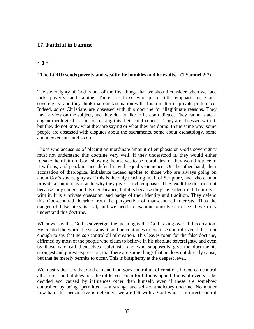# **17. Faithful in Famine**

### $\sim$  1  $\sim$

#### **"The LORD sends poverty and wealth; he humbles and he exalts." (1 Samuel 2:7)**

The sovereignty of God is one of the first things that we should consider when we face lack, poverty, and famine. There are those who place little emphasis on God's sovereignty, and they think that our fascination with it is a matter of private preference. Indeed, some Christians are obsessed with this doctrine for illegitimate reasons. They have a view on the subject, and they do not like to be contradicted. They cannot state a cogent theological reason for making this their chief concern. They are obsessed with it, but they do not know what they are saying or what they are doing. In the same way, some people are obsessed with disputes about the sacraments, some about eschatology, some about covenants, and so on.

Those who accuse us of placing an inordinate amount of emphasis on God's sovereignty must not understand this doctrine very well. If they understood it, they would either forsake their faith in God, showing themselves to be reprobates, or they would rejoice in it with us, and proclaim and defend it with equal vehemence. On the other hand, their accusation of theological imbalance indeed applies to those who are always going on about God's sovereignty as if this is the only teaching in all of Scripture, and who cannot provide a sound reason as to why they give it such emphasis. They exalt the doctrine not because they understand its significance, but it is because they have identified themselves with it. It is a private obsession, and badge of their identity and tradition. They defend this God-centered doctrine from the perspective of man-centered interests. Thus the danger of false piety is real, and we need to examine ourselves, to see if we truly understand this doctrine.

When we say that God is sovereign, the meaning is that God is king over all his creation. He created the world, he sustains it, and he continues to exercise control over it. It is not enough to say that he *can* control all of creation. This leaves room for the false doctrine, affirmed by most of the people who claim to believe in his absolute sovereignty, and even by those who call themselves Calvinists, and who supposedly give the doctrine its strongest and purest expression, that there are some things that he does not directly cause, but that he merely permits to occur. This is blasphemy at the deepest level.

We must rather say that God can and God *does* control all of creation. If God can control all of creation but does not, then it leaves room for billions upon billions of events to be decided and caused by influences other than himself, even if these are somehow controlled by being "permitted" – a strange and self-contradictory doctrine. No matter how hard this perspective is defended, we are left with a God who is in direct control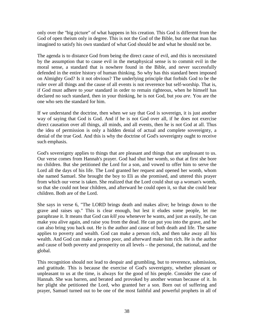only over the "big picture" of what happens in his creation. This God is different from the God of open theism only in degree. This is not the God of the Bible, but one that man has imagined to satisfy his own standard of what God should be and what he should not be.

The agenda is to distance God from being the direct cause of evil, and this is necessitated by the assumption that to cause evil in the metaphysical sense is to commit evil in the moral sense, a standard that is nowhere found in the Bible, and never successfully defended in the entire history of human thinking. So why has this standard been imposed on Almighty God? Is it not obvious? The underlying principle that forbids God to be the ruler over all things and the cause of all events is not reverence but self-worship. That is, if God must adhere to *your* standard in order to remain righteous, when he himself has declared no such standard, then in your thinking, he is not God, but *you are*. You are the one who sets the standard for him.

If we understand the doctrine, then when we say that God is sovereign, it is just another way of saying that God is God. And if he is not God over all, if he does not exercise direct causation over all things, all minds, and all events, then he is not God at all. Thus the idea of permission is only a hidden denial of actual and complete sovereignty, a denial of the true God. And this is why the doctrine of God's sovereignty ought to receive such emphasis.

God's sovereignty applies to things that are pleasant and things that are unpleasant to us. Our verse comes from Hannah's prayer. God had shut her womb, so that at first she bore no children. But she petitioned the Lord for a son, and vowed to offer him to serve the Lord all the days of his life. The Lord granted her request and opened her womb, whom she named Samuel. She brought the boy to Eli as she promised, and uttered this prayer from which our verse is taken. She realized that the Lord could shut up a woman's womb, so that she could not bear children, and afterward he could open it, so that she could bear children. Both are of the Lord.

She says in verse 6, "The LORD brings death and makes alive; he brings down to the grave and raises up." This is clear enough, but lest it eludes some people, let me paraphrase it. It means that God can *kill you* whenever he wants, and just as easily, he can make you alive again, and raise you from the dead. He can put you into the grave, and he can also bring you back out. He is the author and cause of both death and life. The same applies to poverty and wealth. God can make a person rich, and then take away all his wealth. And God can make a person poor, and afterward make him rich. He is the author and cause of both poverty and prosperity on all levels – the personal, the national, and the global.

This recognition should not lead to despair and grumbling, but to reverence, submission, and gratitude. This is because the exercise of God's sovereignty, whether pleasant or unpleasant to us at the time, is always for the good of his people. Consider the case of Hannah. She was barren, and berated and provoked by another woman because of it. In her plight she petitioned the Lord, who granted her a son. Born out of suffering and prayer, Samuel turned out to be one of the most faithful and powerful prophets in all of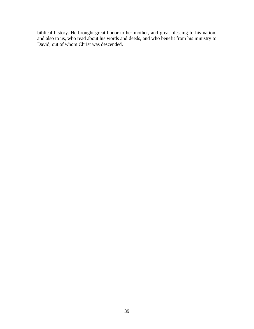biblical history. He brought great honor to her mother, and great blessing to his nation, and also to us, who read about his words and deeds, and who benefit from his ministry to David, out of whom Christ was descended.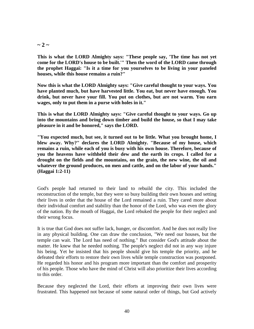$\sim$  2  $\sim$ 

**This is what the LORD Almighty says: "These people say, 'The time has not yet come for the LORD's house to be built.'" Then the word of the LORD came through the prophet Haggai: "Is it a time for you yourselves to be living in your paneled houses, while this house remains a ruin?"**

**Now this is what the LORD Almighty says: "Give careful thought to your ways. You have planted much, but have harvested little. You eat, but never have enough. You drink, but never have your fill. You put on clothes, but are not warm. You earn wages, only to put them in a purse with holes in it."**

**This is what the LORD Almighty says: "Give careful thought to your ways. Go up into the mountains and bring down timber and build the house, so that I may take pleasure in it and be honored," says the LORD.**

**"You expected much, but see, it turned out to be little. What you brought home, I blew away. Why?" declares the LORD Almighty. "Because of my house, which remains a ruin, while each of you is busy with his own house. Therefore, because of you the heavens have withheld their dew and the earth its crops. I called for a drought on the fields and the mountains, on the grain, the new wine, the oil and whatever the ground produces, on men and cattle, and on the labor of your hands." (Haggai 1:2-11)**

God's people had returned to their land to rebuild the city. This included the reconstruction of the temple, but they were so busy building their own houses and setting their lives in order that the house of the Lord remained a ruin. They cared more about their individual comfort and stability than the honor of the Lord, who was even the glory of the nation. By the mouth of Haggai, the Lord rebuked the people for their neglect and their wrong focus.

It is true that God does not suffer lack, hunger, or discomfort. And he does not really live in any physical building. One can draw the conclusion, "We need our houses, but the temple can wait. The Lord has need of nothing." But consider God's attitude about the matter. He knew that he needed nothing. The people's neglect did not in any way injure his being. Yet he insisted that his people should give his temple the priority, and he defeated their efforts to restore their own lives while temple construction was postponed. He regarded his honor and his program more important than the comfort and prosperity of his people. Those who have the mind of Christ will also prioritize their lives according to this order.

Because they neglected the Lord, their efforts at improving their own lives were frustrated. This happened not because of some natural order of things, but God actively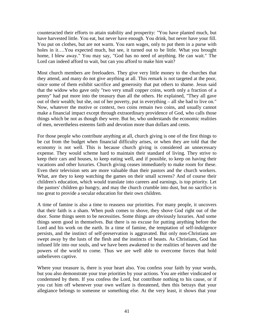counteracted their efforts to attain stability and prosperity: "You have planted much, but have harvested little. You eat, but never have enough. You drink, but never have your fill. You put on clothes, but are not warm. You earn wages, only to put them in a purse with holes in it….You expected much, but see, it turned out to be little. What you brought home, I blew away." You may say, "God has no need of anything. He can wait." The Lord can indeed afford to wait, but can you afford to make him wait?

Most church members are freeloaders. They give very little money to the churches that they attend, and many do not give anything at all. This remark is not targeted at the poor, since some of them exhibit sacrifice and generosity that put others to shame. Jesus said that the widow who gave only "two very small copper coins, worth only a fraction of a penny" had put more into the treasury than all the others. He explained, "They all gave out of their wealth; but she, out of her poverty, put in everything – all she had to live on." Now, whatever the motive or context, two coins remain two coins, and usually cannot make a financial impact except through extraordinary providence of God, who calls those things which be not as though they were. But he, who understands the economic realities of men, nevertheless esteems faith and devotion more than dollars and cents.

For those people who contribute anything at all, church giving is one of the first things to be cut from the budget when financial difficulty arises, or when they are told that the economy is not well. This is because church giving is considered an unnecessary expense. They would scheme hard to maintain their standard of living. They strive to keep their cars and houses, to keep eating well, and if possible, to keep on having their vacations and other luxuries. Church giving ceases immediately to make room for these. Even their television sets are more valuable than their pastors and the church workers. What, are they to keep watching the games on their small screens? And of course their children's education, which would translate into careers and earnings, is top priority. Let the pastors' children go hungry, and may the church crumble into dust, but no sacrifice is too great to provide a secular education for their own children.

A time of famine is also a time to reassess our priorities. For many people, it uncovers that their faith is a sham. When push comes to shove, they shove God right out of the door. Some things seem to be necessities. Some things are obviously luxuries. And some things seem good in themselves. But there is no excuse for putting anything before the Lord and his work on the earth. In a time of famine, the temptation of self-indulgence persists, and the instinct of self-preservation is aggravated. But only non-Christians are swept away by the lusts of the flesh and the instincts of beasts. As Christians, God has infused life into our souls, and we have been awakened to the realities of heaven and the powers of the world to come. Thus we are well able to overcome forces that hold unbelievers captive.

Where your treasure is, there is your heart also. You confess your faith by your words, but you also demonstrate your true priorities by your actions. You are either vindicated or condemned by them. If you confess the Lord, but contribute nothing to his cause, or if you cut him off whenever your own welfare is threatened, then this betrays that your allegiance belongs to someone or something else. At the very least, it shows that your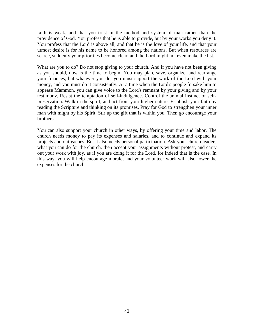faith is weak, and that you trust in the method and system of man rather than the providence of God. You profess that he is able to provide, but by your works you deny it. You profess that the Lord is above all, and that he is the love of your life, and that your utmost desire is for his name to be honored among the nations. But when resources are scarce, suddenly your priorities become clear, and the Lord might not even make the list.

What are you to do? Do not stop giving to your church. And if you have not been giving as you should, now is the time to begin. You may plan, save, organize, and rearrange your finances, but whatever you do, you must support the work of the Lord with your money, and you must do it consistently. At a time when the Lord's people forsake him to appease Mammon, you can give voice to the Lord's remnant by your giving and by your testimony. Resist the temptation of self-indulgence. Control the animal instinct of selfpreservation. Walk in the spirit, and act from your higher nature. Establish your faith by reading the Scripture and thinking on its promises. Pray for God to strengthen your inner man with might by his Spirit. Stir up the gift that is within you. Then go encourage your brothers.

You can also support your church in other ways, by offering your time and labor. The church needs money to pay its expenses and salaries, and to continue and expand its projects and outreaches. But it also needs personal participation. Ask your church leaders what you can do for the church, then accept your assignments without protest, and carry out your work with joy, as if you are doing it for the Lord, for indeed that is the case. In this way, you will help encourage morale, and your volunteer work will also lower the expenses for the church.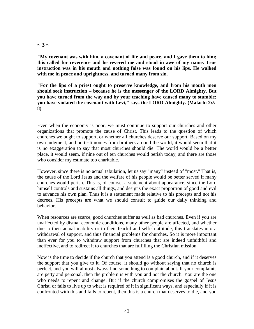### $\sim$  3  $\sim$

**"My covenant was with him, a covenant of life and peace, and I gave them to him; this called for reverence and he revered me and stood in awe of my name. True instruction was in his mouth and nothing false was found on his lips. He walked with me in peace and uprightness, and turned many from sin.**

**"For the lips of a priest ought to preserve knowledge, and from his mouth men should seek instruction – because he is the messenger of the LORD Almighty. But you have turned from the way and by your teaching have caused many to stumble; you have violated the covenant with Levi," says the LORD Almighty. (Malachi 2:5- 8)**

Even when the economy is poor, we must continue to support our churches and other organizations that promote the cause of Christ. This leads to the question of which churches we ought to support, or whether all churches deserve our support. Based on my own judgment, and on testimonies from brothers around the world, it would seem that it is no exaggeration to say that most churches should die. The world would be a better place, it would seem, if nine out of ten churches would perish today, and there are those who consider my estimate too charitable.

However, since there is no actual tabulation, let us say "many" instead of "most." That is, the cause of the Lord Jesus and the welfare of his people would be better served if many churches would perish. This is, of course, a statement about appearance, since the Lord himself controls and sustains all things, and designs the exact proportion of good and evil to advance his own plan. Thus it is a statement made relative to his precepts and not his decrees. His precepts are what we should consult to guide our daily thinking and behavior.

When resources are scarce, good churches suffer as well as bad churches. Even if you are unaffected by dismal economic conditions, many other people are affected, and whether due to their actual inability or to their fearful and selfish attitude, this translates into a withdrawal of support, and thus financial problems for churches. So it is more important than ever for you to withdraw support from churches that are indeed unfaithful and ineffective, and to redirect it to churches that are fulfilling the Christian mission.

Now is the time to decide if the church that you attend is a good church, and if it deserves the support that you give to it. Of course, it should go without saying that no church is perfect, and you will almost always find something to complain about. If your complaints are petty and personal, then the problem is with you and not the church. You are the one who needs to repent and change. But if the church compromises the gospel of Jesus Christ, or fails to live up to what is required of it in significant ways, and especially if it is confronted with this and fails to repent, then this is a church that deserves to die, and you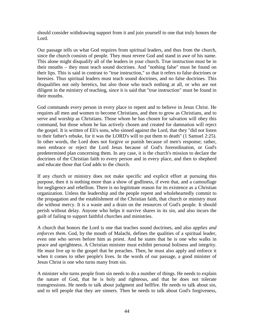should consider withdrawing support from it and join yourself to one that truly honors the Lord.

Our passage tells us what God requires from spiritual leaders, and thus from the church, since the church consists of people. They must revere God and stand in awe of his name. This alone might disqualify all of the leaders in your church. True instruction must be in their mouths – they must teach sound doctrines. And "nothing false" must be found on their lips. This is said in contrast to "true instruction," so that it refers to false doctrines or heresies. Thus spiritual leaders must teach sound doctrines, and no false doctrines. This disqualifies not only heretics, but also those who teach nothing at all, or who are not diligent in the ministry of teaching, since it is said that "true instruction" must be found in their mouths.

God commands every person in every place to repent and to believe in Jesus Christ. He requires all men and women to become Christians, and then to grow as Christians, and to serve and worship as Christians. Those whom he has chosen for salvation will obey this command, but those whom he has actively chosen and created for damnation will reject the gospel. It is written of Eli's sons, who sinned against the Lord, that they "did not listen to their father's rebuke, for it was the LORD's will to put them to death" (1 Samuel 2:25). In other words, the Lord does not forgive or punish because of men's response; rather, men embrace or reject the Lord Jesus because of God's foreordination, or God's predetermined plan concerning them. In any case, it is the church's mission to declare the doctrines of the Christian faith to every person and in every place, and then to shepherd and educate those that God adds to the church.

If any church or ministry does not make specific and explicit effort at pursuing this purpose, then it is nothing more than a show of godliness, if even that, and a camouflage for negligence and rebellion. There is no legitimate reason for its existence as a Christian organization. Unless the leadership and the people repent and wholeheartedly commit to the propagation and the establishment of the Christian faith, that church or ministry must die without mercy. It is a waste and a drain on the resources of God's people. It should perish without delay. Anyone who helps it survive shares in its sin, and also incurs the guilt of failing to support faithful churches and ministries.

A church that honors the Lord is one that teaches sound doctrines, and also *applies and enforces them*. God, by the mouth of Malachi, defines the qualities of a spiritual leader, even one who serves before him as priest. And he states that he is one who walks in peace and uprightness. A Christian minister must exhibit personal holiness and integrity. He must live up to the gospel that he preaches. Then, he must also apply and enforce it when it comes to other people's lives. In the words of our passage, a good minister of Jesus Christ is one who turns many from sin.

A minister who turns people from sin needs to do a number of things. He needs to explain the nature of God, that he is holy and righteous, and that he does not tolerate transgressions. He needs to talk about judgment and hellfire. He needs to talk about sin, and to tell people that they are sinners. Then he needs to talk about God's forgiveness,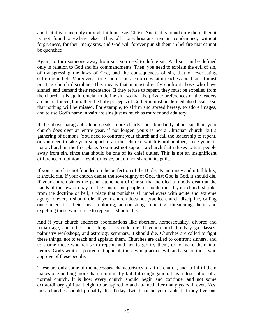and that it is found only through faith in Jesus Christ. And if it is found only there, then it is not found anywhere else. Thus all non-Christians remain condemned, without forgiveness, for their many sins, and God will forever punish them in hellfire that cannot be quenched.

Again, to turn someone away from sin, you need to define sin. And sin can be defined only in relation to God and his commandments. Then, you need to explain the evil of sin, of transgressing the laws of God, and the consequences of sin, that of everlasting suffering in hell. Moreover, a true church must enforce what it teaches about sin. It must practice church discipline. This means that it must directly confront those who have sinned, and demand their repentance. If they refuse to repent, they must be expelled from the church. It is again crucial to define sin, so that the private preferences of the leaders are not enforced, but rather the holy precepts of God. Sin must be defined also because so that nothing will be missed. For example, to affirm and spread heresy, to adore images, and to use God's name in vain are sins just as much as murder and adultery.

If the above paragraph alone speaks more clearly and abundantly about sin than your church does over an entire year, if not longer, yours is not a Christian church, but a gathering of demons. You need to confront your church and call the leadership to repent, or you need to take your support to another church, which is not another, since yours is not a church in the first place. You must not support a church that refuses to turn people away from sin, since that should be one of its chief duties. This is not an insignificant difference of opinion – revolt or leave, but do not share in its guilt.

If your church is not founded on the perfection of the Bible, its inerrancy and infallibility, it should die. If your church denies the sovereignty of God, that God is God, it should die. If your church shuns the penal atonement of Christ, that he died a bloody death at the hands of the Jews to pay for the sins of his people, it should die. If your church shrinks from the doctrine of hell, a place that punishes all unbelievers with acute and extreme agony forever, it should die. If your church does not practice church discipline, calling out sinners for their sins, imploring, admonishing, rebuking, threatening them, and expelling those who refuse to repent, it should die.

And if your church endorses abominations like abortion, homosexuality, divorce and remarriage, and other such things, it should die. If your church holds yoga classes, palmistry workshops, and astrology seminars, it should die. Churches are called to fight these things, not to teach and applaud them. Churches are called to confront sinners, and to shame those who refuse to repent, and not to glorify them, or to make them into heroes. God's wrath is poured out upon all those who practice evil, and also on those who approve of these people.

These are only some of the necessary characteristics of a true church, and to fulfill them makes one nothing more than a minimally faithful congregation. It is a description of a normal church. It is how every church should begin and continue, and not some extraordinary spiritual height to be aspired to and attained after many years, if ever. Yes, most churches should probably die. Today. Let it not be your fault that they live one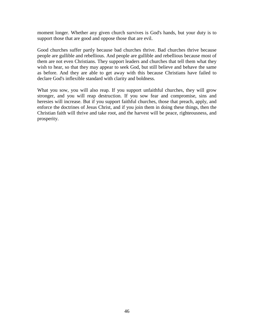moment longer. Whether any given church survives is God's hands, but your duty is to support those that are good and oppose those that are evil.

Good churches suffer partly because bad churches thrive. Bad churches thrive because people are gullible and rebellious. And people are gullible and rebellious because most of them are not even Christians. They support leaders and churches that tell them what they wish to hear, so that they may appear to seek God, but still believe and behave the same as before. And they are able to get away with this because Christians have failed to declare God's inflexible standard with clarity and boldness.

What you sow, you will also reap. If you support unfaithful churches, they will grow stronger, and you will reap destruction. If you sow fear and compromise, sins and heresies will increase. But if you support faithful churches, those that preach, apply, and enforce the doctrines of Jesus Christ, and if you join them in doing these things, then the Christian faith will thrive and take root, and the harvest will be peace, righteousness, and prosperity.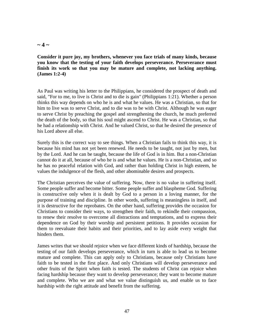#### $\sim$  4  $\sim$

**Consider it pure joy, my brothers, whenever you face trials of many kinds, because you know that the testing of your faith develops perseverance. Perseverance must finish its work so that you may be mature and complete, not lacking anything. (James 1:2-4)**

As Paul was writing his letter to the Philippians, he considered the prospect of death and said, "For to me, to live is Christ and to die is gain" (Philippians 1:21). Whether a person thinks this way depends on who he is and what he values. He was a Christian, so that for him to live was to serve Christ, and to die was to be with Christ. Although he was eager to serve Christ by preaching the gospel and strengthening the church, he much preferred the death of the body, so that his soul might ascend to Christ. He was a Christian, so that he had a relationship with Christ. And he valued Christ, so that he desired the presence of his Lord above all else.

Surely this is the correct way to see things. When a Christian fails to think this way, it is because his mind has not yet been renewed. He needs to be taught, not just by men, but by the Lord. And he can be taught, because the life of God is in him. But a non-Christian cannot do it at all, because of who he is and what he values. He is a non-Christian, and so he has no peaceful relation with God, and rather than holding Christ in high esteem, he values the indulgence of the flesh, and other abominable desires and prospects.

The Christian perceives the value of suffering. Now, there is no value in suffering itself. Some people suffer and become bitter. Some people suffer and blaspheme God. Suffering is constructive only when it is dealt by God to a person in a loving manner, for the purpose of training and discipline. In other words, suffering is meaningless in itself, and it is destructive for the reprobates. On the other hand, suffering provides the occasion for Christians to consider their ways, to strengthen their faith, to rekindle their compassion, to renew their resolve to overcome all distractions and temptations, and to express their dependence on God by their worship and persistent petitions. It provides occasion for them to reevaluate their habits and their priorities, and to lay aside every weight that hinders them.

James writes that we should rejoice when we face different kinds of hardship, because the testing of our faith develops perseverance, which in turn is able to lead us to become mature and complete. This can apply only to Christians, because only Christians have faith to be tested in the first place. And only Christians will develop perseverance and other fruits of the Spirit when faith is tested. The students of Christ can rejoice when facing hardship because they want to develop perseverance; they want to become mature and complete. Who we are and what we value distinguish us, and enable us to face hardship with the right attitude and benefit from the suffering.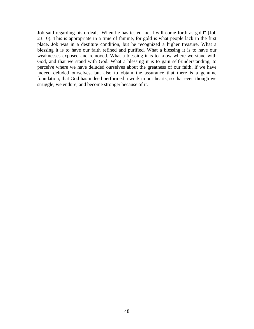Job said regarding his ordeal, "When he has tested me, I will come forth as gold" (Job 23:10). This is appropriate in a time of famine, for gold is what people lack in the first place. Job was in a destitute condition, but he recognized a higher treasure. What a blessing it is to have our faith refined and purified. What a blessing it is to have our weaknesses exposed and removed. What a blessing it is to know where we stand with God, and that we stand with God. What a blessing it is to gain self-understanding, to perceive where we have deluded ourselves about the greatness of our faith, if we have indeed deluded ourselves, but also to obtain the assurance that there is a genuine foundation, that God has indeed performed a work in our hearts, so that even though we struggle, we endure, and become stronger because of it.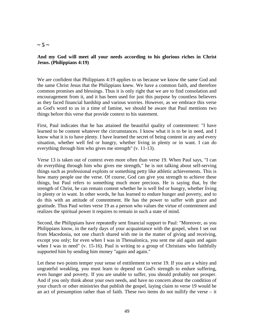### $\sim$  5  $\sim$

#### **And my God will meet all your needs according to his glorious riches in Christ Jesus. (Philippians 4:19)**

We are confident that Philippians 4:19 applies to us because we know the same God and the same Christ Jesus that the Philippians knew. We have a common faith, and therefore common promises and blessings. Thus it is only right that we are to find consolation and encouragement from it, and it has been used for just this purpose by countless believers as they faced financial hardship and various worries. However, as we embrace this verse as God's word to us in a time of famine, we should be aware that Paul mentions two things before this verse that provide context to his statement.

First, Paul indicates that he has attained the beautiful quality of contentment: "I have learned to be content whatever the circumstances. I know what it is to be in need, and I know what it is to have plenty. I have learned the secret of being content in any and every situation, whether well fed or hungry, whether living in plenty or in want. I can do everything through him who gives me strength" (v. 11-13).

Verse 13 is taken out of context even more often than verse 19. When Paul says, "I can do everything through him who gives me strength," he is not talking about self-serving things such as professional exploits or something petty like athletic achievements. This is how many people use the verse. Of course, God can give you strength to achieve these things, but Paul refers to something much more precious. He is saying that, by the strength of Christ, he can remain content whether he is well fed or hungry, whether living in plenty or in want. In other words, he has learned to endure hunger and poverty, and to do this with an attitude of contentment. He has the power to suffer with grace and gratitude. Thus Paul writes verse 19 as a person who values the virtue of contentment and realizes the spiritual power it requires to remain in such a state of mind.

Second, the Philippians have repeatedly sent financial support to Paul: "Moreover, as you Philippians know, in the early days of your acquaintance with the gospel, when I set out from Macedonia, not one church shared with me in the matter of giving and receiving, except you only; for even when I was in Thessalonica, you sent me aid again and again when I was in need" (v. 15-16). Paul is writing to a group of Christians who faithfully supported him by sending him money "again and again."

Let these two points temper your sense of entitlement to verse 19. If you are a whiny and ungrateful weakling, you must learn to depend on God's strength to endure suffering, even hunger and poverty. If you are unable to suffer, you should probably not prosper. And if you only think about your own needs, and have no concern about the condition of your church or other ministries that publish the gospel, laying claim to verse 19 would be an act of presumption rather than of faith. These two items do not nullify the verse – it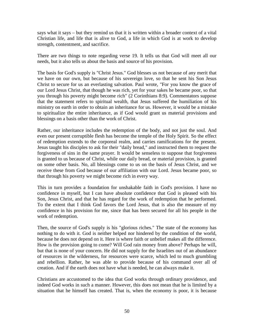says what it says – but they remind us that it is written within a broader context of a vital Christian life, and life that is alive to God, a life in which God is at work to develop strength, contentment, and sacrifice.

There are two things to note regarding verse 19. It tells us that God will meet all our needs, but it also tells us about the basis and source of his provision.

The basis for God's supply is "Christ Jesus." God blesses us not because of any merit that we have on our own, but because of his sovereign love, so that he sent his Son Jesus Christ to secure for us an everlasting salvation. Paul wrote, "For you know the grace of our Lord Jesus Christ, that though he was rich, yet for your sakes he became poor, so that you through his poverty might become rich" (2 Corinthians 8:9). Commentators suppose that the statement refers to spiritual wealth, that Jesus suffered the humiliation of his ministry on earth in order to obtain an inheritance for us. However, it would be a mistake to spiritualize the entire inheritance, as if God would grant us material provisions and blessings on a basis other than the work of Christ.

Rather, our inheritance includes the redemption of the body, and not just the soul. And even our present corruptible flesh has become the temple of the Holy Spirit. So the effect of redemption extends to the corporeal realm, and carries ramifications for the present. Jesus taught his disciples to ask for their "daily bread," and instructed them to request the forgiveness of sins in the same prayer. It would be senseless to suppose that forgiveness is granted to us because of Christ, while our daily bread, or material provision, is granted on some other basis. No, all blessings come to us on the basis of Jesus Christ, and we receive these from God because of our affiliation with our Lord. Jesus became poor, so that through his poverty we might become rich in every way.

This in turn provides a foundation for unshakable faith in God's provision. I have no confidence in myself, but I can have absolute confidence that God is pleased with his Son, Jesus Christ, and that he has regard for the work of redemption that he performed. To the extent that I think God favors the Lord Jesus, that is also the measure of my confidence in his provision for me, since that has been secured for all his people in the work of redemption.

Then, the source of God's supply is his "glorious riches." The state of the economy has nothing to do with it. God is neither helped nor hindered by the condition of the world, because he does not depend on it. Here is where faith or unbelief makes all the difference. How is the provision going to come? Will God rain money from above? Perhaps he will, but that is none of your concern. He did not supply for the Israelites out of an abundance of resources in the wilderness, for resources were scarce, which led to much grumbling and rebellion. Rather, he was able to provide because of his command over all of creation. And if the earth does not have what is needed, he can always make it.

Christians are accustomed to the idea that God works through ordinary providence, and indeed God works in such a manner. However, this does not mean that he is limited by a situation that he himself has created. That is, when the economy is poor, it is because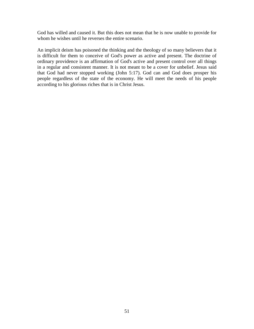God has willed and caused it. But this does not mean that he is now unable to provide for whom he wishes until he reverses the entire scenario.

An implicit deism has poisoned the thinking and the theology of so many believers that it is difficult for them to conceive of God's power as active and present. The doctrine of ordinary providence is an affirmation of God's active and present control over all things in a regular and consistent manner. It is not meant to be a cover for unbelief. Jesus said that God had never stopped working (John 5:17). God can and God does prosper his people regardless of the state of the economy. He will meet the needs of his people according to his glorious riches that is in Christ Jesus.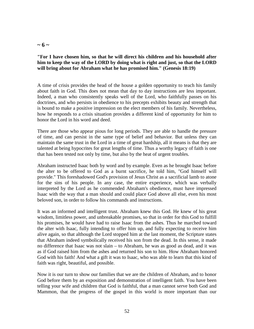### $\sim 6 \sim$

### **"For I have chosen him, so that he will direct his children and his household after him to keep the way of the LORD by doing what is right and just, so that the LORD will bring about for Abraham what he has promised him." (Genesis 18:19)**

A time of crisis provides the head of the house a golden opportunity to teach his family about faith in God. This does not mean that day to day instructions are less important. Indeed, a man who consistently speaks well of the Lord, who faithfully passes on his doctrines, and who persists in obedience to his precepts exhibits beauty and strength that is bound to make a positive impression on the elect members of his family. Nevertheless, how he responds to a crisis situation provides a different kind of opportunity for him to honor the Lord in his word and deed.

There are those who appear pious for long periods. They are able to handle the pressure of time, and can persist in the same type of belief and behavior. But unless they can maintain the same trust in the Lord in a time of great hardship, all it means is that they are talented at being hypocrites for great lengths of time. Thus a worthy legacy of faith is one that has been tested not only by time, but also by the heat of urgent troubles.

Abraham instructed Isaac both by word and by example. Even as he brought Isaac before the alter to be offered to God as a burnt sacrifice, he told him, "God himself will provide." This foreshadowed God's provision of Jesus Christ as a sacrificial lamb to atone for the sins of his people. In any case, the entire experience, which was verbally interpreted by the Lord as he commended Abraham's obedience, must have impressed Isaac with the way that a man should and could place God above all else, even his most beloved son, in order to follow his commands and instructions.

It was an informed and intelligent trust. Abraham knew this God. He knew of his great wisdom, limitless power, and unbreakable promises, so that in order for this God to fulfill his promises, he would have had to raise Isaac from the ashes. Thus he marched toward the alter with Isaac, fully intending to offer him up, and fully expecting to receive him alive again, so that although the Lord stopped him at the last moment, the Scripture states that Abraham indeed symbolically received his son from the dead. In this sense, it made no difference that Isaac was not slain – to Abraham, he was as good as dead, and it was as if God raised him from the ashes and returned his son to him. How Abraham honored God with his faith! And what a gift it was to Isaac, who was able to learn that this kind of faith was right, beautiful, and possible.

Now it is our turn to show our families that we are the children of Abraham, and to honor God before them by an exposition and demonstration of intelligent faith. You have been telling your wife and children that God is faithful, that a man cannot serve both God and Mammon, that the progress of the gospel in this world is more important than our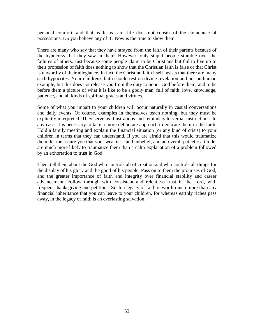personal comfort, and that as Jesus said, life does not consist of the abundance of possessions. Do you believe any of it? Now is the time to show them.

There are many who say that they have strayed from the faith of their parents because of the hypocrisy that they saw in them. However, only stupid people stumble over the failures of others. Just because some people claim to be Christians but fail to live up to their profession of faith does nothing to show that the Christian faith is false or that Christ is unworthy of their allegiance. In fact, the Christian faith itself insists that there are many such hypocrites. Your children's faith should rest on divine revelation and not on human example, but this does not release you from the duty to honor God before them, and to be before them a picture of what it is like to be a godly man, full of faith, love, knowledge, patience, and all kinds of spiritual graces and virtues.

Some of what you impart to your children will occur naturally in casual conversations and daily events. Of course, examples in themselves teach nothing, but they must be explicitly interpreted. They serve as illustrations and reminders to verbal instructions. In any case, it is necessary to take a more deliberate approach to educate them in the faith. Hold a family meeting and explain the financial situation (or any kind of crisis) to your children in terms that they can understand. If you are afraid that this would traumatize them, let me assure you that your weakness and unbelief, and an overall pathetic attitude, are much more likely to traumatize them than a calm explanation of a problem followed by an exhortation to trust in God.

Then, tell them about the God who controls all of creation and who controls all things for the display of his glory and the good of his people. Pass on to them the promises of God, and the greater importance of faith and integrity over financial stability and career advancement. Follow through with consistent and relentless trust in the Lord, with frequent thanksgiving and petitions. Such a legacy of faith is worth much more than any financial inheritance that you can leave to your children, for whereas earthly riches pass away, in the legacy of faith is an everlasting salvation.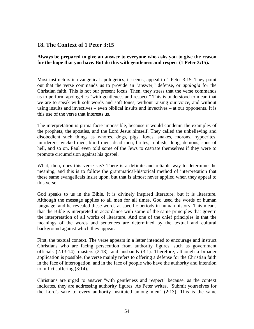# **18. The Context of 1 Peter 3:15**

### **Always be prepared to give an answer to everyone who asks you to give the reason for the hope that you have. But do this with gentleness and respect (1 Peter 3:15).**

Most instructors in evangelical apologetics, it seems, appeal to 1 Peter 3:15. They point out that the verse commands us to provide an "answer," defense, or *apologia* for the Christian faith. This is not our present focus. Then, they stress that the verse commands us to perform apologetics "with gentleness and respect." This is understood to mean that we are to speak with soft words and soft tones, without raising our voice, and without using insults and invectives – even biblical insults and invectives – at our opponents. It is this use of the verse that interests us.

The interpretation is prima facie impossible, because it would condemn the examples of the prophets, the apostles, and the Lord Jesus himself. They called the unbelieving and disobedient such things as whores, dogs, pigs, foxes, snakes, morons, hypocrites, murderers, wicked men, blind men, dead men, brutes, rubbish, dung, demons, sons of hell, and so on. Paul even told some of the Jews to castrate themselves if they were to promote circumcision against his gospel.

What, then, does this verse say? There is a definite and reliable way to determine the meaning, and this is to follow the grammatical-historical method of interpretation that these same evangelicals insist upon, but that is almost never applied when they appeal to this verse.

God speaks to us in the Bible. It is divinely inspired literature, but it is literature. Although the message applies to all men for all times, God used the words of human language, and he revealed these words at specific periods in human history. This means that the Bible is interpreted in accordance with some of the same principles that govern the interpretation of all works of literature. And one of the chief principles is that the meanings of the words and sentences are determined by the textual and cultural background against which they appear.

First, the textual context. The verse appears in a letter intended to encourage and instruct Christians who are facing persecution from authority figures, such as government officials (2:13-14), masters (2:18), and husbands (3:1). Therefore, although a broader application is possible, the verse mainly refers to offering a defense for the Christian faith in the face of interrogation, and in the face of people who have the authority and intention to inflict suffering (3:14).

Christians are urged to answer "with gentleness and respect" because, as the context indicates, they are addressing authority figures. As Peter writes, "Submit yourselves for the Lord's sake to every authority instituted among men" (2:13). This is the same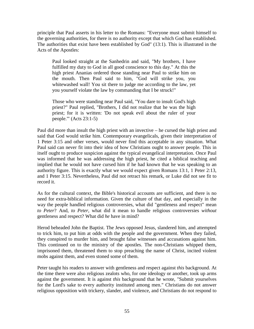principle that Paul asserts in his letter to the Romans: "Everyone must submit himself to the governing authorities, for there is no authority except that which God has established. The authorities that exist have been established by God" (13:1). This is illustrated in the Acts of the Apostles:

Paul looked straight at the Sanhedrin and said, "My brothers, I have fulfilled my duty to God in all good conscience to this day." At this the high priest Ananias ordered those standing near Paul to strike him on the mouth. Then Paul said to him, "God will strike you, you whitewashed wall! You sit there to judge me according to the law, yet you yourself violate the law by commanding that I be struck!"

Those who were standing near Paul said, "You dare to insult God's high priest?" Paul replied, "Brothers, I did not realize that he was the high priest; for it is written: 'Do not speak evil about the ruler of your people.'" (Acts 23:1-5)

Paul did more than insult the high priest with an invective – he cursed the high priest and said that God would strike him. Contemporary evangelicals, given their interpretation of 1 Peter 3:15 and other verses, would never find this acceptable in any situation. What Paul said can never fit into their idea of how Christians ought to answer people. This in itself ought to produce suspicion against the typical evangelical interpretation. Once Paul was informed that he was addressing the high priest, he cited a biblical teaching and implied that he would not have cursed him if he had known that he was speaking to an authority figure. This is exactly what we would expect given Romans 13:1, 1 Peter 2:13, and 1 Peter 3:15. Nevertheless, Paul did not retract his remark, or Luke did not see fit to record it.

As for the cultural context, the Bible's historical accounts are sufficient, and there is no need for extra-biblical information. Given the culture of that day, and especially in the way the people handled religious controversies, what did "gentleness and respect" mean *to Peter*? And, *to Peter*, what did it mean to handle religious controversies *without* gentleness and respect? What did *he* have in mind?

Herod beheaded John the Baptist. The Jews opposed Jesus, slandered him, and attempted to trick him, to put him at odds with the people and the government. When they failed, they conspired to murder him, and brought false witnesses and accusations against him. This continued on to the ministry of the apostles. The non-Christians whipped them, imprisoned them, threatened them to stop preaching the name of Christ, incited violent mobs against them, and even stoned some of them.

Peter taught his readers to answer with gentleness and respect against *this* background. At the time there were also religious zealots who, for one ideology or another, took up arms against the government. It is against *this* background that he wrote, "Submit yourselves for the Lord's sake to every authority instituted among men." Christians do not answer religious opposition with trickery, slander, and violence, and Christians do not respond to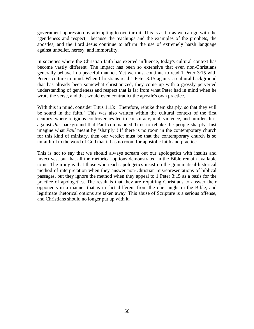government oppression by attempting to overturn it. This is as far as we can go with the "gentleness and respect," because the teachings and the examples of the prophets, the apostles, and the Lord Jesus continue to affirm the use of extremely harsh language against unbelief, heresy, and immorality.

In societies where the Christian faith has exerted influence, today's cultural context has become vastly different. The impact has been so extensive that even non-Christians generally behave in a peaceful manner. Yet we must continue to read 1 Peter 3:15 with Peter's culture in mind. When Christians read 1 Peter 3:15 against a cultural background that has already been somewhat christianized, they come up with a grossly perverted understanding of gentleness and respect that is far from what Peter had in mind when he wrote the verse, and that would even contradict the apostle's own practice.

With this in mind, consider Titus 1:13: "Therefore, rebuke them sharply, so that they will be sound in the faith." This was also written within the cultural context of the first century, where religious controversies led to conspiracy, mob violence, and murder. It is against *this* background that Paul commanded Titus to rebuke the people sharply. Just imagine what *Paul* meant by "sharply"! If there is no room in the contemporary church for this kind of ministry, then our verdict must be that the contemporary church is so unfaithful to the word of God that it has no room for apostolic faith and practice.

This is not to say that we should always scream out our apologetics with insults and invectives, but that all the rhetorical options demonstrated in the Bible remain available to us. The irony is that those who teach apologetics insist on the grammatical-historical method of interpretation when they answer non-Christian misrepresentations of biblical passages, but they ignore the method when they appeal to 1 Peter 3:15 as a basis for the practice of apologetics. The result is that they are requiring Christians to answer their opponents in a manner that is in fact different from the one taught in the Bible, and legitimate rhetorical options are taken away. This abuse of Scripture is a serious offense, and Christians should no longer put up with it.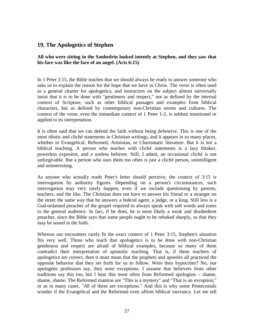## **19. The Apologetics of Stephen**

**All who were sitting in the Sanhedrin looked intently at Stephen, and they saw that his face was like the face of an angel. (Acts 6:15)**

In 1 Peter 3:15, the Bible teaches that we should always be ready to answer someone who asks us to explain the reason for the hope that we have in Christ. The verse is often used as a general charter for apologetics, and instructors on the subject almost universally insist that it is to be done with "gentleness and respect," not as defined by the internal context of Scripture, such as other biblical passages and examples from biblical characters, but as defined by contemporary non-Christian norms and cultures. The context of the verse, even the immediate context of 1 Peter 1-2, is seldom mentioned or applied to its interpretation.

It is often said that we can defend the faith without being defensive. This is one of the most idiotic and cliché statements in Christian writings, and it appears in so many places, whether in Evangelical, Reformed, Arminian, or Charismatic literature. But it is not a biblical teaching. A person who teaches with cliché statements is a lazy thinker, powerless expositor, and a useless believer. Still, I admit, an occasional cliché is not unforgivable. But a person who uses them too often is just a cliché person, unintelligent and uninteresting.

As anyone who actually reads Peter's letter should perceive, the context of 3:15 is interrogation by authority figures. Depending on a person's circumstances, such interrogation may very rarely happen, even if we include questioning by parents, teachers, and the like. The Christian does not have to answer his friend or a stranger on the street the same way that he answers a federal agent, a judge, or a king. Still less is a God-ordained preacher of the gospel required to always speak with soft words and tones to the general audience. In fact, if he does, he is most likely a weak and disobedient preacher, since the Bible says that some people ought to be rebuked sharply, so that they may be sound in the faith.

Whereas our encounters rarely fit the exact context of 1 Peter 3:15, Stephen's situation fits very well. Those who teach that apologetics is to be done with non-Christian gentleness and respect are afraid of biblical examples, because so many of them contradict their interpretation of apostolic teaching. That is, if these teachers of apologetics are correct, then it must mean that the prophets and apostles all practiced the opposite behavior that they set forth for us to follow. Were they hypocrites? No, our apologetic professors say, they were exceptions. I assume that believers from other traditions say this too, but I hear this most often from Reformed apologists – shame, shame, shame. The Reformed mantras are "This is a mystery" and "That is an exception," or as in many cases, "*All* of these are exceptions." And this is why some Pentecostals wonder if the Evangelical and the Reformed even affirm biblical inerrancy. Let me tell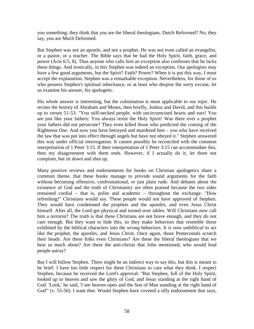you something: they think that *you* are the liberal theologians. Dutch Reformed? No, they say, you are Much Deformed.

But Stephen was not an apostle, and not a prophet. He was not even called an evangelist, or a pastor, or a teacher. The Bible says that he had the Holy Spirit, faith, grace, and power (Acts 6:5, 8). Thus anyone who calls him an exception also confesses that he lacks these things. And ironically, in this Stephen was indeed an exception. Our apologists may have a few good arguments, but the Spirit? Faith? Power? When it is put this way, I must accept the explanation. Stephen was a remarkable exception. Nevertheless, for those of us who possess Stephen's spiritual inheritance, or at least who despise the sorry excuse, let us examine his answer, his apologetic.

His whole answer is interesting, but the culmination is most applicable to our topic. He recites the history of Abraham and Moses, then briefly, Joshua and David, and this builds up to verses 51-53: "You stiff-necked people, with uncircumcised hearts and ears! You are just like your fathers: You always resist the Holy Spirit! Was there ever a prophet your fathers did not persecute? They even killed those who predicted the coming of the Righteous One. And now you have betrayed and murdered him – you who have received the law that was put into effect through angels but have not obeyed it." Stephen answered this way under official interrogation. It cannot possibly be reconciled with the common interpretation of 1 Peter 3:15. If their interpretation of 1 Peter 3:15 can accommodate this, then my disagreement with them ends. However, if I actually do it, let them not complain, but sit down and shut up.

Many positive reviews and endorsements for books on Christian apologetics share a common theme, that these books manage to provide sound arguments for the faith without becoming offensive, confrontational, or just plain rude. And debates about the existence of God and the truth of Christianity are often praised because the two sides remained cordial – that is, polite and academic – throughout the exchange. "How refreshing!" Christians would say. These people would not have approved of Stephen. They would have condemned the prophets and the apostles, and even Jesus Christ himself. After all, the Lord got physical and turned over tables. Will Christians now call him a terrorist? The truth is that these Christians are not brave enough, and they do not care enough. But they want to hide this, so they make behaviors that resemble those exhibited by the biblical characters into the *wrong* behaviors. It is now *unbiblical* to act like the prophet, the apostles, and Jesus Christ. Once again, those Pentecostals scratch their heads: Are these folks even Christians? Are these the liberal theologians that we hear so much about? Are these the anti-christs that John mentioned, who would lead people astray?

But I will follow Stephen. There might be an indirect way to say this, but this is meant to be brief: I have too little respect for these Christians to care what they think. I respect Stephen, because he received the Lord's approval: "But Stephen, full of the Holy Spirit, looked up to heaven and saw the glory of God, and Jesus standing at the right hand of God. 'Look,' he said, 'I see heaven open and the Son of Man standing at the right hand of God'" (v. 55-56). I want *that*. Would Stephen have coveted a silly endorsement that says,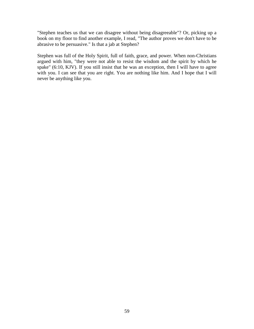"Stephen teaches us that we can disagree without being disagreeable"? Or, picking up a book on my floor to find another example, I read, "The author proves we don't have to be abrasive to be persuasive." Is that a jab at Stephen?

Stephen was full of the Holy Spirit, full of faith, grace, and power. When non-Christians argued with him, "they were not able to resist the wisdom and the spirit by which he spake" (6:10, KJV). If you still insist that he was an exception, then I will have to agree with you. I can see that you are right. You are nothing like him. And I hope that I will never be anything like you.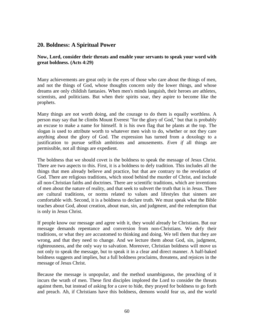## **20. Boldness: A Spiritual Power**

**Now, Lord, consider their threats and enable your servants to speak your word with great boldness. (Acts 4:29)**

Many achievements are great only in the eyes of those who care about the things of men, and not the things of God, whose thoughts concern only the lower things, and whose dreams are only childish fantasies. When men's minds languish, their heroes are athletes, scientists, and politicians. But when their spirits soar, they aspire to become like the prophets.

Many things are not worth doing, and the courage to do them is equally worthless. A person may say that he climbs Mount Everest "for the glory of God," but that is probably an excuse to make a name for himself. It is his own flag that he plants at the top. The slogan is used to attribute worth to whatever men wish to do, whether or not they care anything about the glory of God. The expression has turned from a doxology to a justification to pursue selfish ambitions and amusements. *Even if* all things are permissible, not all things are expedient.

The boldness that we should covet is the boldness to speak the message of Jesus Christ. There are two aspects to this. First, it is a boldness to defy tradition. This includes all the things that men already believe and practice, but that are contrary to the revelation of God. There are religious traditions, which stood behind the murder of Christ, and include all non-Christian faiths and doctrines. There are scientific traditions, which are inventions of men about the nature of reality, and that seek to subvert the truth that is in Jesus. There are cultural traditions, or norms related to values and lifestyles that sinners are comfortable with. Second, it is a boldness to declare truth. We must speak what the Bible teaches about God, about creation, about man, sin, and judgment, and the redemption that is only in Jesus Christ.

If people know our message and agree with it, they would already be Christians. But our message demands repentance and conversion from non-Christians. We defy their traditions, or what they are accustomed to thinking and doing. We tell them that they are wrong, and that they need to change. And we lecture them about God, sin, judgment, righteousness, and the only way to salvation. Moreover, Christian boldness will move us not only to speak the message, but to speak it in a clear and direct manner. A half-baked boldness suggests and implies, but a full boldness proclaims, threatens, and rejoices in the message of Jesus Christ.

Because the message is unpopular, and the method unambiguous, the preaching of it incurs the wrath of men. These first disciples implored the Lord to consider the threats against them, but instead of asking for a cave to hide, they prayed for boldness to go forth and preach. Ah, if Christians have this boldness, demons would fear us, and the world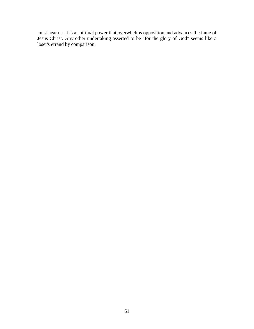must hear us. It is a spiritual power that overwhelms opposition and advances the fame of Jesus Christ. Any other undertaking asserted to be "for the glory of God" seems like a loser's errand by comparison.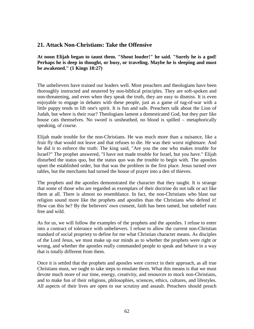## **21. Attack Non-Christians: Take the Offensive**

**At noon Elijah began to taunt them. "Shout louder!" he said. "Surely he is a god! Perhaps he is deep in thought, or busy, or traveling. Maybe he is sleeping and must be awakened." (1 Kings 18:27)**

The unbelievers have trained our leaders well. Most preachers and theologians have been thoroughly instructed and neutered by non-biblical principles. They are soft-spoken and non-threatening, and even when they speak the truth, they are easy to dismiss. It is even enjoyable to engage in debates with these people, just as a game of tug-of-war with a little puppy tends to lift one's spirit. It is fun and safe. Preachers talk about the Lion of Judah, but where is their roar? Theologians lament a domesticated God, but they purr like house cats themselves. No sword is unsheathed, no blood is spilled – metaphorically speaking, of course.

Elijah made trouble for the non-Christians. He was much more than a nuisance, like a fruit fly that would not leave and that refuses to die. He was their worst nightmare. And he did it to enforce the truth: The king said, "Are you the one who makes trouble for Israel?" The prophet answered, "I have not made trouble for Israel, but you have." Elijah disturbed the status quo, but the status quo was the trouble to begin with. The apostles upset the established order, but that was the problem in the first place. Jesus turned over tables, but the merchants had turned the house of prayer into a den of thieves.

The prophets and the apostles demonstrated the character that they taught. It is strange that some of those who are regarded as exemplars of their doctrine do not talk or act like them at all. There is almost no resemblance. In fact, the non-Christians who blast our religion sound more like the prophets and apostles than the Christians who defend it! How can this be? By the believers' own consent, faith has been tamed, but unbelief runs free and wild.

As for us, we will follow the examples of the prophets and the apostles. I refuse to enter into a contract of tolerance with unbelievers. I refuse to allow the current non-Christian standard of social propriety to define for me what Christian character means. As disciples of the Lord Jesus, we must make up our minds as to whether the prophets were right or wrong, and whether the apostles really commanded people to speak and behave in a way that is totally different from them.

Once it is settled that the prophets and apostles were correct in their approach, as all true Christians must, we ought to take steps to emulate them. What this means is that we must devote much more of our time, energy, creativity, and resources to mock non-Christians, and to make fun of their religions, philosophies, sciences, ethics, cultures, and lifestyles. All aspects of their lives are open to our scrutiny and assault. Preachers should preach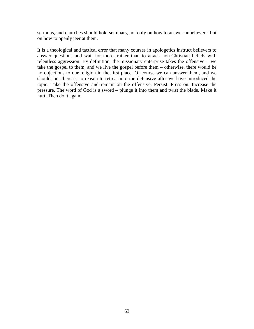sermons, and churches should hold seminars, not only on how to answer unbelievers, but on how to openly jeer at them.

It is a theological and tactical error that many courses in apologetics instruct believers to answer questions and wait for more, rather than to attack non-Christian beliefs with relentless aggression. By definition, the missionary enterprise takes the offensive – we take the gospel to them, and we live the gospel before them – otherwise, there would be no objections to our religion in the first place. Of course we can answer them, and we should, but there is no reason to retreat into the defensive after we have introduced the topic. Take the offensive and remain on the offensive. Persist. Press on. Increase the pressure. The word of God is a sword – plunge it into them and twist the blade. Make it hurt. Then do it again.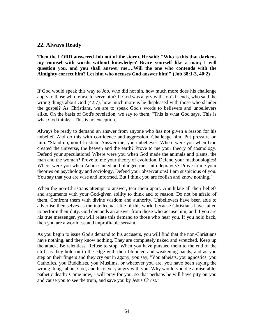### **22. Always Ready**

**Then the LORD answered Job out of the storm. He said: "Who is this that darkens my counsel with words without knowledge? Brace yourself like a man; I will question you, and you shall answer me….Will the one who contends with the Almighty correct him? Let him who accuses God answer him!" (Job 38:1-3, 40:2)**

If God would speak this way to Job, who did not sin, how much more does his challenge apply to those who refuse to serve him? If God was angry with Job's friends, who said the wrong things about God (42:7), how much more is he displeased with those who slander the gospel? As Christians, we are to speak God's words to believers and unbelievers alike. On the basis of God's revelation, we say to them, "This is what God says. This is what God thinks." This is no exception.

Always be ready to demand an answer from anyone who has not given a reason for his unbelief. And do this with confidence and aggression. Challenge him. Put pressure on him. "Stand up, non-Christian. Answer me, you unbeliever. Where were you when God created the universe, the heaven and the earth? Prove to me your theory of cosmology. Defend your speculations! Where were you when God made the animals and plants, the man and the woman? Prove to me your theory of evolution. Defend your methodologies! Where were you when Adam sinned and plunged men into depravity? Prove to me your theories on psychology and sociology. Defend your observations! I am suspicious of you. You say that you are wise and informed. But I think you are foolish and know nothing."

When the non-Christians attempt to answer, tear them apart. Annihilate all their beliefs and arguments with your God-given ability to think and to reason. Do not be afraid of them. Confront them with divine wisdom and authority. Unbelievers have been able to advertise themselves as the intellectual elite of this world because Christians have failed to perform their duty. God demands an answer from those who accuse him, and if you are his true messenger, you will relate this demand to those who hear you. If you hold back, then you are a worthless and unprofitable servant.

As you begin to issue God's demand to his accusers, you will find that the non-Christians have nothing, and they know nothing. They are completely naked and wretched. Keep up the attack. Be relentless. Refuse to stop. When you have pursued them to the end of the cliff, as they hold on to the edge with their bloodied and weakening hands, and as you step on their fingers and they cry out in agony, you say, "You atheists, you agnostics, you Catholics, you Buddhists, you Muslims, or whatever you are, you have been saying the wrong things about God, and he is very angry with you. Why would you die a miserable, pathetic death? Come now, I will pray for you, so that perhaps he will have pity on you and cause you to see the truth, and save you by Jesus Christ."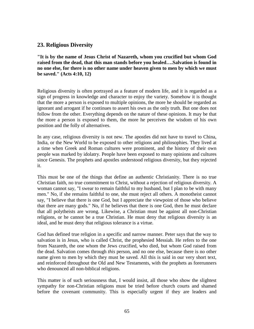### **23. Religious Diversity**

**"It is by the name of Jesus Christ of Nazareth, whom you crucified but whom God raised from the dead, that this man stands before you healed….Salvation is found in no one else, for there is no other name under heaven given to men by which we must be saved." (Acts 4:10, 12)**

Religious diversity is often portrayed as a feature of modern life, and it is regarded as a sign of progress in knowledge and character to enjoy the variety. Somehow it is thought that the more a person is exposed to multiple opinions, the more he should be regarded as ignorant and arrogant if he continues to assert his own as the only truth. But one does not follow from the other. Everything depends on the nature of these opinions. It may be that the more a person is exposed to them, the more he perceives the wisdom of his own position and the folly of alternatives.

In any case, religious diversity is not new. The apostles did not have to travel to China, India, or the New World to be exposed to other religions and philosophies. They lived at a time when Greek and Roman cultures were prominent, and the history of their own people was marked by idolatry. People have been exposed to many opinions and cultures since Genesis. The prophets and apostles understood religious diversity, but they rejected it.

This must be one of the things that define an authentic Christianity. There is no true Christian faith, no true commitment to Christ, without a rejection of religious diversity. A woman cannot say, "I swear to remain faithful to my husband, but I plan to be with many men." No, if she remains faithful to one, she must reject all others. A monotheist cannot say, "I believe that there is one God, but I appreciate the viewpoint of those who believe that there are many gods." No, if he believes that there is one God, then he must declare that all polytheists are wrong. Likewise, a Christian must be against all non-Christian religions, or he cannot be a true Christian. He must deny that religious diversity is an ideal, and he must deny that religious tolerance is a virtue.

God has defined true religion in a specific and narrow manner. Peter says that the way to salvation is in Jesus, who is called Christ, the prophesied Messiah. He refers to the one from Nazareth, the one whom the Jews crucified, who died, but whom God raised from the dead. Salvation comes through *this* person, and no one else, because there is no other name given to men by which they must be saved. All this is said in our very short text, and reinforced throughout the Old and New Testaments, with the prophets as forerunners who denounced all non-biblical religions.

This matter is of such seriousness that, I would insist, all those who show the slightest sympathy for non-Christian religions must be tried before church courts and shamed before the covenant community. This is especially urgent if they are leaders and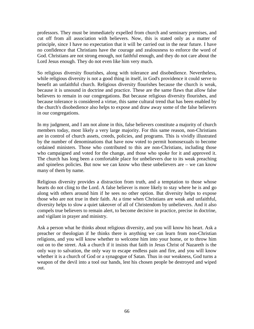professors. They must be immediately expelled from church and seminary premises, and cut off from all association with believers. Now, this is stated only as a matter of principle, since I have no expectation that it will be carried out in the near future. I have no confidence that Christians have the courage and zealousness to enforce the word of God. Christians are not strong enough, not faithful enough, and they do not care about the Lord Jesus enough. They do not even like him very much.

So religious diversity flourishes, along with tolerance and disobedience. Nevertheless, while religious diversity is not a good thing in itself, in God's providence it could serve to benefit an unfaithful church. Religious diversity flourishes because the church is weak, because it is unsound in doctrine and practice. These are the same flaws that allow false believers to remain in our congregations. But because religious diversity flourishes, and because tolerance is considered a virtue, this same cultural trend that has been enabled by the church's disobedience also helps to expose and draw away some of the false believers in our congregations.

In my judgment, and I am not alone in this, false believers constitute a majority of church members today, most likely a very large majority. For this same reason, non-Christians are in control of church assets, creeds, policies, and programs. This is vividly illustrated by the number of denominations that have now voted to permit homosexuals to become ordained ministers. Those who contributed to this are non-Christians, including those who campaigned and voted for the change, and those who spoke for it and approved it. The church has long been a comfortable place for unbelievers due to its weak preaching and spineless policies. But now we can know who these unbelievers are – we can know many of them by name.

Religious diversity provides a distraction from truth, and a temptation to those whose hearts do not cling to the Lord. A false believer is more likely to stay where he is and go along with others around him if he sees no other option. But diversity helps to expose those who are not true in their faith. At a time when Christians are weak and unfaithful, diversity helps to slow a quiet takeover of all of Christendom by unbelievers. And it also compels true believers to remain alert, to become decisive in practice, precise in doctrine, and vigilant in prayer and ministry.

Ask a person what he thinks about religious diversity, and you will know his heart. Ask a preacher or theologian if he thinks there is anything we can learn from non-Christian religions, and you will know whether to welcome him into your home, or to throw him out on to the street. Ask a church if it insists that faith in Jesus Christ of Nazareth is the only way to salvation, the only way to escape endless pain and fire, and you will know whether it is a church of God or a synagogue of Satan. Thus in our weakness, God turns a weapon of the devil into a tool our hands, lest his chosen people be destroyed and wiped out.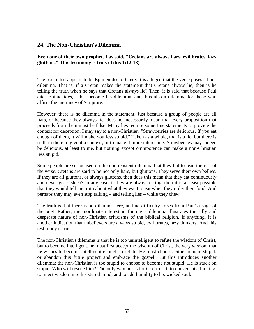## **24. The Non-Christian's Dilemma**

**Even one of their own prophets has said, "Cretans are always liars, evil brutes, lazy gluttons." This testimony is true. (Titus 1:12-13)**

The poet cited appears to be Epimenides of Crete. It is alleged that the verse poses a liar's dilemma. That is, if a Cretan makes the statement that Cretans always lie, then is he telling the truth when he says that Cretans always lie? Then, it is said that because Paul cites Epimenides, it has become his dilemma, and thus also a dilemma for those who affirm the inerrancy of Scripture.

However, there is no dilemma in the statement. Just because a group of people are all liars, or because they always lie, does not necessarily mean that every proposition that proceeds from them must be false. Many lies require some true statements to provide the context for deception. I may say to a non-Christian, "Strawberries are delicious. If you eat enough of them, it will make you less stupid." Taken as a whole, that is a lie, but there is truth in there to give it a context, or to make it more interesting. Strawberries may indeed be delicious, at least to me, but nothing except omnipotence can make a non-Christian less stupid.

Some people are so focused on the non-existent dilemma that they fail to read the rest of the verse. Cretans are said to be not only liars, but gluttons. They serve their own bellies. If they are all gluttons, or always gluttons, then does this mean that they eat continuously and never go to sleep? In any case, if they are always eating, then it is at least possible that they would tell the truth about what they want to eat when they order their food. And perhaps they may even stop talking – and telling lies – while they chew.

The truth is that there is no dilemma here, and no difficulty arises from Paul's usage of the poet. Rather, the inordinate interest in forcing a dilemma illustrates the silly and desperate nature of non-Christian criticisms of the biblical religion. If anything, it is another indication that unbelievers are always stupid, evil brutes, lazy thinkers. And this testimony is true.

The non-Christian's dilemma is that he is too unintelligent to refute the wisdom of Christ, but to become intelligent, he must first accept the wisdom of Christ, the very wisdom that he wishes to become intelligent enough to refute. He must choose: either remain stupid, or abandon this futile project and embrace the gospel. But this introduces another dilemma: the non-Christian is too stupid to choose to become not stupid. He is stuck on stupid. Who will rescue him? The only way out is for God to act, to convert his thinking, to inject wisdom into his stupid mind, and to add humility to his wicked soul.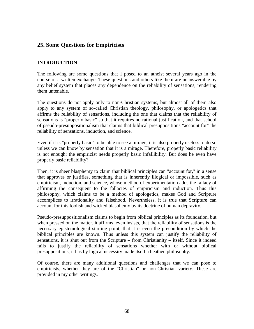# **25. Some Questions for Empiricists**

### **INTRODUCTION**

The following are some questions that I posed to an atheist several years ago in the course of a written exchange. These questions and others like them are unanswerable by any belief system that places any dependence on the reliability of sensations, rendering them untenable.

The questions do not apply only to non-Christian systems, but almost all of them also apply to any system of so-called Christian theology, philosophy, or apologetics that affirms the reliability of sensations, including the one that claims that the reliability of sensations is "properly basic" so that it requires no rational justification, and that school of pseudo-presuppositionalism that claims that biblical presuppositions "account for" the reliability of sensations, induction, and science.

Even if it is "properly basic" to be able to see a mirage, it is also properly useless to do so unless we can know by sensation that it is a mirage. Therefore, properly basic reliability is not enough; the empiricist needs properly basic infallibility. But does he even have properly basic reliability?

Then, it is sheer blasphemy to claim that biblical principles can "account for," in a sense that approves or justifies, something that is inherently illogical or impossible, such as empiricism, induction, and science, whose method of experimentation adds the fallacy of affirming the consequent to the fallacies of empiricism and induction. Thus this philosophy, which claims to be a method of apologetics, makes God and Scripture accomplices to irrationality and falsehood. Nevertheless, it is true that Scripture can account for this foolish and wicked blasphemy by its doctrine of human depravity.

Pseudo-presuppositionalism claims to begin from biblical principles as its foundation, but when pressed on the matter, it affirms, even insists, that the reliability of sensations is the necessary epistemological starting point, that it is even the precondition by which the biblical principles are known. Thus unless this system can justify the reliability of sensations, it is shut out from the Scripture – from Christianity – itself. Since it indeed fails to justify the reliability of sensations whether with or without biblical presuppositions, it has by logical necessity made itself a heathen philosophy.

Of course, there are many additional questions and challenges that we can pose to empiricists, whether they are of the "Christian" or non-Christian variety. These are provided in my other writings.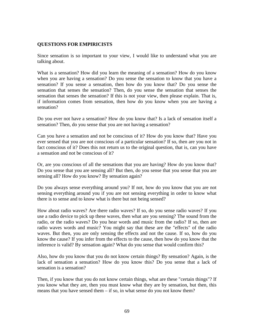#### **QUESTIONS FOR EMPIRICISTS**

Since sensation is so important to your view, I would like to understand what you are talking about.

What is a sensation? How did you learn the meaning of a sensation? How do you know when you are having a sensation? Do you sense the sensation to know that you have a sensation? If you sense a sensation, then how do you know that? Do you sense the sensation that senses the sensation? Then, do you sense the sensation that senses the sensation that senses the sensation? If this is not your view, then please explain. That is, if information comes from sensation, then how do you know when you are having a sensation?

Do you ever not have a sensation? How do you know that? Is a lack of sensation itself a sensation? Then, do you sense that you are not having a sensation?

Can you have a sensation and not be conscious of it? How do you know that? Have you ever sensed that you are not conscious of a particular sensation? If so, then are you not in fact conscious of it? Does this not return us to the original question, that is, can you have a sensation and not be conscious of it?

Or, are you conscious of all the sensations that you are having? How do you know that? Do you sense that you are sensing all? But then, do you sense that you sense that you are sensing all? How do you know? By sensation again?

Do you always sense everything around you? If not, how do you know that you are not sensing everything around you if you are not sensing everything in order to know what there is to sense and to know what is there but not being sensed?

How about radio waves? Are there radio waves? If so, do you sense radio waves? If you use a radio device to pick up these waves, then what are you sensing? The sound from the radio, or the radio waves? Do you hear words and music from the radio? If so, then are radio waves words and music? You might say that these are the "effects" of the radio waves. But then, you are only sensing the effects and not the cause. If so, how do you know the cause? If you infer from the effects to the cause, then how do you know that the inference is valid? By sensation again? What do you sense that would confirm this?

Also, how do you know that you do not know certain things? By sensation? Again, is the lack of sensation a sensation? How do you know this? Do you sense that a lack of sensation is a sensation?

Then, if you know that you do not know certain things, what are these "certain things"? If you know what they are, then you must know what they are by sensation, but then, this means that you have sensed them  $-$  if so, in what sense do you not know them?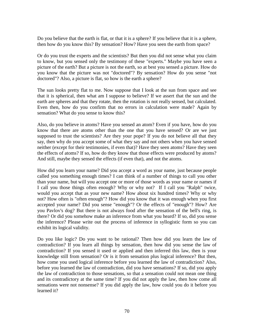Do you believe that the earth is flat, or that it is a sphere? If you believe that it is a sphere, then how do you know this? By sensation? How? Have you seen the earth from space?

Or do you trust the experts and the scientists? But then you did not sense what you claim to know, but you sensed only the testimony of these "experts." Maybe you have seen a picture of the earth? But a picture is not the earth, so at best you sensed a picture. How do you know that the picture was not "doctored"? By sensation? How do you sense "not doctored"? Also, a picture is flat, so how is the earth a sphere?

The sun looks pretty flat to me. Now suppose that I look at the sun from space and see that it is spherical, then what am I suppose to believe? If we assert that the sun and the earth are spheres and that they rotate, then the rotation is not really sensed, but calculated. Even then, how do you confirm that no errors in calculation were made? Again by sensation? What do you sense to know this?

Also, do you believe in atoms? Have you sensed an atom? Even if you have, how do you know that there are atoms other than the one that you have sensed? Or are we just supposed to trust the scientists? Are they your pope? If you do not believe all that they say, then why do you accept some of what they say and not others when you have sensed neither (except for their testimonies, if even that)? Have they seen atoms? Have they seen the effects of atoms? If so, how do they know that those effects were produced by atoms? And still, maybe they sensed the effects (if even that), and not the atoms.

How did you learn your name? Did you accept a word as your name, just because people called you something enough times? I can think of a number of things to call you other than your name, but will you accept one or more of those words as your name or names if I call you those things often enough? Why or why not? If I call you "Ralph" twice, would you accept that as your new name? How about six hundred times? Why or why not? How often is "often enough"? How did you know that it was enough when you first accepted your name? Did you sense "enough"? Or the effects of "enough"? How? Are you Pavlov's dog? But there is not always food after the sensation of the bell's ring, is there? Or did you somehow make an inference from what you heard? If so, did you sense the inference? Please write out the process of inference in syllogistic form so you can exhibit its logical validity.

Do you like logic? Do you want to be rational? Then how did you learn the law of contradiction? If you learn all things by sensation, then how did you sense the law of contradiction? If you sensed it used or applied and then inferred this law, then is your knowledge still from sensation? Or is it from sensation plus logical inference? But then, how come you used logical inference before you learned the law of contradiction? Also, before you learned the law of contradiction, did you have sensations? If so, did you apply the law of contradiction to those sensations, so that a sensation could not mean one thing and its contradictory at the same time? If you did not apply the law, then how come all sensations were not nonsense? If you did apply the law, how could you do it before you learned it?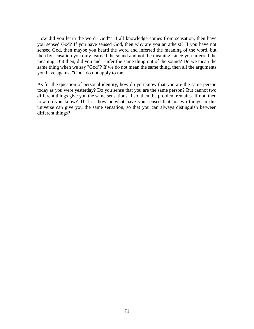How did you learn the word "God"? If all knowledge comes from sensation, then have you sensed God? If you have sensed God, then why are you an atheist? If you have not sensed God, then maybe you heard the word and inferred the meaning of the word, but then by sensation you only learned the sound and not the meaning, since you inferred the meaning. But then, did you and I infer the same thing out of the sound? Do we mean the same thing when we say "God"? If we do not mean the same thing, then all the arguments you have against "God" do not apply to me.

As for the question of personal identity, how do you know that you are the same person today as you were yesterday? Do you sense that you are the same person? But cannot two different things give you the same sensation? If so, then the problem remains. If not, then how do you know? That is, how or what have you sensed that no two things in this universe can give you the same sensation, so that you can always distinguish between different things?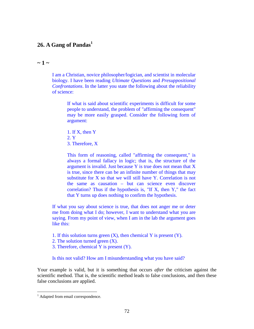## **26. A Gang of Pandas<sup>1</sup>**

#### $\sim$  1  $\sim$

I am a Christian, novice philosopher/logician, and scientist in molecular biology. I have been reading *Ultimate Questions* and *Presuppositional Confrontations*. In the latter you state the following about the reliability of science:

> If what is said about scientific experiments is difficult for some people to understand, the problem of "affirming the consequent" may be more easily grasped. Consider the following form of argument:

1. If X, then Y 2. Y 3. Therefore, X

This form of reasoning, called "affirming the consequent," is always a formal fallacy in logic; that is, the structure of the argument is invalid. Just because Y is true does not mean that X is true, since there can be an infinite number of things that may substitute for X so that we will still have Y. Correlation is not the same as causation – but can science even discover correlation? Thus if the hypothesis is, "If X, then Y," the fact that Y turns up does nothing to confirm the hypothesis.

If what you say about science is true, that does not anger me or deter me from doing what I do; however, I want to understand what you are saying. From my point of view, when I am in the lab the argument goes like this:

- 1. If this solution turns green  $(X)$ , then chemical Y is present  $(Y)$ .
- 2. The solution turned green (X).
- 3. Therefore, chemical Y is present (Y).

Is this not valid? How am I misunderstanding what you have said?

Your example is valid, but it is something that occurs *after* the criticism against the scientific method. That is, the scientific method leads to false conclusions, and then these false conclusions are applied.

<sup>&</sup>lt;sup>1</sup> Adapted from email correspondence.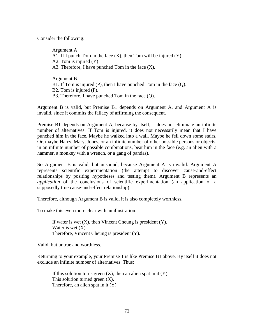Consider the following:

Argument A A1. If I punch Tom in the face  $(X)$ , then Tom will be injured  $(Y)$ . A2. Tom is injured (Y) A3. Therefore, I have punched Tom in the face (X). Argument B

B1. If Tom is injured (P), then I have punched Tom in the face (Q).

B2. Tom is injured (P).

B3. Therefore, I have punched Tom in the face (Q).

Argument B is valid, but Premise B1 depends on Argument A, and Argument A is invalid, since it commits the fallacy of affirming the consequent.

Premise B1 depends on Argument A, because by itself, it does not eliminate an infinite number of alternatives. If Tom is injured, it does not necessarily mean that I have punched him in the face. Maybe he walked into a wall. Maybe he fell down some stairs. Or, maybe Harry, Mary, Jones, or an infinite number of other possible persons or objects, in an infinite number of possible combinations, beat him in the face (e.g. an alien with a hammer, a monkey with a wrench, or a gang of pandas).

So Argument B is valid, but unsound, because Argument A is invalid. Argument A represents scientific experimentation (the attempt to discover cause-and-effect relationships by positing hypotheses and testing them). Argument B represents an *application* of the conclusions of scientific experimentation (an application of a supposedly true cause-and-effect relationship).

Therefore, although Argument B is valid, it is also completely worthless.

To make this even more clear with an illustration:

If water is wet  $(X)$ , then Vincent Cheung is president  $(Y)$ . Water is wet  $(X)$ . Therefore, Vincent Cheung is president (Y).

Valid, but untrue and worthless.

Returning to your example, your Premise 1 is like Premise B1 above. By itself it does not exclude an infinite number of alternatives. Thus:

If this solution turns green  $(X)$ , then an alien spat in it  $(Y)$ . This solution turned green (X). Therefore, an alien spat in it (Y).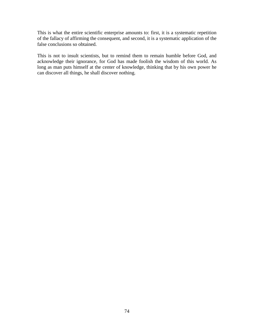This is what the entire scientific enterprise amounts to: first, it is a systematic repetition of the fallacy of affirming the consequent, and second, it is a systematic application of the false conclusions so obtained.

This is not to insult scientists, but to remind them to remain humble before God, and acknowledge their ignorance, for God has made foolish the wisdom of this world. As long as man puts himself at the center of knowledge, thinking that by his own power he can discover all things, he shall discover nothing.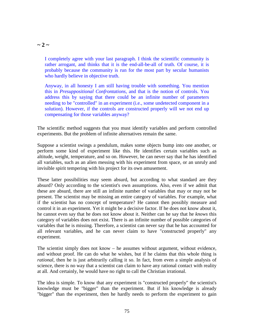$\sim$  2  $\sim$ 

I completely agree with your last paragraph. I think the scientific community is rather arrogant, and thinks that it is the end-all-be-all of truth. Of course, it is probably because the community is run for the most part by secular humanists who hardly believe in objective truth.

Anyway, in all honesty I am still having trouble with something. You mention this in *Presuppositional Confrontations*, and that is the notion of controls. You address this by saying that there could be an infinite number of parameters needing to be "controlled" in an experiment (i.e., some undetected component in a solution). However, if the controls are constructed properly will we not end up compensating for those variables anyway?

The scientific method suggests that you must identify variables and perform controlled experiments. But the problem of infinite alternatives remain the same.

Suppose a scientist swings a pendulum, makes some objects bump into one another, or perform some kind of experiment like this. He identifies certain variables such as altitude, weight, temperature, and so on. However, he can never say that he has identified all variables, such as an alien messing with his experiment from space, or an unruly and invisible spirit tempering with his project for its own amusement.

These latter possibilities may seem absurd, but according to what standard are they absurd? Only according to the scientist's own assumptions. Also, even if we admit that these are absurd, there are still an infinite number of variables that may or may not be present. The scientist may be missing an entire category of variables. For example, what if the scientist has no concept of temperature? He cannot then possibly measure and control it in an experiment. Yet it might be a decisive factor. If he does not know about it, he cannot even say that he does not know about it. Neither can he say that he *knows* this category of variables does not exist. There is an infinite number of possible categories of variables that he is missing. Therefore, a scientist can never say that he has accounted for all relevant variables, and he can never claim to have "constructed properly" any experiment.

The scientist simply does not know – he assumes without argument, without evidence, and without proof. He can do what he wishes, but if he claims that this whole thing is *rational*, then he is just arbitrarily calling it so. In fact, from even a simple analysis of science, there is no way that a scientist can claim to have any rational contact with reality at all. And certainly, he would have no right to call the Christian irrational.

The idea is simple. To know that any experiment is "constructed properly" the scientist's knowledge must be "bigger" than the experiment. But if his knowledge is already "bigger" than the experiment, then he hardly needs to perform the experiment to gain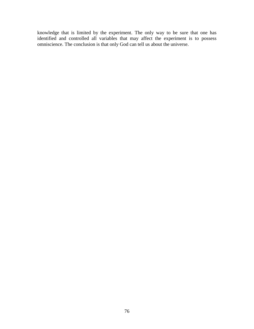knowledge that is limited by the experiment. The only way to be sure that one has identified and controlled all variables that may affect the experiment is to possess omniscience. The conclusion is that only God can tell us about the universe.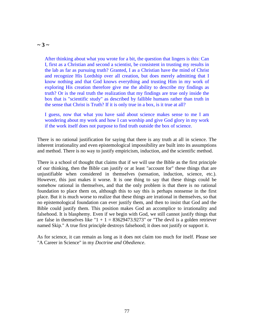#### $\sim$  3  $\sim$

After thinking about what you wrote for a bit, the question that lingers is this: Can I, first as a Christian and second a scientist, be consistent in trusting my results in the lab as far as pursuing truth? Granted, I as a Christian have the mind of Christ and recognize His Lordship over all creation, but does merely admitting that I know nothing and that God knows everything and trusting Him in my work of exploring His creation therefore give me the ability to describe my findings as truth? Or is the real truth the realization that my findings are true only inside the box that is "scientific study" as described by fallible humans rather than truth in the sense that Christ is Truth? If it is only true in a box, is it true at all?

I guess, now that what you have said about science makes sense to me I am wondering about my work and how I can worship and give God glory in my work if the work itself does not purpose to find truth outside the box of science.

There is no rational justification for saying that there is any truth at all in science. The inherent irrationality and even epistemological impossibility are built into its assumptions and method. There is no way to justify empiricism, induction, and the scientific method.

There is a school of thought that claims that if we will use the Bible as the first principle of our thinking, then the Bible can justify or at least "account for" these things that are unjustifiable when considered in themselves (sensation, induction, science, etc.). However, this just makes it worse. It is one thing to say that these things could be somehow rational in themselves, and that the only problem is that there is no rational foundation to place them on, although this to say this is perhaps nonsense in the first place. But it is much worse to realize that these things are irrational in themselves, so that no epistemological foundation can ever justify them, and then to insist that God and the Bible could justify them. This position makes God an accomplice to irrationality and falsehood. It is blasphemy. Even if we begin with God, we still cannot justify things that are false in themselves like " $1 + 1 = 83629473.9273$ " or "The devil is a golden retriever named Skip." A true first principle destroys falsehood; it does not justify or support it.

As for science, it can remain as long as it does not claim too much for itself. Please see "A Career in Science" in my *Doctrine and Obedience*.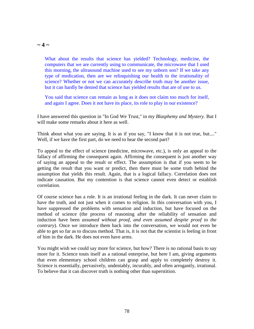#### $\sim$  4  $\sim$

What about the results that science has yielded? Technology, medicine, the computers that we are currently using to communicate, the microwave that I used this morning, the ultrasound machine used to see my unborn son? If we take any type of medication, then are we relinquishing our health to the irrationality of science? Whether or not we can accurately describe truth may be another issue, but it can hardly be denied that science has yielded results that are of use to us.

You said that science can remain as long as it does not claim too much for itself, and again I agree. Does it not have its place, its role to play in our existence?

I have answered this question in "In God We Trust," in my *Blasphemy and Mystery*. But I will make some remarks about it here as well.

Think about what you are saying. It is as if you say, "I know that it is not true, but...." Well, if we have the first part, do we need to hear the second part?

To appeal to the effect of science (medicine, microwave, etc.), is only an appeal to the fallacy of affirming the consequent again. Affirming the consequent is just another way of saying an appeal to the result or effect. The assumption is that if you seem to be getting the result that you want or predict, then there must be some truth behind the assumption that yields this result. Again, that is a logical fallacy. Correlation does not indicate causation. But my contention is that science cannot even detect or establish correlation.

Of course science has a role. It is an irrational feeling in the dark. It can never claim to have the truth, and not just when it comes to religion. In this conversation with you, I have suppressed the problems with sensation and induction, but have focused on the method of science (the process of reasoning after the reliability of sensation and induction have been *assumed without proof, and even assumed despite proof to the contrary*). Once we introduce them back into the conversation, we would not even be able to get so far as to discuss method. That is, it is not that the scientist is feeling in front of him in the dark. He does not even have arms.

You might wish we could say more for science, but how? There is no rational basis to say more for it. Science touts itself as a rational enterprise, but here I am, giving arguments that even elementary school children can grasp and apply to completely destroy it. Science is essentially, pervasively, undeniably, incurably, and often arrogantly, irrational. To believe that it can discover truth is nothing other than superstition.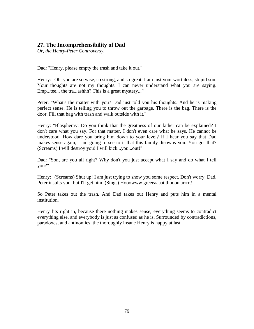# **27. The Incomprehensibility of Dad**

*Or, the Henry-Peter Controversy.*

Dad: "Henry, please empty the trash and take it out."

Henry: "Oh, you are so wise, so strong, and so great. I am just your worthless, stupid son. Your thoughts are not my thoughts. I can never understand what you are saying. Emp...tee... the tra...ashhh? This is a great mystery..."

Peter: "What's the matter with you? Dad just told you his thoughts. And he is making perfect sense. He is telling you to throw out the garbage. There is the bag. There is the door. Fill that bag with trash and walk outside with it."

Henry: "Blasphemy! Do you think that the greatness of our father can be explained? I don't care what you say. For that matter, I don't even care what he says. He cannot be understood. How dare you bring him down to your level? If I hear you say that Dad makes sense again, I am going to see to it that this family disowns you. You got that? (Screams) I will destroy you! I will kick...you...out!"

Dad: "Son, are you all right? Why don't you just accept what I say and do what I tell you?"

Henry: "(Screams) Shut up! I am just trying to show you some respect. Don't worry, Dad. Peter insults you, but I'll get him. (Sings) Hooowww greeeaaaat thooou arrrrt!"

So Peter takes out the trash. And Dad takes out Henry and puts him in a mental institution.

Henry fits right in, because there nothing makes sense, everything seems to contradict everything else, and everybody is just as confused as he is. Surrounded by contradictions, paradoxes, and antinomies, the thoroughly insane Henry is happy at last.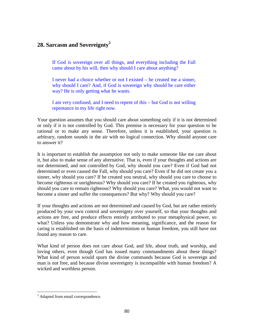# **28. Sarcasm and Sovereignty<sup>2</sup>**

If God is sovereign over all things, and everything including the Fall came about by his will, then why should I care about anything?

I never had a choice whether or not I existed – he created me a sinner, why should I care? And, if God is sovereign why should he care either way? He is only getting what he wants.

I am very confused, and I need to repent of this – but God is not willing repentance in my life right now.

Your question assumes that you should care about something only if it is not determined or only if it is not controlled by God. This premise is necessary for your question to be rational or to make any sense. Therefore, unless it is established, your question is arbitrary, random sounds in the air with no logical connection. Why should anyone care to answer it?

It is important to establish the assumption not only to make someone like me care about it, but also to make sense of any alternative. That is, even if your thoughts and actions are not determined, and not controlled by God, why should you care? Even if God had not determined or even caused the Fall, why should you care? Even if he did not create you a sinner, why should you care? If he created you neutral, why should you care to choose to become righteous or unrighteous? Why should you care? If he created you righteous, why should you care to remain righteous? Why should you care? What, you would not want to become a sinner and suffer the consequences? But why? Why should you care?

If your thoughts and actions are not determined and caused by God, but are rather entirely produced by your own control and sovereignty over yourself, so that your thoughts and actions are free, and produce effects entirely attributed to your metaphysical power, so what? Unless you demonstrate why and how meaning, significance, and the reason for caring is established on the basis of indeterminism or human freedom, you still have not found any reason to care.

What kind of person does not care about God, and life, about truth, and worship, and loving others, even though God has issued many commandments about these things? What kind of person would spurn the divine commands because God is sovereign and man is not free, and because divine sovereignty is incompatible with human freedom? A wicked and worthless person.

<sup>&</sup>lt;sup>2</sup> Adapted from email correspondence.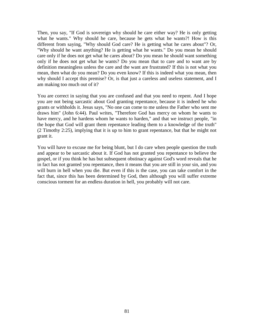Then, you say, "If God is sovereign why should he care either way? He is only getting what he wants." Why should he care, because he gets what he wants?! How is this different from saying, "Why should God care? He is getting what he cares about"? Or, "Why should he want anything? He is getting what he wants." Do you mean he should care only if he does not get what he cares about? Do you mean he should want something only if he does not get what he wants? Do you mean that to care and to want are by definition meaningless unless the care and the want are frustrated? If this is not what you mean, then what do you mean? Do you even know? If this is indeed what you mean, then why should I accept this premise? Or, is that just a careless and useless statement, and I am making too much out of it?

You are correct in saying that you are confused and that you need to repent. And I hope you are not being sarcastic about God granting repentance, because it is indeed he who grants or withholds it. Jesus says, "No one can come to me unless the Father who sent me draws him" (John 6:44). Paul writes, "Therefore God has mercy on whom he wants to have mercy, and he hardens whom he wants to harden," and that we instruct people, "in the hope that God will grant them repentance leading them to a knowledge of the truth" (2 Timothy 2:25), implying that it is up to him to grant repentance, but that he might not grant it.

You will have to excuse me for being blunt, but I do care when people question the truth and appear to be sarcastic about it. If God has not granted you repentance to believe the gospel, or if you think he has but subsequent obstinacy against God's word reveals that he in fact has not granted you repentance, then it means that you are still in your sin, and you will burn in hell when you die. But even if this is the case, you can take comfort in the fact that, since this has been determined by God, then although you will suffer extreme conscious torment for an endless duration in hell, you probably will not care.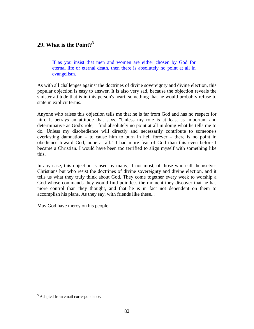## **29. What is the Point?<sup>3</sup>**

If as you insist that men and women are either chosen by God for eternal life or eternal death, then there is absolutely no point at all in evangelism.

As with all challenges against the doctrines of divine sovereignty and divine election, this popular objection is easy to answer. It is also very sad, because the objection reveals the sinister attitude that is in this person's heart, something that he would probably refuse to state in explicit terms.

Anyone who raises this objection tells me that he is far from God and has no respect for him. It betrays an attitude that says, "Unless my role is at least as important and determinative as God's role, I find absolutely no point at all in doing what he tells me to do. Unless my disobedience will directly and necessarily contribute to someone's everlasting damnation – to cause him to burn in hell forever – there is no point in obedience toward God, none at all." I had more fear of God than this even before I became a Christian. I would have been too terrified to align myself with something like this.

In any case, this objection is used by many, if not most, of those who call themselves Christians but who resist the doctrines of divine sovereignty and divine election, and it tells us what they truly think about God. They come together every week to worship a God whose commands they would find pointless the moment they discover that he has more control than they thought, and that he is in fact not dependent on them to accomplish his plans. As they say, with friends like these...

May God have mercy on his people.

<sup>&</sup>lt;sup>3</sup> Adapted from email correspondence.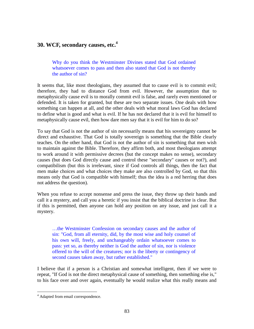## **30. WCF, secondary causes, etc.<sup>4</sup>**

Why do you think the Westminster Divines stated that God ordained whatsoever comes to pass and then also stated that God is not thereby the author of sin?

It seems that, like most theologians, they assumed that to cause evil is to commit evil; therefore, they had to distance God from evil. However, the assumption that to metaphysically cause evil is to morally commit evil is false, and rarely even mentioned or defended. It is taken for granted, but these are two separate issues. One deals with how something can happen at all, and the other deals with what moral laws God has declared to define what is good and what is evil. If he has not declared that it is evil for himself to metaphysically cause evil, then how dare men say that it is evil for him to do so?

To say that God is not the author of sin necessarily means that his sovereignty cannot be direct and exhaustive. That God is totally sovereign is something that the Bible clearly teaches. On the other hand, that God is not the author of sin is something that men wish to maintain against the Bible. Therefore, they affirm both, and most theologians attempt to work around it with permissive decrees (but the concept makes no sense), secondary causes (but does God directly cause and control these "secondary" causes or not?), and compatibilism (but this is irrelevant, since if God controls all things, then the fact that men make choices and what choices they make are also controlled by God, so that this means only that God is compatible with himself; thus the idea is a red herring that does not address the question).

When you refuse to accept nonsense and press the issue, they throw up their hands and call it a mystery, and call you a heretic if you insist that the biblical doctrine is clear. But if this is permitted, then anyone can hold any position on any issue, and just call it a mystery.

…the Westminster Confession on secondary causes and the author of sin: "God, from all eternity, did, by the most wise and holy counsel of his own will, freely, and unchangeably ordain whatsoever comes to pass: yet so, as thereby neither is God the author of sin, nor is violence offered to the will of the creatures; nor is the liberty or contingency of second causes taken away, but rather established."

I believe that if a person is a Christian and somewhat intelligent, then if we were to repeat, "If God is not the direct metaphysical cause of something, then something else is," to his face over and over again, eventually he would realize what this really means and

<sup>&</sup>lt;sup>4</sup> Adapted from email correspondence.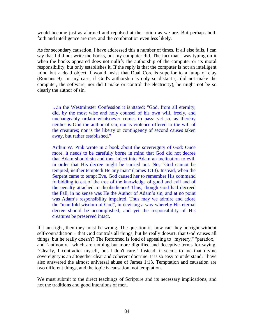would become just as alarmed and repulsed at the notion as we are. But perhaps both faith and intelligence are rare, and the combination even less likely.

As for secondary causation, I have addressed this a number of times. If all else fails, I can say that I did not write the books, but my computer did. The fact that I was typing on it when the books appeared does not nullify the authorship of the computer or its moral responsibility, but only establishes it. If the reply is that the computer is not an intelligent mind but a dead object, I would insist that Dual Core is superior to a lump of clay (Romans 9). In any case, if God's authorship is only so distant (I did not make the computer, the software, nor did I make or control the electricity), he might not be so clearly the author of sin.

…in the Westminster Confession it is stated: "God, from all eternity, did, by the most wise and holy counsel of his own will, freely, and unchangeably ordain whatsoever comes to pass: yet so, as thereby neither is God the author of sin, nor is violence offered to the will of the creatures; nor is the liberty or contingency of second causes taken away, but rather established."

Arthur W. Pink wrote in a book about the sovereignty of God: Once more, it needs to be carefully borne in mind that God did not decree that Adam should sin and then inject into Adam an inclination to evil, in order that His decree might be carried out. No; "God cannot be tempted, neither tempteth He any man" (James 1:13). Instead, when the Serpent came to tempt Eve, God caused her to remember His command forbidding to eat of the tree of the knowledge of good and evil and of the penalty attached to disobedience! Thus, though God had decreed the Fall, in no sense was He the Author of Adam's sin, and at no point was Adam's responsibility impaired. Thus may we admire and adore the "manifold wisdom of God", in devising a way whereby His eternal decree should be accomplished, and yet the responsibility of His creatures be preserved intact.

If I am right, then they must be wrong. The question is, how can they be right without self-contradiction – that God controls all things, but he really doesn't, that God causes all things, but he really doesn't? The Reformed is fond of appealing to "mystery," "paradox," and "antinomy," which are nothing but more dignified and deceptive terms for saying, "Clearly, I contradict myself, but I don't care." Instead, it seems to me that divine sovereignty is an altogether clear and coherent doctrine. It is so easy to understand. I have also answered the almost universal abuse of James 1:13. Temptation and causation are two different things, and the topic is causation, not temptation.

We must submit to the direct teachings of Scripture and its necessary implications, and not the traditions and good intentions of men.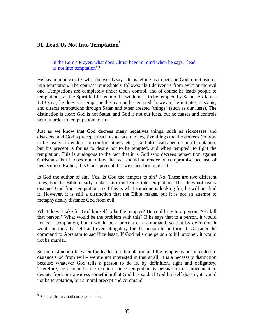# **31. Lead Us Not Into Temptation<sup>5</sup>**

In the Lord's Prayer, what does Christ have in mind when he says, "lead us not into temptation"?

He has in mind exactly what the words  $say - he$  is telling us to petition God to not lead us into temptation. The contrast immediately follows: "but deliver us from evil" or the evil one. Temptations are completely under God's control, and of course he leads people to temptations, as the Spirit led Jesus into the wilderness to be tempted by Satan. As James 1:13 says, he does not tempt, neither can he be tempted; however, he initiates, sustains, and directs temptations through Satan and other created "things" (such as our lusts). The distinction is clear: God is not Satan, and God is not our lusts, but he causes and controls both in order to tempt people to sin.

Just as we know that God decrees many negatives things, such as sicknesses and disasters, and God's precepts teach us to face the negative things that he decrees (to pray to be healed, to endure, to comfort others, etc.), God also leads people into temptation, but his precept is for us to desire not to be tempted, and when tempted, to fight the temptation. This is analogous to the fact that it is God who decrees persecution against Christians, but it does not follow that we should surrender or compromise because of persecution. Rather, it is God's precept that we stand firm under it.

Is God the author of sin? Yes. Is God the tempter to sin? No. These are two different roles, but the Bible clearly makes him the leader-into-temptation. This does not really distance God from temptation, so if this is what someone is looking for, he will not find it. However, it is still a distinction that the Bible makes, but it is not an attempt to metaphysically distance God from evil.

What does it take for God himself to be the tempter? He could say to a person, "Go kill that person." What would be the problem with this? If he says that to a person, it would not be a temptation, but it would be a precept or a command, so that by definition it would be morally right and even obligatory for the person to perform it. Consider the command to Abraham to sacrifice Isaac. If God tells one person to kill another, it would not be murder.

So the distinction between the leader-into-temptation and the tempter is not intended to distance God from evil – we are not interested in that at all. It is a necessary distinction because whatever God tells a person to do is, by definition, right and obligatory. Therefore, he cannot be the tempter, since temptation is persuasion or enticement to deviate from or transgress something that God has said. If God himself does it, it would not be temptation, but a moral precept and command.

<sup>&</sup>lt;sup>5</sup> Adapted from email correspondence.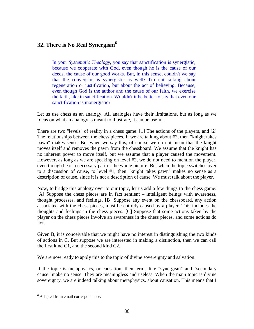# **32. There is No Real Synergism<sup>6</sup>**

In your *Systematic Theology*, you say that sanctification is synergistic, because we cooperate with God, even though he is the cause of our deeds, the cause of our good works. But, in this sense, couldn't we say that the conversion is synergistic as well? I'm not talking about regeneration or justification, but about the act of believing. Because, even though God is the author and the cause of our faith, we exercise the faith, like in sanctification. Wouldn't it be better to say that even our sanctification is monergistic?

Let us use chess as an analogy. All analogies have their limitations, but as long as we focus on what an analogy is meant to illustrate, it can be useful.

There are two "levels" of reality in a chess game: [1] The actions of the players, and [2] The relationships between the chess pieces. If we are talking about #2, then "knight takes pawn" makes sense. But when we say this, of course we do not mean that the knight moves itself and removes the pawn from the chessboard. We assume that the knight has no inherent power to move itself, but we assume that a player caused the movement. However, as long as we are speaking on level #2, we do not need to mention the player, even though he is a necessary part of the whole picture. But when the topic switches over to a discussion of cause, to level #1, then "knight takes pawn" makes no sense as a description of cause, since it is not a description of cause. We must talk about the player.

Now, to bridge this analogy over to our topic, let us add a few things to the chess game: [A] Suppose the chess pieces are in fact sentient – intelligent beings with awareness, thought processes, and feelings. [B] Suppose any event on the chessboard, any action associated with the chess pieces, must be entirely caused by a player. This includes the thoughts and feelings in the chess pieces. [C] Suppose that some actions taken by the player on the chess pieces involve an awareness in the chess pieces, and some actions do not.

Given B, it is conceivable that we might have no interest in distinguishing the two kinds of actions in C. But suppose we are interested in making a distinction, then we can call the first kind C1, and the second kind C2.

We are now ready to apply this to the topic of divine sovereignty and salvation.

If the topic is metaphysics, or causation, then terms like "synergism" and "secondary cause" make no sense. They are meaningless and useless. When the main topic is divine sovereignty, we are indeed talking about metaphysics, about causation. This means that I

<sup>6</sup> Adapted from email correspondence.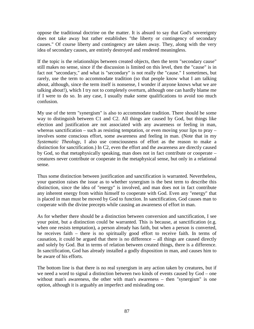oppose the traditional doctrine on the matter. It is absurd to say that God's sovereignty does not take away but rather establishes "the liberty or contingency of secondary causes." Of course liberty and contingency are taken away. They, along with the very idea of secondary causes, are entirely destroyed and rendered meaningless.

If the topic is the relationships between created objects, then the term "secondary cause" still makes no sense, since if the discussion is limited on this level, then the "cause" is in fact not "secondary," and what is "secondary" is not really the "cause." I sometimes, but rarely, use the term to accommodate tradition (so that people know what I am talking about, although, since the term itself is nonsense, I wonder if anyone knows what we are talking about!), which I try not to completely overturn, although one can hardly blame me if I were to do so. In any case, I usually make some qualifications to avoid too much confusion.

My use of the term "synergism" is also to accommodate tradition. There should be some way to distinguish between C1 and C2. All things are caused by God, but things like election and justification are not associated with any awareness or feeling in man, whereas sanctification – such as resisting temptation, or even moving your lips to  $\text{pray}$  – involves some conscious effort, some awareness and feeling in man. (Note that in my *Systematic Theology*, I also use consciousness of effort as the reason to make a distinction for sanctification.) In C2, even the effort and the awareness are directly caused by God, so that metaphysically speaking, man does not in fact contribute or cooperate – creatures never contribute or cooperate in the metaphysical sense, but only in a relational sense.

Thus some distinction between justification and sanctification is warranted. Nevertheless, your question raises the issue as to whether synergism is the best term to describe this distinction, since the idea of "energy" is involved, and man does not in fact contribute any inherent energy from within himself to cooperate with God. Even any "energy" that is placed in man must be moved by God to function. In sanctification, God causes man to cooperate with the divine precepts while causing an awareness of effort in man.

As for whether there should be a distinction between conversion and sanctification, I see your point, but a distinction could be warranted. This is because, at sanctification (e.g. when one resists temptation), a person already has faith, but when a person is converted, he receives faith – there is no spiritually good effort to receive faith. In terms of causation, it could be argued that there is no difference – all things are caused directly and solely by God. But in terms of relation between created things, there is a difference. In sanctification, God has already installed a godly disposition in man, and causes him to be aware of his efforts.

The bottom line is that there is no real synergism in any action taken by creatures, but if we need a word to signal a distinction between two kinds of events caused by God – one without man's awareness, the other with man's awareness – then "synergism" is one option, although it is arguably an imperfect and misleading one.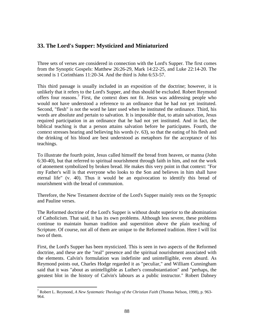## **33. The Lord's Supper: Mysticized and Miniaturized**

Three sets of verses are considered in connection with the Lord's Supper. The first comes from the Synoptic Gospels: Matthew 26:26-29, Mark 14:22-25, and Luke 22:14-20. The second is 1 Corinthians 11:20-34. And the third is John 6:53-57.

This third passage is usually included in an exposition of the doctrine; however, it is unlikely that it refers to the Lord's Supper, and thus should be excluded. Robert Reymond offers four reasons.<sup>7</sup> First, the context does not fit. Jesus was addressing people who would not have understood a reference to an ordinance that he had not yet instituted. Second, "flesh" is not the word he later used when he instituted the ordinance. Third, his words are absolute and pertain to salvation. It is impossible that, to attain salvation, Jesus required participation in an ordinance that he had not yet instituted. And in fact, the biblical teaching is that a person attains salvation before he participates. Fourth, the context stresses hearing and believing his words (v. 63), so that the eating of his flesh and the drinking of his blood are best understood as metaphors for the acceptance of his teachings.

To illustrate the fourth point, Jesus called himself the bread from heaven, or manna (John 6:30-40), but that referred to spiritual nourishment through faith in him, and not the work of atonement symbolized by broken bread. He makes this very point in that context: "For my Father's will is that everyone who looks to the Son and believes in him shall have eternal life" (v. 40). Thus it would be an equivocation to identify this bread of nourishment with the bread of communion.

Therefore, the New Testament doctrine of the Lord's Supper mainly rests on the Synoptic and Pauline verses.

The Reformed doctrine of the Lord's Supper is without doubt superior to the abomination of Catholicism. That said, it has its own problems. Although less severe, these problems continue to maintain human tradition and superstition above the plain teaching of Scripture. Of course, not all of them are unique to the Reformed tradition. Here I will list two of them.

First, the Lord's Supper has been mysticized. This is seen in two aspects of the Reformed doctrine, and these are the "real" presence and the spiritual nourishment associated with the elements. Calvin's formulation was indefinite and unintelligible, even absurd. As Reymond points out, Charles Hodge regarded it as "peculiar," and William Cunningham said that it was "about as unintelligible as Luther's consubstantiation" and "perhaps, the greatest blot in the history of Calvin's labours as a public instructor." Robert Dabney

<sup>7</sup> Robert L. Reymond, *A New Systematic Theology of the Christian Faith* (Thomas Nelson, 1998), p. 963- 964.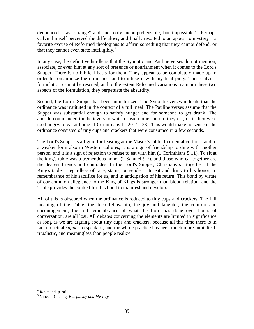denounced it as "strange" and "not only incomprehensible, but impossible."<sup>8</sup> Perhaps Calvin himself perceived the difficulties, and finally resorted to an appeal to mystery  $- a$ favorite excuse of Reformed theologians to affirm something that they cannot defend, or that they cannot even state intelligibly.<sup>9</sup>

In any case, the definitive hurdle is that the Synoptic and Pauline verses do not mention, associate, or even hint at any sort of presence or nourishment when it comes to the Lord's Supper. There is no biblical basis for them. They appear to be completely made up in order to romanticize the ordinance, and to infuse it with mystical piety. Thus Calvin's formulation cannot be rescued, and to the extent Reformed variations maintain these two aspects of the formulation, they perpetuate the absurdity.

Second, the Lord's Supper has been miniaturized. The Synoptic verses indicate that the ordinance was instituted in the context of a full meal. The Pauline verses assume that the Supper was substantial enough to satisfy hunger and for someone to get drunk. The apostle commanded the believers to wait for each other before they eat, or if they were too hungry, to eat at home (1 Corinthians 11:20-21, 33). This would make no sense if the ordinance consisted of tiny cups and crackers that were consumed in a few seconds.

The Lord's Supper is a figure for feasting at the Master's table. In oriental cultures, and in a weaker form also in Western cultures, it is a sign of friendship to dine with another person, and it is a sign of rejection to refuse to eat with him (1 Corinthians 5:11). To sit at the king's table was a tremendous honor (2 Samuel 9:7), and those who eat together are the dearest friends and comrades. In the Lord's Supper, Christians sit together at the King's table – regardless of race, status, or gender – to eat and drink to his honor, in remembrance of his sacrifice for us, and in anticipation of his return. This bond by virtue of our common allegiance to the King of Kings is stronger than blood relation, and the Table provides the context for this bond to manifest and develop.

All of this is obscured when the ordinance is reduced to tiny cups and crackers. The full meaning of the Table, the deep fellowship, the joy and laughter, the comfort and encouragement, the full remembrance of what the Lord has done over hours of conversation, are all lost. All debates concerning the elements are limited in significance as long as we are arguing about tiny cups and crackers, because all this time there is in fact no actual *supper* to speak of, and the whole practice has been much more unbiblical, ritualistic, and meaningless than people realize.

 $8$  Reymond, p. 961.

<sup>9</sup> Vincent Cheung, *Blasphemy and Mystery*.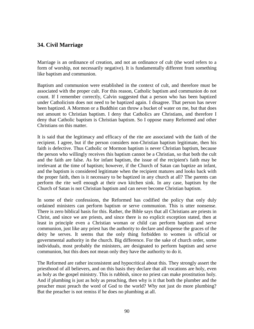## **34. Civil Marriage**

Marriage is an ordinance of creation, and not an ordinance of cult (the word refers to a form of worship, not necessarily negative). It is fundamentally different from something like baptism and communion.

Baptism and communion were established in the context of cult, and therefore must be associated with the proper cult. For this reason, Catholic baptism and communion do not count. If I remember correctly, Calvin suggested that a person who has been baptized under Catholicism does not need to be baptized again. I disagree. That person has never been baptized. A Mormon or a Buddhist can throw a bucket of water on me, but that does not amount to Christian baptism. I deny that Catholics are Christians, and therefore I deny that Catholic baptism is Christian baptism. So I oppose many Reformed and other Christians on this matter.

It is said that the legitimacy and efficacy of the rite are associated with the faith of the recipient. I agree, but if the person considers non-Christian baptism legitimate, then his faith is defective. Thus Catholic or Mormon baptism is never Christian baptism, because the person who willingly receives this baptism cannot be a Christian, so that both the cult and the faith are false. As for infant baptism, the issue of the recipient's faith may be irrelevant at the time of baptism; however, if the Church of Satan can baptize an infant, and the baptism is considered legitimate when the recipient matures and looks back with the proper faith, then is it necessary to be baptized in any church at all? The parents can perform the rite well enough at their own kitchen sink. In any case, baptism by the Church of Satan is not Christian baptism and can never become Christian baptism.

In some of their confessions, the Reformed has codified the policy that only duly ordained ministers can perform baptism or serve communion. This is utter nonsense. There is zero biblical basis for this. Rather, the Bible says that all Christians are priests in Christ, and since we are priests, and since there is no explicit exception stated, then at least in principle even a Christian woman or child can perform baptism and serve communion, just like any priest has the authority to declare and dispense the graces of the deity he serves. It seems that the only thing forbidden to women is official or governmental authority in the church. Big difference. For the sake of church order, some individuals, most probably the ministers, are designated to perform baptism and serve communion, but this does not mean only they have the authority to do it.

The Reformed are rather inconsistent and hypocritical about this. They strongly assert the priesthood of all believers, and on this basis they declare that all vocations are holy, even as holy as the gospel ministry. This is rubbish, since no priest can make prostitution holy. And if plumbing is just as holy as preaching, then why is it that both the plumber and the preacher must preach the word of God to the world? Why not just do more plumbing? But the preacher is not remiss if he does no plumbing at all.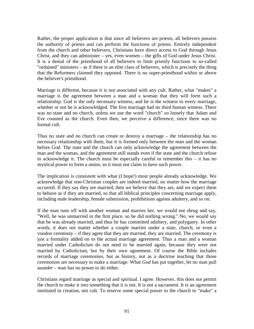Rather, the proper application is that since all believers are priests, all believers possess the authority of priests and can perform the functions of priests. Entirely independent from the church and other believers, Christians have direct access to God through Jesus Christ, and they can administer – yes, even women – the gifts of God under Jesus Christ. It is a denial of the priesthood of all believers to limit priestly functions to so-called "ordained" ministers – as if there is an elite class of believers, which is precisely the thing that the Reformers claimed they opposed. There is no super-priesthood within or above the believer's priesthood.

Marriage is different, because it is not associated with any cult. Rather, what "makes" a marriage is the agreement between a man and a woman that they will form such a relationship. God is the only necessary witness, and he is the witness to every marriage, whether or not he is acknowledged. The first marriage had no third human witness. There was no state and no church, unless we use the word "church" so loosely that Adam and Eve counted as the church. Even then, we perceive a difference, since there was no formal cult.

Thus no state and no church can create or destroy a marriage – the relationship has no necessary relationship with them, but it is formed only between the man and the woman before God. The state and the church can only acknowledge the agreement between the man and the woman, and the agreement still stands even if the state and the church refuse to acknowledge it. The church must be especially careful to remember this – it has no mystical power to form a union, so it must not claim to have such power.

The implication is consistent with what (I hope!) most people already acknowledge. We acknowledge that non-Christian couples are indeed married, no matter how the marriage occurred. If they say they are married, then we believe that they are, and we expect them to behave as if they are married, so that all biblical principles concerning marriage apply, including male leadership, female submission, prohibitions against adultery, and so on.

If the man runs off with another woman and marries her, we would not shrug and say, "Well, he was unmarried in the first place, so he did nothing wrong." No, we would say that he was already married, and thus he has committed adultery, and polygamy. In other words, it does not matter whether a couple marries under a state, church, or even a voodoo ceremony – if they agree that they are married, they are married. The ceremony is just a formality added on to the actual marriage agreement. Thus a man and a woman married under Catholicism do not need to be married again, because they were not married by Catholicism, but by their own agreement. Of course the Bible includes records of marriage ceremonies, but as history, not as a doctrine teaching that those ceremonies are necessary to make a marriage. What *God* has put together, let no man pull asunder – man has no power to do either.

Christians regard marriage as special and spiritual. I agree. However, this does not permit the church to make it into something that it is not. It is not a sacrament. It is an agreement instituted in creation, not cult. To reserve some special power to the church to "make" a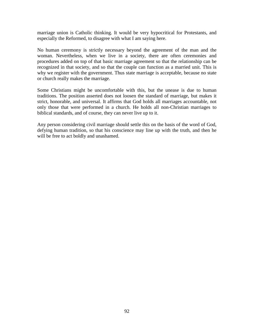marriage union is Catholic thinking. It would be very hypocritical for Protestants, and especially the Reformed, to disagree with what I am saying here.

No human ceremony is strictly necessary beyond the agreement of the man and the woman. Nevertheless, when we live in a society, there are often ceremonies and procedures added on top of that basic marriage agreement so that the relationship can be recognized in that society, and so that the couple can function as a married unit. This is why we register with the government. Thus state marriage is acceptable, because no state or church really makes the marriage.

Some Christians might be uncomfortable with this, but the unease is due to human traditions. The position asserted does not loosen the standard of marriage, but makes it strict, honorable, and universal. It affirms that God holds all marriages accountable, not only those that were performed in a church. He holds all non-Christian marriages to biblical standards, and of course, they can never live up to it.

Any person considering civil marriage should settle this on the basis of the word of God, defying human tradition, so that his conscience may line up with the truth, and then he will be free to act boldly and unashamed.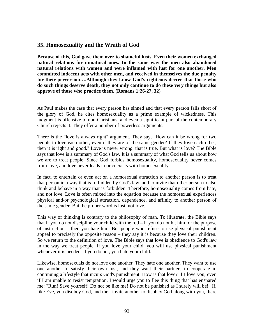### **35. Homosexuality and the Wrath of God**

**Because of this, God gave them over to shameful lusts. Even their women exchanged natural relations for unnatural ones. In the same way the men also abandoned natural relations with women and were inflamed with lust for one another. Men committed indecent acts with other men, and received in themselves the due penalty for their perversion….Although they know God's righteous decree that those who do such things deserve death, they not only continue to do these very things but also approve of those who practice them. (Romans 1:26-27, 32)**

As Paul makes the case that every person has sinned and that every person falls short of the glory of God, he cites homosexuality as a prime example of wickedness. This judgment is offensive to non-Christians, and even a significant part of the contemporary Church rejects it. They offer a number of powerless arguments.

There is the "love is always right" argument. They say, "How can it be wrong for two people to love each other, even if they are of the same gender? If they love each other, then it is right and good." Love is never wrong, that is true. But what is love? The Bible says that love is a summary of God's law. It is a summary of what God tells us about how we are to treat people. Since God forbids homosexuality, homosexuality never comes from love, and love never leads to or coexists with homosexuality.

In fact, to entertain or even act on a homosexual attraction to another person is to treat that person in a way that is forbidden by God's law, and to invite that other person to also think and behave in a way that is forbidden. Therefore, homosexuality comes from hate, and not love. Love is often mixed into the equation because the homosexual experiences physical and/or psychological attraction, dependence, and affinity to another person of the same gender. But the proper word is lust, not love.

This way of thinking is contrary to the philosophy of man. To illustrate, the Bible says that if you do not discipline your child with the rod  $-$  if you do not hit him for the purpose of instruction – then you hate him. But people who refuse to use physical punishment appeal to precisely the opposite reason – they say it is because they love their children. So we return to the definition of love. The Bible says that love is obedience to God's law in the way we treat people. If you love your child, you will use physical punishment whenever it is needed. If you do not, you hate your child.

Likewise, homosexuals do not love one another. They hate one another. They want to use one another to satisfy their own lust, and they want their partners to cooperate in continuing a lifestyle that incurs God's punishment. How is that love? If I love you, even if I am unable to resist temptation, I would urge you to flee this thing that has ensnared me: "Run! Save yourself! Do not be like me! Do not be punished as I surely will be!" If, like Eve, you disobey God, and then invite another to disobey God along with you, there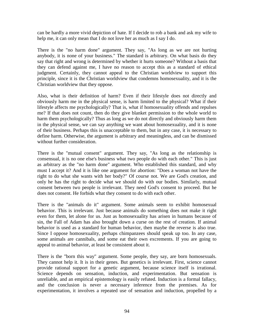can be hardly a more vivid depiction of hate. If I decide to rob a bank and ask my wife to help me, it can only mean that I do not love her as much as I say I do.

There is the "no harm done" argument. They say, "As long as we are not hurting anybody, it is none of your business." The standard is arbitrary. On what basis do they say that right and wrong is determined by whether it hurts someone? Without a basis that they can defend against me, I have no reason to accept this as a standard of ethical judgment. Certainly, they cannot appeal to the Christian worldview to support this principle, since it is the Christian worldview that condemns homosexuality, and it is the Christian worldview that they oppose.

Also, what is their definition of harm? Even if their lifestyle does not directly and obviously harm me in the physical sense, is harm limited to the physical? What if their lifestyle affects me psychologically? That is, what if homosexuality offends and repulses me? If that does not count, then do they give blanket permission to the whole world to harm them psychologically? Thus as long as we do not directly and obviously harm them in the physical sense, we can say anything we want about homosexuality, and it is none of their business. Perhaps this is unacceptable to them, but in any case, it is necessary to define harm. Otherwise, the argument is arbitrary and meaningless, and can be dismissed without further consideration.

There is the "mutual consent" argument. They say, "As long as the relationship is consensual, it is no one else's business what two people do with each other." This is just as arbitrary as the "no harm done" argument. Who established this standard, and why must I accept it? And it is like one argument for abortion: "Does a woman not have the right to do what she wants with her body?" Of course not. We are God's creation, and only he has the right to decide what we should do with our bodies. Similarly, mutual consent between two people is irrelevant. They need God's consent to proceed. But he does not consent. He forbids what they consent to do with each other.

There is the "animals do it" argument. Some animals seem to exhibit homosexual behavior. This is irrelevant. Just because animals do something does not make it right even for them, let alone for us. Just as homosexuality has arisen in humans because of sin, the Fall of Adam has also brought down a curse on the rest of creation. If animal behavior is used as a standard for human behavior, then maybe the reverse is also true. Since I oppose homosexuality, perhaps chimpanzees should speak up too. In any case, some animals are cannibals, and some eat their own excrements. If you are going to appeal to animal behavior, at least be consistent about it.

There is the "born this way" argument. Some people, they say, are born homosexuals. They cannot help it. It is in their genes. But genetics is irrelevant. First, science cannot provide rational support for a genetic argument, because science itself is irrational. Science depends on sensation, induction, and experimentation. But sensation is unreliable, and an empirical epistemology is easily refuted. Induction is a formal fallacy, and the conclusion is never a necessary inference from the premises. As for experimentation, it involves a repeated use of sensation and induction, propelled by a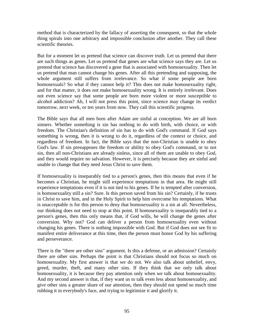method that is characterized by the fallacy of asserting the consequent, so that the whole thing spirals into one arbitrary and impossible conclusion after another. They call these scientific theories.

But for a moment let us pretend that science can discover truth. Let us pretend that there are such things as genes. Let us pretend that genes are what science says they are. Let us pretend that science has discovered a gene that is associated with homosexuality. Then let us pretend that man cannot change his genes. After all this pretending and supposing, the whole argument still suffers from irrelevance. So what if some people are born homosexuals? So what if they cannot help it? This does not make homosexuality right, and for that matter, it does not make homosexuality wrong. It is entirely irrelevant. Does not even science say that some people are born more violent or more susceptible to alcohol addiction? Ah, I will not press this point, since science may change its verdict tomorrow, next week, or ten years from now. They call this scientific progress.

The Bible says that all men born after Adam are sinful at conception. We are all born sinners. Whether something is sin has nothing to do with birth, with choice, or with freedom. The Christian's definition of sin has to do with God's command. If God says something is wrong, then it is wrong to do it, regardless of the context or choice, and regardless of freedom. In fact, the Bible says that the non-Christian is unable to obey God's law. If sin presupposes the freedom or ability to obey God's command, or to not sin, then all non-Christians are already sinless, since all of them are unable to obey God, and they would require no salvation. However, it is precisely because they are sinful and unable to change that they need Jesus Christ to save them.

If homosexuality is inseparably tied to a person's genes, then this means that even if he becomes a Christian, he might still experience temptations in that area. He might still experience temptations even if it is not tied to his genes. If he is tempted after conversion, is homosexuality still a sin? Sure. Is this person saved from his sin? Certainly, if he trusts in Christ to save him, and in the Holy Spirit to help him overcome his temptations. What is unacceptable is for this person to deny that homosexuality is a sin at all. Nevertheless, our thinking does not need to stop at this point. If homosexuality is inseparably tied to a person's genes, then this only means that, if God wills, he will change the genes after conversion. Why not? God can deliver a person from homosexuality even without changing his genes. There is nothing impossible with God. But if God does not see fit to manifest entire deliverance at this time, then the person must honor God by his suffering and perseverance.

There is the "there are other sins" argument. Is this a defense, or an admission? Certainly there are other sins. Perhaps the point is that Christians should not focus so much on homosexuality. My first answer is that we do not. We also talk about unbelief, envy, greed, murder, theft, and many other sins. If they think that we only talk about homosexuality, it is because they pay attention only when we talk about homosexuality. And my second answer is that, if they want us to talk even less about homosexuality, and give other sins a greater share of our attention, then they should not spend so much time rubbing it in everybody's face, and trying to legitimize it and glorify it.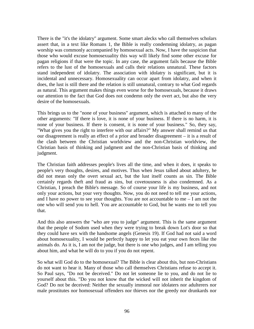There is the "it's the idolatry" argument. Some smart alecks who call themselves scholars assert that, in a text like Romans 1, the Bible is really condemning idolatry, as pagan worship was commonly accompanied by homosexual acts. Now, I have the suspicion that those who would excuse homosexuality this way will likely find some other excuse for pagan religions if that were the topic. In any case, the argument fails because the Bible refers to the lust of the homosexuals and calls their relations unnatural. These factors stand independent of idolatry. The association with idolatry is significant, but it is incidental and unnecessary. Homosexuality can occur apart from idolatry, and when it does, the lust is still there and the relation is still unnatural, contrary to what God regards as natural. This argument makes things even worse for the homosexuals, because it draws our attention to the fact that God does not condemn only the overt act, but also the very desire of the homosexuals.

This brings us to the "none of your business" argument, which is attached to many of the other arguments: "If there is love, it is none of your business. If there is no harm, it is none of your business. If there is consent, it is none of your business." So, they say, "What gives you the right to interfere with our affairs?" My answer shall remind us that our disagreement is really an effect of a prior and broader disagreement – it is a result of the clash between the Christian worldview and the non-Christian worldview, the Christian basis of thinking and judgment and the non-Christian basis of thinking and judgment.

The Christian faith addresses people's lives all the time, and when it does, it speaks to people's very thoughts, desires, and motives. Thus when Jesus talked about adultery, he did not mean only the overt sexual act, but the lust itself counts as sin. The Bible certainly regards theft and fraud as sins, but covetousness is also condemned. As a Christian, I preach the Bible's message. So of course your life is my business, and not only your actions, but your very thoughts. Now, you do not need to tell me your actions, and I have no power to see your thoughts. You are not accountable to me – I am not the one who will send you to hell. You are accountable to God, but he wants me to tell you that.

And this also answers the "who are you to judge" argument. This is the same argument that the people of Sodom used when they were trying to break down Lot's door so that they could have sex with the handsome angels (Genesis 19). If God had not said a word about homosexuality, I would be perfectly happy to let you eat your own feces like the animals do. As it is, I am not the judge, but there is one who judges, and I am telling you about him, and what he will do to you if you do not repent.

So what will God do to the homosexual? The Bible is clear about this, but non-Christians do not want to hear it. Many of those who call themselves Christians refuse to accept it. So Paul says, "Do not be deceived." Do not let someone lie to you, and do not lie to yourself about this. "Do you not know that the wicked will not inherit the kingdom of God? Do not be deceived: Neither the sexually immoral nor idolaters nor adulterers nor male prostitutes nor homosexual offenders nor thieves nor the greedy nor drunkards nor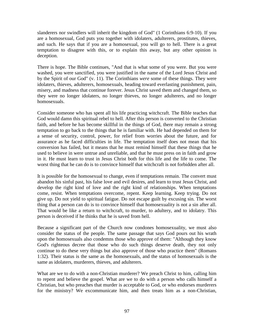slanderers nor swindlers will inherit the kingdom of God" (1 Corinthians 6:9-10). If you are a homosexual, God puts you together with idolaters, adulterers, prostitutes, thieves, and such. He says that if you are a homosexual, you will go to hell. There is a great temptation to disagree with this, or to explain this away, but any other opinion is deception.

There is hope. The Bible continues, "And that is what some of you were. But you were washed, you were sanctified, you were justified in the name of the Lord Jesus Christ and by the Spirit of our God" (v. 11). The Corinthians *were* some of these things. They were idolaters, thieves, adulterers, homosexuals, heading toward everlasting punishment, pain, misery, and madness that continue forever. Jesus Christ saved them and changed them, so they were no longer idolaters, no longer thieves, no longer adulterers, and no longer homosexuals.

Consider someone who has spent all his life practicing witchcraft. The Bible teaches that God would damn this spiritual rebel to hell. After this person is converted to the Christian faith, and before he has become skillful in the things of God, there may remain a strong temptation to go back to the things that he is familiar with. He had depended on them for a sense of security, control, power, for relief from worries about the future, and for assurance as he faced difficulties in life. The temptation itself does not mean that his conversion has failed, but it means that he must remind himself that these things that he used to believe in were untrue and unreliable, and that he must press on in faith and grow in it. He must learn to trust in Jesus Christ both for this life and the life to come. The worst thing that he can do is to convince himself that witchcraft is not forbidden after all.

It is possible for the homosexual to change, even if temptations remain. The convert must abandon his sinful past, his false love and evil desires, and learn to trust Jesus Christ, and develop the right kind of love and the right kind of relationships. When temptations come, resist. When temptations overcome, repent. Keep learning. Keep trying. Do not give up. Do not yield to spiritual fatigue. Do not escape guilt by excusing sin. The worst thing that a person can do is to convince himself that homosexuality is not a sin after all. That would be like a return to witchcraft, to murder, to adultery, and to idolatry. This person is deceived if he thinks that he is saved from hell.

Because a significant part of the Church now condones homosexuality, we must also consider the status of the people. The same passage that says God pours out his wrath upon the homosexuals also condemns those who approve of them: "Although they know God's righteous decree that those who do such things deserve death, they not only continue to do these very things but also approve of those who practice them" (Romans 1:32). Their status is the same as the homosexuals, and the status of homosexuals is the same as idolaters, murderers, thieves, and adulterers.

What are we to do with a non-Christian murderer? We preach Christ to him, calling him to repent and believe the gospel. What are we to do with a person who calls himself a Christian, but who preaches that murder is acceptable to God, or who endorses murderers for the ministry? We excommunicate him, and then treats him as a non-Christian,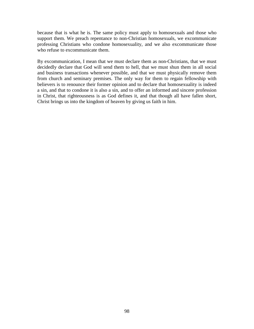because that is what he is. The same policy must apply to homosexuals and those who support them. We preach repentance to non-Christian homosexuals, we excommunicate professing Christians who condone homosexuality, and we also excommunicate those who refuse to excommunicate them.

By excommunication, I mean that we must declare them as non-Christians, that we must decidedly declare that God will send them to hell, that we must shun them in all social and business transactions whenever possible, and that we must physically remove them from church and seminary premises. The only way for them to regain fellowship with believers is to renounce their former opinion and to declare that homosexuality is indeed a sin, and that to condone it is also a sin, and to offer an informed and sincere profession in Christ, that righteousness is as God defines it, and that though all have fallen short, Christ brings us into the kingdom of heaven by giving us faith in him.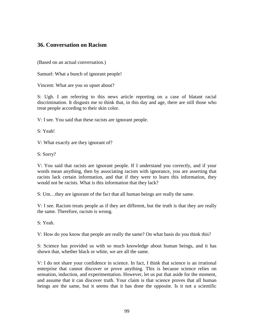## **36. Conversation on Racism**

(Based on an actual conversation.)

Samuel: What a bunch of ignorant people!

Vincent: What are you so upset about?

S: Ugh. I am referring to this news article reporting on a case of blatant racial discrimination. It disgusts me to think that, in this day and age, there are still those who treat people according to their skin color.

V: I see. You said that these racists are ignorant people.

S: Yeah!

V: What exactly are they ignorant of?

S: Sorry?

V: You said that racists are ignorant people. If I understand you correctly, and if your words mean anything, then by associating racism with ignorance, you are asserting that racists lack certain information, and that if they were to learn this information, they would not be racists. What is this information that they lack?

S: Um…they are ignorant of the fact that all human beings are really the same.

V: I see. Racism treats people as if they are different, but the truth is that they are really the same. Therefore, racism is wrong.

S: Yeah.

V: How do you know that people are really the same? On what basis do you think this?

S: Science has provided us with so much knowledge about human beings, and it has shown that, whether black or white, we are all the same.

V: I do not share your confidence in science. In fact, I think that science is an irrational enterprise that cannot discover or prove anything. This is because science relies on sensation, induction, and experimentation. However, let us put that aside for the moment, and assume that it can discover truth. Your claim is that science proves that all human beings are the same, but it seems that it has done the opposite. Is it not a scientific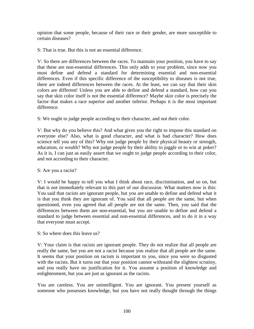opinion that some people, because of their race or their gender, are more susceptible to certain diseases?

S: That is true. But this is not an essential difference.

V: So there are differences between the races. To maintain your position, you have to say that these are non-essential differences. This only adds to your problem, since now you must define and defend a standard for determining essential and non-essential differences. Even if this specific difference of the susceptibility to diseases is not true, there are indeed differences between the races. At the least, we can say that their skin colors are different! Unless you are able to define and defend a standard, how can you say that skin color itself is not the essential difference? Maybe skin color is precisely the factor that makes a race superior and another inferior. Perhaps it is the most important difference.

S: We ought to judge people according to their character, and not their color.

V: But why do you believe this? And what gives you the right to impose this standard on everyone else? Also, what is good character, and what is bad character? How does science tell you any of this? Why not judge people by their physical beauty or strength, education, or wealth? Why not judge people by their ability to juggle or to win at poker? As it is, I can just as easily assert that we ought to judge people according to their color, and not according to their character.

S: Are you a racist?

V: I would be happy to tell you what I think about race, discrimination, and so on, but that is not immediately relevant to this part of our discussion. What matters now is this: You said that racists are ignorant people, but you are unable to define and defend what it is that you think they are ignorant of. You said that all people are the same, but when questioned, even you agreed that all people are not the same. Then, you said that the differences between them are non-essential, but you are unable to define and defend a standard to judge between essential and non-essential differences, and to do it in a way that everyone must accept.

S: So where does this leave us?

V: Your claim is that racists are ignorant people. They do not realize that all people are really the same, but you are not a racist because you realize that all people are the same. It seems that your position on racism is important to you, since you were so disgusted with the racists. But it turns out that your position cannot withstand the slightest scrutiny, and you really have no justification for it. You assume a position of knowledge and enlightenment, but you are just as ignorant as the racists.

You are careless. You are unintelligent. You are ignorant. You present yourself as someone who possesses knowledge, but you have not really thought through the things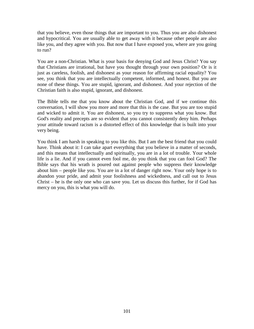that you believe, even those things that are important to you. Thus you are also dishonest and hypocritical. You are usually able to get away with it because other people are also like you, and they agree with you. But now that I have exposed you, where are you going to run?

You are a non-Christian. What is your basis for denying God and Jesus Christ? You say that Christians are irrational, but have you thought through your own position? Or is it just as careless, foolish, and dishonest as your reason for affirming racial equality? You see, you think that you are intellectually competent, informed, and honest. But you are none of these things. You are stupid, ignorant, and dishonest. And your rejection of the Christian faith is also stupid, ignorant, and dishonest.

The Bible tells me that you know about the Christian God, and if we continue this conversation, I will show you more and more that this is the case. But you are too stupid and wicked to admit it. You are dishonest, so you try to suppress what you know. But God's reality and precepts are so evident that you cannot consistently deny him. Perhaps your attitude toward racism is a distorted effect of this knowledge that is built into your very being.

You think I am harsh in speaking to you like this. But I am the best friend that you could have. Think about it: I can take apart everything that you believe in a matter of seconds, and this means that intellectually and spiritually, you are in a lot of trouble. Your whole life is a lie. And if you cannot even fool me, do you think that you can fool God? The Bible says that his wrath is poured out against people who suppress their knowledge about him – people like you. You are in a lot of danger right now. Your only hope is to abandon your pride, and admit your foolishness and wickedness, and call out to Jesus Christ – he is the only one who can save you. Let us discuss this further, for if God has mercy on you, this is what you will do.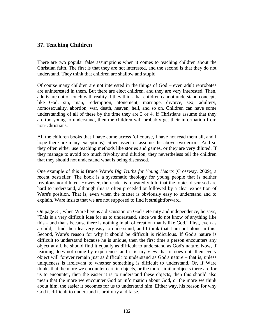### **37. Teaching Children**

There are two popular false assumptions when it comes to teaching children about the Christian faith. The first is that they are not interested, and the second is that they do not understand. They think that children are shallow and stupid.

Of course many children are not interested in the things of God – even adult reprobates are uninterested in them. But there are elect children, and they are very interested. Then, adults are out of touch with reality if they think that children cannot understand concepts like God, sin, man, redemption, atonement, marriage, divorce, sex, adultery, homosexuality, abortion, war, death, heaven, hell, and so on. Children can have some understanding of all of these by the time they are 3 or 4. If Christians assume that they are too young to understand, then the children will probably get their information from non-Christians.

All the children books that I have come across (of course, I have not read them all, and I hope there are many exceptions) either assert or assume the above two errors. And so they often either use teaching methods like stories and games, or they are very diluted. If they manage to avoid too much frivolity and dilution, they nevertheless tell the children that they should not understand what is being discussed.

One example of this is Bruce Ware's *Big Truths for Young Hearts* (Crossway, 2009), a recent bestseller. The book is a systematic theology for young people that is neither frivolous nor diluted. However, the reader is repeatedly told that the topics discussed are hard to understand, although this is often preceded or followed by a clear exposition of Ware's position. That is, even when the matter is obviously easy to understand and to explain, Ware insists that we are not supposed to find it straightforward.

On page 31, when Ware begins a discussion on God's eternity and independence, he says, "This is a very difficult idea for us to understand, since we do not know of anything like this – and that's because there is nothing in all of creation that is like God." First, even as a child, I find the idea very easy to understand, and I think that I am not alone in this. Second, Ware's reason for why it should be difficult is ridiculous. If God's nature is difficult to understand because he is unique, then the first time a person encounters any object at all, he should find it equally as difficult to understand as God's nature. Now, if learning does not come by experience, and it is my view that it does not, then every object will forever remain just as difficult to understand as God's nature – that is, unless uniqueness is irrelevant to whether something is difficult to understand. Or, if Ware thinks that the more we encounter certain objects, or the more similar objects there are for us to encounter, then the easier it is to understand these objects, then this should also mean that the more we encounter God or information about God, or the more we think about him, the easier it becomes for us to understand him. Either way, his reason for why God is difficult to understand is arbitrary and false.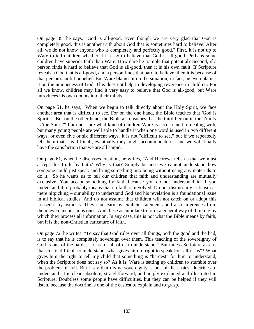On page 35, he says, "God is all-good. Even though we are very glad that God is completely good, this is another truth about God that is sometimes hard to believe. After all, we do not know anyone who is completely and perfectly good." First, it is not up to Ware to tell children whether it is easy to believe that God is all-good. Perhaps some children have superior faith than Ware. How dare he trample that potential? Second, if a person finds it hard to believe that God is all-good, then it is his own fault. If Scripture reveals a God that is all-good, and a person finds that hard to believe, then it is because of that person's sinful unbelief. But Ware blames it on the situation; in fact, he even blames it on the uniqueness of God. This does not help in developing reverence in children. For all we know, children may find it very easy to believe that God is all-good, but Ware introduces his own doubts into their minds.

On page 51, he says, "When we begin to talk directly about the Holy Spirit, we face another area that is difficult to see. For on the one hand, the Bible teaches that 'God is Spirit…' But on the other hand, the Bible also teaches that the third Person in the Trinity is 'the Spirit.'" I am not sure what kind of children Ware is accustomed to dealing with, but many young people are well able to handle it when one word is used in two different ways, or even five or six different ways. It is not "difficult to see," but if we repeatedly tell them that it is difficult, eventually they might accommodate us, and we will finally have the satisfaction that we are all stupid.

On page 61, when he discusses creation, he writes, "And Hebrews tells us that we must accept this truth 'by faith.' Why is that? Simply because we cannot understand how someone could just speak and bring something into being without using any materials to do it." So he wants us to tell our children that faith and understanding are mutually exclusive. You accept something by faith because you do not understand it. If you understand it, it probably means that no faith is involved. Do not dismiss my criticism as mere nitpicking – our ability to understand God and his revelation is a foundational issue in all biblical studies. And do not assume that children will not catch on or adopt this nonsense by osmosis. They can learn by explicit statements and also inferences from them, even unconscious ones. And these accumulate to form a general way of thinking by which they process all information. In any case, this is not what the Bible means by faith, but it is the non-Christian caricature of faith.

On page 72, he writes, "To say that God rules over all things, both the good and the bad, is to say that he is completely sovereign over them. This teaching of the sovereignty of God is one of the hardest areas for all of us to understand." But unless Scripture asserts that this is difficult to understand, what gives him to right to speak for "all of us"? What gives him the right to tell my child that something is "hardest" for him to understand, when the Scripture does not say so? As it is, Ware is setting up children to stumble over the problem of evil. But I say that divine sovereignty is one of the easiest doctrines to understand. It is clear, absolute, straightforward, and amply explained and illustrated in Scripture. Doubtless some people have difficulties, but they can be helped if they will listen, because the doctrine is one of the easiest to explain and to grasp.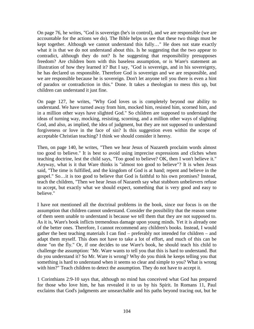On page 76, he writes, "God is sovereign (he's in control), and we are responsible (we are accountable for the actions we do). The Bible helps us see that these two things must be kept together. Although we cannot understand this fully…" He does not state exactly what it is that we do not understand about this. Is he suggesting that the two appear to contradict, although they do not? Is he suggesting that responsibility presupposes freedom? Are children born with this baseless assumption, or is Ware's statement an illustration of how they learned it? But I say, "God is sovereign, and in his sovereignty, he has declared us responsible. Therefore God is sovereign and we are responsible, and we are responsible because he is sovereign. Don't let anyone tell you there is even a hint of paradox or contradiction in this." Done. It takes a theologian to mess this up, but children can understand it just fine.

On page 127, he writes, "Why God loves us is completely beyond our ability to understand. We have turned away from him, mocked him, resisted him, scorned him, and in a million other ways have slighted God." So children are supposed to understand the ideas of turning way, mocking, resisting, scorning, and a million other ways of slighting God, and also, as implied, the idea of judgment, but they are not supposed to understand forgiveness or love in the face of sin? Is this suggestion even within the scope of acceptable Christian teaching? I think we should consider it heresy.

Then, on page 140, he writes, "Then we hear Jesus of Nazareth proclaim words almost too good to believe." It is best to avoid using imprecise expressions and cliches when teaching doctrine, lest the child says, "Too good to believe? OK, then I won't believe it." Anyway, what is it that Ware thinks is "almost too good to believe"? It is when Jesus said, "The time is fulfilled, and the kingdom of God is at hand; repent and believe in the gospel." So…it is too good to believe that God is faithful to his own promises? Instead, teach the children, "Then we hear Jesus of Nazareth say what stubborn unbelievers refuse to accept, but exactly what we should expect, something that is very good and easy to believe."

I have not mentioned all the doctrinal problems in the book, since our focus is on the assumption that children cannot understand. Consider the possibility that the reason some of them seem unable to understand is because we tell them that they are not supposed to. As it is, Ware's book inflicts tremendous damage upon young minds. Yet it is already one of the better ones. Therefore, I cannot recommend any children's books. Instead, I would gather the best teaching materials I can find – preferably not intended for children – and adapt them myself. This does not have to take a lot of effort, and much of this can be done "on the fly." Or, if one decides to use Ware's book, he should teach his child to challenge the assumption: "Mr. Ware wants to tell you that this is hard to understand. But do you understand it? So Mr. Ware is wrong? Why do you think he keeps telling you that something is hard to understand when it seems so clear and simple to you? What is wrong with him?" Teach children to detect the assumption. They do not have to accept it.

1 Corinthians 2:9-10 says that, although no mind has conceived what God has prepared for those who love him, he has revealed it to us by his Spirit. In Romans 11, Paul exclaims that God's judgments are unsearchable and his paths beyond tracing out, but he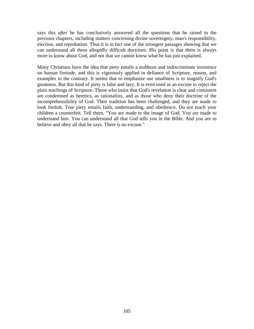says this *after* he has conclusively answered all the questions that he raised in the previous chapters, including matters concerning divine sovereignty, man's responsibility, election, and reprobation. Thus it is in fact one of the strongest passages showing that we can understand all these allegedly difficult doctrines. His point is that there is always more to know about God, and not that we cannot know what he has just explained.

Many Christians have the idea that piety entails a stubborn and indiscriminate insistence on human finitude, and this is vigorously applied in defiance of Scripture, reason, and examples to the contrary. It seems that to emphasize our smallness is to magnify God's greatness. But this kind of piety is false and lazy. It is even used as an excuse to reject the plain teachings of Scripture. Those who insist that God's revelation is clear and consistent are condemned as heretics, as rationalists, and as those who deny their doctrine of the incomprehensibility of God. Their tradition has been challenged, and they are made to look foolish. True piety entails faith, understanding, and obedience. Do not teach your children a counterfeit. Tell them, "You are made in the image of God. You are made to understand him. You can understand all that God tells you in the Bible. And you are to believe and obey all that he says. There is no excuse."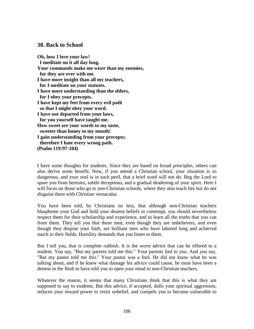### **38. Back to School**

**Oh, how I love your law! I meditate on it all day long. Your commands make me wiser than my enemies, for they are ever with me. I have more insight than all my teachers, for I meditate on your statutes. I have more understanding than the elders, for I obey your precepts. I have kept my feet from every evil path so that I might obey your word. I have not departed from your laws, for you yourself have taught me. How sweet are your words to my taste, sweeter than honey to my mouth! I gain understanding from your precepts; therefore I hate every wrong path. (Psalm 119:97-104)**

I have some thoughts for students. Since they are based on broad principles, others can also derive some benefit. Now, if you attend a Christian school, your situation is so dangerous, and your soul is in such peril, that a brief word will not do. Beg the Lord to spare you from heresies, subtle deceptions, and a gradual deadening of your spirit. Here I will focus on those who go to non-Christian schools, where they also teach lies but do not disguise them with Christian vernacular.

You have been told, by Christians no less, that although non-Christian teachers blaspheme your God and hold your dearest beliefs in contempt, you should nevertheless respect them for their scholarship and experience, and to learn all the truths that you can from them. They tell you that these men, even though they are unbelievers, and even though they despise your faith, are brilliant men who have labored long and achieved much in their fields. Humility demands that you listen to them.

But I tell you, that is complete rubbish. It is the worst advice that can be offered to a student. You say, "But my parents told me this." Your parents lied to you. And you say, "But my pastor told me this." Your pastor was a fool. He did not know what he was talking about, and if he knew what damage his advice could cause, he must have been a demon in the flesh to have told you to open your mind to non-Christian teachers.

Whatever the reason, it seems that many Christians think that this is what they are supposed to say to students. But this advice, if accepted, dulls your spiritual aggression, reduces your inward power to resist unbelief, and compels you to become vulnerable to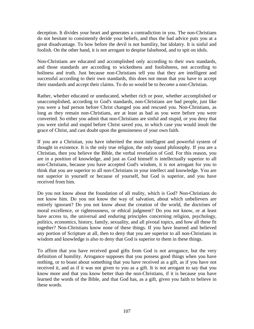deception. It divides your heart and generates a contradiction in you. The non-Christians do not hesitate to consistently deride your beliefs, and thus the bad advice puts you at a great disadvantage. To bow before the devil is not humility, but idolatry. It is sinful and foolish. On the other hand, it is not arrogant to despise falsehood, and to spit on idols.

Non-Christians are educated and accomplished only according to their own standards, and those standards are according to wickedness and foolishness, not according to holiness and truth. Just because non-Christians tell you that they are intelligent and successful according to their own standards, this does not mean that you have to accept their standards and accept their claims. To do so would be to *become* a non-Christian.

Rather, whether educated or uneducated, whether rich or poor, whether accomplished or unaccomplished, according to God's standards, non-Christians are bad people, just like you were a bad person before Christ changed you and rescued you. Non-Christians, as long as they remain non-Christians, are at least as bad as you were before you were converted. So either you admit that non-Christians are sinful and stupid, or you deny that you were sinful and stupid before Christ saved you, in which case you would insult the grace of Christ, and cast doubt upon the genuineness of your own faith.

If you are a Christian, you have inherited the most intelligent and powerful system of thought in existence. It is the only true religion, the only sound philosophy. If you are a Christian, then you believe the Bible, the verbal revelation of God. For this reason, you are in a position of knowledge, and just as God himself is intellectually superior to all non-Christians, because you have accepted God's wisdom, it is not arrogant for you to think that you are superior to all non-Christians in your intellect and knowledge. You are not superior in yourself or because of yourself, but God is superior, and you have received from him.

Do you not know about the foundation of all reality, which is God? Non-Christians do not know him. Do you not know the way of salvation, about which unbelievers are entirely ignorant? Do you not know about the creation of the world, the doctrines of moral excellence, or righteousness, or ethical judgment? Do you not know, or at least have access to, the universal and enduring principles concerning religion, psychology, politics, economics, history, family, sexuality, and all pivotal topics, and how all these fit together? Non-Christians know none of these things. If you have learned and believed any portion of Scripture at all, then to deny that you are superior to all non-Christians in wisdom and knowledge is also to deny that God is superior to them in these things.

To affirm that you have received good gifts from God is not arrogance, but the very definition of humility. Arrogance supposes that you possess good things when you have nothing, or to boast about something that you have received as a gift, as if you have not received it, and as if it was not given to you as a gift. It is not arrogant to say that you know more and that you know better than the non-Christians, if it is because you have learned the words of the Bible, and that God has, as a gift, given you faith to believe in these words.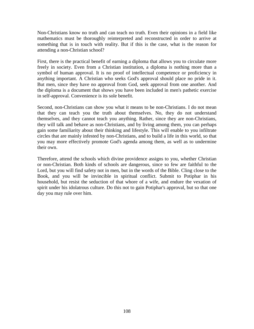Non-Christians know no truth and can teach no truth. Even their opinions in a field like mathematics must be thoroughly reinterpreted and reconstructed in order to arrive at something that is in touch with reality. But if this is the case, what is the reason for attending a non-Christian school?

First, there is the practical benefit of earning a diploma that allows you to circulate more freely in society. Even from a Christian institution, a diploma is nothing more than a symbol of human approval. It is no proof of intellectual competence or proficiency in anything important. A Christian who seeks God's approval should place no pride in it. But men, since they have no approval from God, seek approval from one another. And the diploma is a document that shows you have been included in men's pathetic exercise in self-approval. Convenience is its sole benefit.

Second, non-Christians can show you what it means to be non-Christians. I do not mean that they can teach you the truth about themselves. No, they do not understand themselves, and they cannot teach you anything. Rather, since they are non-Christians, they will talk and behave as non-Christians, and by living among them, you can perhaps gain some familiarity about their thinking and lifestyle. This will enable to you infiltrate circles that are mainly infested by non-Christians, and to build a life in this world, so that you may more effectively promote God's agenda among them, as well as to undermine their own.

Therefore, attend the schools which divine providence assigns to you, whether Christian or non-Christian. Both kinds of schools are dangerous, since so few are faithful to the Lord, but you will find safety not in men, but in the words of the Bible. Cling close to the Book, and you will be invincible in spiritual conflict. Submit to Potiphar in his household, but resist the seduction of that whore of a wife, and endure the vexation of spirit under his idolatrous culture. Do this not to gain Potiphar's approval, but so that one day you may rule over him.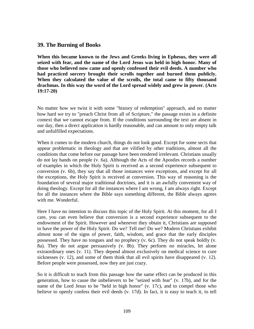### **39. The Burning of Books**

**When this became known to the Jews and Greeks living in Ephesus, they were all seized with fear, and the name of the Lord Jesus was held in high honor. Many of those who believed now came and openly confessed their evil deeds. A number who had practiced sorcery brought their scrolls together and burned them publicly. When they calculated the value of the scrolls, the total came to fifty thousand drachmas. In this way the word of the Lord spread widely and grew in power. (Acts 19:17-20)**

No matter how we twist it with some "history of redemption" approach, and no matter how hard we try to "preach Christ from all of Scripture," the passage exists in a definite context that we cannot escape from. If the conditions surrounding the text are absent in our day, then a direct application is hardly reasonable, and can amount to only empty talk and unfulfilled expectations.

When it comes to the modern church, things do not look good. Except for some sects that appear problematic in theology and that are vilified by other traditions, almost all the conditions that come before our passage have been rendered irrelevant. Christians usually do not lay hands on people (v. 6a). Although the Acts of the Apostles records a number of examples in which the Holy Spirit is received as a second experience subsequent to conversion (v. 6b), they say that all those instances were exceptions, and except for all the exceptions, the Holy Spirit is received at conversion. This way of reasoning is the foundation of several major traditional doctrines, and it is an awfully convenient way of doing theology. Except for all the instances where I am wrong, I am always right. Except for all the instances where the Bible says something different, the Bible always agrees with me. Wonderful.

Here I have no intention to discuss this topic of the Holy Spirit. At this moment, for all I care, you can even believe that conversion is a second experience subsequent to the endowment of the Spirit. However and whenever they obtain it, Christians are supposed to have the power of the Holy Spirit. Do we? Tell me! Do we? Modern Christians exhibit almost none of the signs of power, faith, wisdom, and grace that the early disciples possessed. They have no tongues and no prophecy (v. 6c). They do not speak boldly (v. 8a). They do not argue persuasively (v. 8b). They perform no miracles, let alone extraordinary ones (v. 11). They depend almost exclusively on medical science to cure sicknesses (v. 12), and some of them think that all evil spirits have disappeared (v. 12). Before people were possessed, now they are just crazy.

So it is difficult to teach from this passage how the same effect can be produced in this generation, how to cause the unbelievers to be "seized with fear" (v. 17b), and for the name of the Lord Jesus to be "held in high honor" (v. 17c), and to compel those who believe to openly confess their evil deeds (v. 17d). In fact, it is easy to teach it, to tell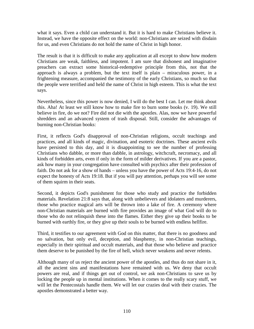what it says. Even a child can understand it. But it is hard to make Christians believe it. Instead, we have the opposite effect on the world: non-Christians are seized with disdain for us, and even Christians do not hold the name of Christ in high honor.

The result is that it is difficult to make any application at all except to show how modern Christians are weak, faithless, and impotent. I am sure that dishonest and imaginative preachers can extract some historical-redemptive principle from this, not that the approach is always a problem, but the text itself is plain – miraculous power, in a frightening measure, accompanied the testimony of the early Christians, so much so that the people were terrified and held the name of Christ in high esteem. This is what the text says.

Nevertheless, since this power is now denied, I will do the best I can. Let me think about this. Aha! At least we still know how to make fire to burn some books (v. 19). We still believe in fire, do we not? Fire did not die with the apostles. Alas, now we have powerful shredders and an advanced system of trash disposal. Still, consider the advantages of burning non-Christian books:

First, it reflects God's disapproval of non-Christian religions, occult teachings and practices, and all kinds of magic, divination, and esoteric doctrines. These ancient evils have persisted to this day, and it is disappointing to see the number of professing Christians who dabble, or more than dabble, in astrology, witchcraft, necromacy, and all kinds of forbidden arts, even if only in the form of milder derivatives. If you are a pastor, ask how many in your congregation have consulted with psychics after their profession of faith. Do not ask for a show of hands – unless you have the power of Acts 19:4-16, do not expect the honesty of Acts 19:18. But if you will pay attention, perhaps you will see some of them squirm in their seats.

Second, it depicts God's punishment for those who study and practice the forbidden materials. Revelation 21:8 says that, along with unbelievers and idolaters and murderers, those who practice magical arts will be thrown into a lake of fire. A ceremony where non-Christian materials are burned with fire provides an image of what God will do to those who do not relinquish these into the flames. Either they give up their books to be burned with earthly fire, or they give up their souls to be burned with endless hellfire.

Third, it testifies to our agreement with God on this matter, that there is no goodness and no salvation, but only evil, deception, and blasphemy, in non-Christian teachings, especially in their spiritual and occult materials, and that those who believe and practice them deserve to be punished by the fire of hell, which never weakens and never relents.

Although many of us reject the ancient power of the apostles, and thus do not share in it, all the ancient sins and manifestations have remained with us. We deny that occult powers are real, and if things get out of control, we ask non-Christians to save us by locking the people up in mental institutions. When it comes to the really scary stuff, we will let the Pentecostals handle them. We will let our crazies deal with their crazies. The apostles demonstrated a better way.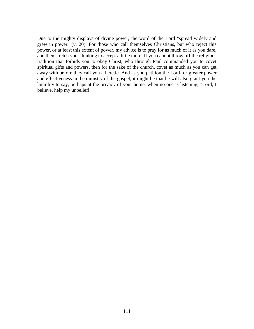Due to the mighty displays of divine power, the word of the Lord "spread widely and grew in power" (v. 20). For those who call themselves Christians, but who reject this power, or at least this extent of power, my advice is to pray for as much of it as you dare, and then stretch your thinking to accept a little more. If you cannot throw off the religious tradition that forbids you to obey Christ, who through Paul commanded you to covet spiritual gifts and powers, then for the sake of the church, covet as much as you can get away with before they call you a heretic. And as you petition the Lord for greater power and effectiveness in the ministry of the gospel, it might be that he will also grant you the humility to say, perhaps at the privacy of your home, when no one is listening, "Lord, I believe, help my unbelief!"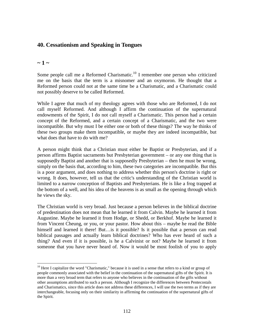# **40. Cessationism and Speaking in Tongues**

### **~ 1 ~**

Some people call me a Reformed Charismatic.<sup>10</sup> I remember one person who criticized me on the basis that the term is a misnomer and an oxymoron. He thought that a Reformed person could not at the same time be a Charismatic, and a Charismatic could not possibly deserve to be called Reformed.

While I agree that much of my theology agrees with those who are Reformed, I do not call myself Reformed. And although I affirm the continuation of the supernatural endowments of the Spirit, I do not call myself a Charismatic. This person had a certain concept of the Reformed, and a certain concept of a Charismatic, and the two were incompatible. But why must I be either one or both of these things? The way he thinks of these two groups make them incompatible, or maybe they are indeed incompatible, but what does that have to do with me?

A person might think that a Christian must either be Baptist or Presbyterian, and if a person affirms Baptist sacraments but Presbyterian government – or any one thing that is supposedly Baptist and another that is supposedly Presbyterian – then he must be wrong, simply on the basis that, according to him, these two categories are incompatible. But this is a poor argument, and does nothing to address whether this person's doctrine is right or wrong. It does, however, tell us that the critic's understanding of the Christian world is limited to a narrow conception of Baptists and Presbyterians. He is like a frog trapped at the bottom of a well, and his idea of the heavens is as small as the opening through which he views the sky.

The Christian world is very broad. Just because a person believes in the biblical doctrine of predestination does not mean that he learned it from Calvin. Maybe he learned it from Augustine. Maybe he learned it from Hodge, or Shedd, or Berkhof. Maybe he learned it from Vincent Cheung, or you, or your pastor. How about this – maybe he read the Bible himself and learned it there! But... is it possible? Is it possible that a person can read biblical passages and actually learn biblical doctrines? Who has ever heard of such a thing? And even if it is possible, is he a Calvinist or not? Maybe he learned it from someone that you have never heard of. Now it would be most foolish of you to apply

<sup>&</sup>lt;sup>10</sup> Here I capitalize the word "Charismatic," because it is used in a sense that refers to a kind or group of people commonly associated with the belief in the continuation of the supernatural gifts of the Spirit. It is more than a very broad term that refers to anyone who believes in the continuation of the gifts without other assumptions attributed to such a person. Although I recognize the differences between Pentecostals and Charismatics, since this article does not address these differences, I will use the two terms as if they are interchangeable, focusing only on their similarity in affirming the continuation of the supernatural gifts of the Spirit.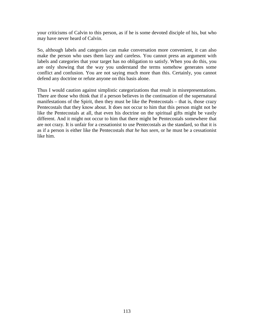your criticisms of Calvin to this person, as if he is some devoted disciple of his, but who may have never heard of Calvin.

So, although labels and categories can make conversation more convenient, it can also make the person who uses them lazy and careless. You cannot press an argument with labels and categories that your target has no obligation to satisfy. When you do this, you are only showing that the way you understand the terms somehow generates some conflict and confusion. You are not saying much more than this. Certainly, you cannot defend any doctrine or refute anyone on this basis alone.

Thus I would caution against simplistic categorizations that result in misrepresentations. There are those who think that if a person believes in the continuation of the supernatural manifestations of the Spirit, then they must be like the Pentecostals – that is, those crazy Pentecostals that they know about. It does not occur to him that this person might not be like the Pentecostals at all, that even his doctrine on the spiritual gifts might be vastly different. And it might not occur to him that there might be Pentecostals somewhere that are not crazy. It is unfair for a cessationist to use Pentecostals as the standard, so that it is as if a person is either like the Pentecostals *that he has seen*, or he must be a cessationist like him.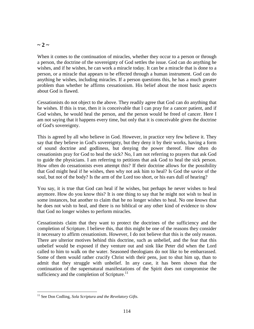### $\sim$  2  $\sim$

When it comes to the continuation of miracles, whether they occur to a person or through a person, the doctrine of the sovereignty of God settles the issue. God can do anything he wishes, and if he wishes, he can work a miracle today. It can be a miracle that is done to a person, or a miracle that appears to be effected through a human instrument. God can do anything he wishes, including miracles. If a person questions this, he has a much greater problem than whether he affirms cessationism. His belief about the most basic aspects about God is flawed.

Cessationists do not object to the above. They readily agree that God can do anything that he wishes. If this is true, then it is conceivable that I can pray for a cancer patient, and if God wishes, he would heal the person, and the person would be freed of cancer. Here I am not saying that it happens every time, but only that it is conceivable given the doctrine of God's sovereignty.

This is agreed by all who believe in God. However, in practice very few believe it. They say that they believe in God's sovereignty, but they deny it by their works, having a form of sound doctrine and godliness, but denying the power thereof. How often do cessationists pray for God to heal the sick? No, I am not referring to prayers that ask God to guide the physicians. I am referring to petitions that ask God to heal the sick person. How often do cessationists even attempt this? If their doctrine allows for the possibility that God might heal if he wishes, then why not ask him to heal? Is God the savior of the soul, but not of the body? Is the arm of the Lord too short, or his ears dull of hearing?

You say, it is true that God can heal if he wishes, but perhaps he never wishes to heal anymore. How do you know this? It is one thing to say that he might not wish to heal in some instances, but another to claim that he no longer wishes to heal. No one *knows* that he does not wish to heal, and there is no biblical or any other kind of evidence to show that God no longer wishes to perform miracles.

Cessationists claim that they want to protect the doctrines of the sufficiency and the completion of Scripture. I believe this, that this might be one of the reasons they consider it necessary to affirm cessationism. However, I do not believe that this is the only reason. There are ulterior motives behind this doctrine, such as unbelief, and the fear that this unbelief would be exposed if they venture out and sink like Peter did when the Lord called to him to walk on the water. Seasoned theologians do not like to be embarrassed. Some of them would rather crucify Christ with their pens, just to shut him up, than to admit that they struggle with unbelief. In any case, it has been shown that the continuation of the supernatural manifestations of the Spirit does not compromise the sufficiency and the completion of Scripture. $^{11}$ 

<sup>11</sup> See Don Codling, *Sola Scriptura and the Revelatory Gifts*.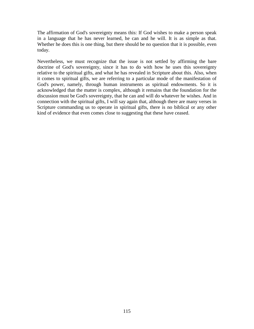The affirmation of God's sovereignty means this: If God wishes to make a person speak in a language that he has never learned, he can and he will. It is as simple as that. Whether he does this is one thing, but there should be no question that it is possible, even today.

Nevertheless, we must recognize that the issue is not settled by affirming the bare doctrine of God's sovereignty, since it has to do with how he uses this sovereignty relative to the spiritual gifts, and what he has revealed in Scripture about this. Also, when it comes to spiritual gifts, we are referring to a particular mode of the manifestation of God's power, namely, through human instruments as spiritual endowments. So it is acknowledged that the matter is complex, although it remains that the foundation for the discussion must be God's sovereignty, that he can and will do whatever he wishes. And in connection with the spiritual gifts, I will say again that, although there are many verses in Scripture commanding us to operate in spiritual gifts, there is no biblical or any other kind of evidence that even comes close to suggesting that these have ceased.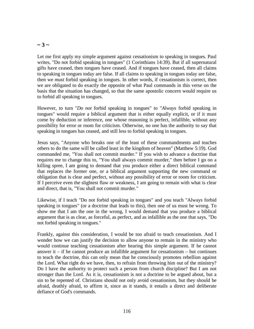## $\sim$  3  $\sim$

Let me first apply my simple argument against cessationism to speaking in tongues. Paul writes, "Do not forbid speaking in tongues" (1 Corinthians 14:39). But if all supernatural gifts have ceased, then tongues have ceased. And if tongues have ceased, then all claims to speaking in tongues today are false. If all claims to speaking in tongues today are false, then we *must* forbid speaking in tongues. In other words, if cessationism is correct, then we are obligated to do exactly the opposite of what Paul commands in this verse on the basis that the situation has changed, so that the same apostolic concern would require us to forbid all speaking in tongues.

However, to turn "*Do not* forbid speaking in tongues" to "*Always* forbid speaking in tongues" would require a biblical argument that is either equally explicit, or if it must come by deduction or inference, one whose reasoning is perfect, infallible, without any possibility for error or room for criticism. Otherwise, no one has the authority to say that speaking in tongues has ceased, and still less to forbid speaking in tongues.

Jesus says, "Anyone who breaks one of the least of these commandments and teaches others to do the same will be called least in the kingdom of heaven" (Matthew 5:19). God commanded me, "You shall not commit murder." If you wish to advance a doctrine that requires me to change this to, "You shall always commit murder," then before I go on a killing spree, I am going to demand that you produce either a direct biblical command that replaces the former one, or a biblical argument supporting the new command or obligation that is clear and perfect, without any possibility of error or room for criticism. If I perceive even the slightest flaw or weakness, I am going to remain with what is clear and direct, that is, "You shall not commit murder."

Likewise, if I teach "Do not forbid speaking in tongues" and you teach "Always forbid speaking in tongues" (or a doctrine that leads to this), then one of us must be wrong. To show me that I am the one in the wrong, I would demand that you produce a biblical argument that is as clear, as forceful, as perfect, and as infallible as the one that says, "Do not forbid speaking in tongues."

Frankly, against this consideration, I would be too afraid to teach cessationism. And I wonder how we can justify the decision to allow anyone to remain in the ministry who would continue teaching cessationism after hearing this simple argument. If he cannot answer it – if he cannot produce an infallible argument for cessationism – but continues to teach the doctrine, this can only mean that he consciously promotes rebellion against the Lord. What right do we have, then, to refrain from throwing him out of the ministry? Do I have the authority to protect such a person from church discipline? But I am not stronger than the Lord. As it is, cessationism is not a doctrine to be argued about, but a sin to be repented of. Christians should not only avoid cessationism, but they should be afraid, deathly afraid, to affirm it, since as it stands, it entails a direct and deliberate defiance of God's commands.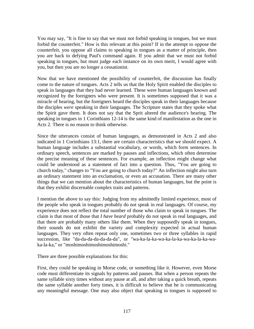You may say, "It is fine to say that we must not forbid speaking in tongues, but we must forbid the counterfeit." How is this relevant at this point? If in the attempt to oppose the counterfeit, you oppose all claims to speaking in tongues as a matter of principle, then you are back to defying Paul's command again. If you admit that we must not forbid speaking in tongues, but must judge each instance on its own merit, I would agree with you, but then you are no longer a cessationist.

Now that we have mentioned the possibility of counterfeit, the discussion has finally come to the nature of tongues. Acts 2 tells us that the Holy Spirit enabled the disciples to speak in languages that they had never learned. These were human languages known and recognized by the foreigners who were present. It is sometimes supposed that it was a miracle of hearing, but the foreigners heard the disciples speak in their languages because the disciples *were* speaking in their languages. The Scripture states that they spoke what the Spirit gave them. It does not say that the Sprit altered the audience's hearing. The speaking in tongues in 1 Corinthians 12-14 is the same kind of manifestation as the one in Acts 2. There is no reason to think otherwise.

Since the utterances consist of human languages, as demonstrated in Acts 2 and also indicated in 1 Corinthians 13:1, there are certain characteristics that we should expect. A human language includes a substantial vocabulary, or words, which form sentences. In ordinary speech, sentences are marked by pauses and inflections, which often determine the precise meaning of these sentences. For example, an inflection might change what could be understood as a statement of fact into a question. Thus, "You are going to church today," changes to "You are going to church today?" An inflection might also turn an ordinary statement into an exclamation, or even an accusation. There are many other things that we can mention about the characteristics of human languages, but the point is that they exhibit discernable complex traits and patterns.

I mention the above to say this: Judging from my admittedly limited experience, most of the people who speak in tongues probably do not speak in real languages. Of course, my experience does not reflect the total number of those who claim to speak in tongues. The claim is that most of those that *I have heard* probably do not speak in real languages, and that there are probably many others like them. When they supposedly speak in tongues, their sounds do not exhibit the variety and complexity expected in actual human languages. They very often repeat only one, sometimes two or three syllables in rapid succession, like "da-da-da-da-da-da-da", or "wa-ka-la-ka-wa-ka-la-ka-wa-ka-la-ka-waka-la-ka," or "moshimoshimoshimoshimoshi."

There are three possible explanations for this:

First, they could be speaking in Morse code, or something like it. However, even Morse code must differentiate its signals by patterns and pauses. But when a person repeats the same syllable sixty times without any pause at all, and after taking a quick breath, repeats the same syllable another forty times, it is difficult to believe that he is communicating any meaningful message. One may also object that speaking in tongues is supposed to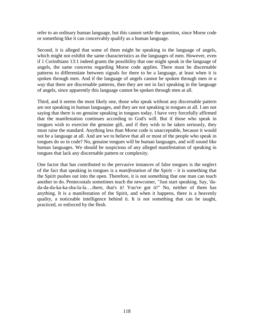refer to an ordinary human language, but this cannot settle the question, since Morse code or something like it can conceivably qualify as a human language.

Second, it is alleged that some of them might be speaking in the language of angels, which might not exhibit the same characteristics as the languages of men. However, even if 1 Corinthians 13:1 indeed grants the possibility that one might speak in the language of angels, the same concerns regarding Morse code applies. There must be discernable patterns to differentiate between signals for there to be a language, at least when it is spoken through men. And if the language of angels cannot be spoken through men *in a way* that there are discernable patterns, then they are not in fact speaking in the language of angels, since apparently this language cannot be spoken through men at all.

Third, and it seems the most likely one, those who speak without any discernable pattern are not speaking in human languages, and they are not speaking in tongues at all. I am not saying that there is no genuine speaking in tongues today. I have very forcefully affirmed that the manifestation continues according to God's will. But if those who speak in tongues wish to exercise the genuine gift, and if they wish to be taken seriously, they must raise the standard. Anything less than Morse code is unacceptable, because it would not be a language at all. And are we to believe that all or most of the people who speak in tongues do so in code? No, genuine tongues will be human languages, and will sound like human languages. We should be suspicious of any alleged manifestation of speaking in tongues that lack any discernable pattern or complexity.

One factor that has contributed to the pervasive instances of false tongues is the neglect of the fact that speaking in tongues is a *manifestation* of the Spirit – it is something that the Spirit pushes out into the open. Therefore, it is not something that one man can teach another to do. Pentecostals sometimes teach the newcomer, "Just start speaking. Say, 'dada-da-da-ka-ka-sha-la-la….there, that's it! You've got it!" No, neither of them has anything. It is a manifestation of the Spirit, and when it happens, there is a heavenly quality, a noticeable intelligence behind it. It is not something that can be taught, practiced, or enforced by the flesh.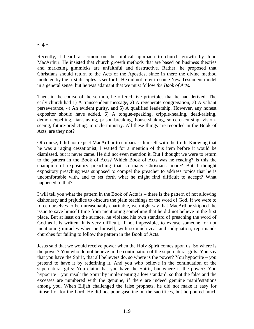#### $\sim$  4  $\sim$

Recently, I heard a sermon on the biblical approach to church growth by John MacArthur. He insisted that church growth methods that are based on business theories and marketing gimmicks are unfaithful and destructive. Rather, he proposed that Christians should return to the Acts of the Apostles, since in there the divine method modeled by the first disciples is set forth. He did not refer to some New Testament model in a general sense, but he was adamant that we must follow *the Book of Acts*.

Then, in the course of the sermon, he offered five principles that he had derived: The early church had 1) A transcendent message, 2) A regenerate congregation, 3) A valiant perseverance, 4) An evident purity, and 5) A qualified leadership. However, any honest expositor should have added, 6) A tongue-speaking, cripple-healing, dead-raising, demon-expelling, liar-slaying, prison-breaking, house-shaking, sorcerer-cursing, visionseeing, future-predicting, miracle ministry. All these things are recorded in the Book of Acts, are they not?

Of course, I did not expect MacArthur to embarrass himself with the truth. Knowing that he was a raging cessationist, I waited for a mention of this item before it would be dismissed, but it never came. He did not even mention it. But I thought we were to return to the pattern in the Book of Acts? Which Book of Acts was he reading? Is this the champion of expository preaching that so many Christians adore? But I thought expository preaching was supposed to compel the preacher to address topics that he is uncomfortable with, and to set forth what he might find difficult to accept? What happened to that?

I will tell you what the pattern in the Book of Acts is – there is the pattern of not allowing dishonesty and prejudice to obscure the plain teachings of the word of God. If we were to force ourselves to be unreasonably charitable, we might say that MacArthur skipped the issue to save himself time from mentioning something that he did not believe in the first place. But at least on the surface, he violated his own standard of preaching the word of God as it is written. It is very difficult, if not impossible, to excuse someone for not mentioning miracles when he himself, with so much zeal and indignation, reprimands churches for failing to follow the pattern in the Book of Acts.

Jesus said that we would receive power when the Holy Spirit comes upon us. So where is the power? You who do not believe in the continuation of the supernatural gifts: You say that you have the Spirit, that all believers do, so where is the power? You hypocrite – you pretend to have it by redefining it. And you who believe in the continuation of the supernatural gifts: You claim that you have the Spirit, but where is the power? You hypocrite – you insult the Spirit by implementing a low standard, so that the false and the excesses are numbered with the genuine, if there are indeed genuine manifestations among you. When Elijah challenged the false prophets, he did not make it easy for himself or for the Lord. He did not pour gasoline on the sacrifices, but he poured much